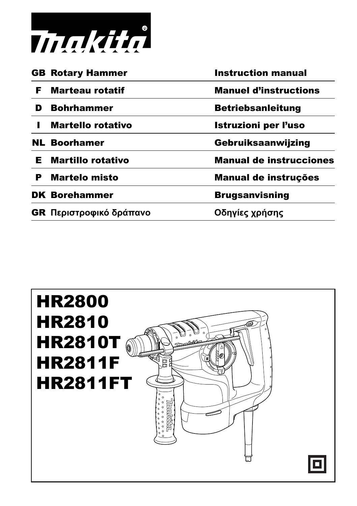

|    | <b>GB Rotary Hammer</b>        | <b>Instruction manual</b>      |
|----|--------------------------------|--------------------------------|
| F. | Marteau rotatif                | <b>Manuel d'instructions</b>   |
| D  | <b>Bohrhammer</b>              | <b>Betriebsanleitung</b>       |
|    | <b>Martello rotativo</b>       | Istruzioni per l'uso           |
|    | <b>NL Boorhamer</b>            | Gebruiksaanwijzing             |
| Е. | <b>Martillo rotativo</b>       | <b>Manual de instrucciones</b> |
| P  | Martelo misto                  | Manual de instruções           |
|    | <b>DK Borehammer</b>           | <b>Brugsanvisning</b>          |
|    | <b>GR</b> Περιστροφικό δράπανο | Οδηγίες χρήσης                 |
|    |                                |                                |

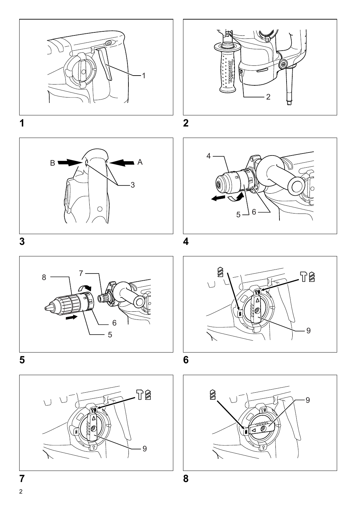

















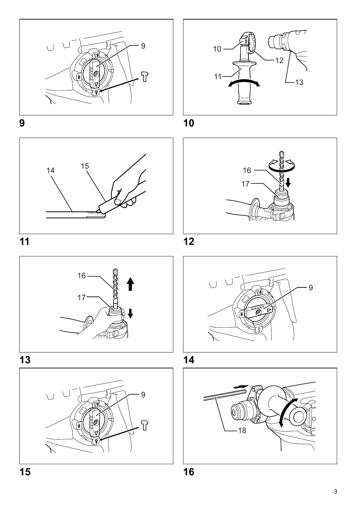



**9 10**



**11 12**













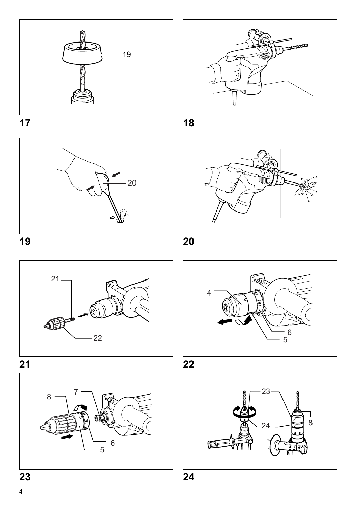



**17 18**















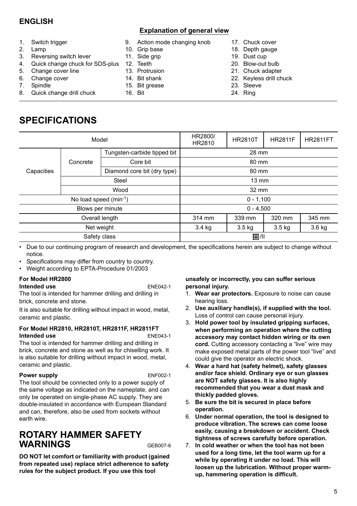# **ENGLISH**

### **Explanation of general view**

- 1. Switch trigger
- 2. Lamp
- 3. Reversing switch lever
- 4. Quick change chuck for SDS-plus
- 5. Change cover line
- 6. Change cover
- 7. Spindle
- 8. Quick change drill chuck

### 9. Action mode changing knob

- 10. Grip base
- 11. Side grip
- 12. Teeth
- 13. Protrusion
- 14. Bit shank
- 15. Bit grease
- 16. Bit
- 17. Chuck cover
	- 18. Depth gauge
		- 19. Dust cup
		- 20. Blow-out bulb
		- 21. Chuck adapter
		- 22. Keyless drill chuck
		- 23. Sleeve
		- 24. Ring

# **SPECIFICATIONS**

|                            | Model                       |                             | HR2800/<br>HR2810                    | <b>HR2810T</b> | <b>HR2811F</b> | <b>HR2811FT</b> |  |
|----------------------------|-----------------------------|-----------------------------|--------------------------------------|----------------|----------------|-----------------|--|
|                            | Tungsten-carbide tipped bit |                             | 28 mm                                |                |                |                 |  |
|                            | Concrete                    | Core bit                    | 80 mm                                |                |                |                 |  |
| Capacities                 |                             | Diamond core bit (dry type) | 80 mm                                |                |                |                 |  |
|                            | <b>Steel</b>                |                             | $13 \text{ mm}$                      |                |                |                 |  |
|                            | Wood                        |                             | 32 mm                                |                |                |                 |  |
| No load speed $(min^{-1})$ |                             |                             | $0 - 1,100$                          |                |                |                 |  |
|                            |                             | Blows per minute            |                                      | $0 - 4.500$    |                |                 |  |
|                            |                             | Overall length              | 314 mm                               | 339 mm         | 320 mm         | 345 mm          |  |
|                            |                             | Net weight                  | 3.4 kg<br>$3.5 \text{ kg}$<br>3.5 kg |                | $3.6$ kg       |                 |  |
| Safety class               |                             |                             | 回川                                   |                |                |                 |  |

• Due to our continuing program of research and development, the specifications herein are subject to change without notice.

- Specifications may differ from country to country.
- Weight according to EPTA-Procedure 01/2003

### **For Model HR2800**

### **Intended use** ENE042-1

The tool is intended for hammer drilling and drilling in brick, concrete and stone.

It is also suitable for drilling without impact in wood, metal, ceramic and plastic.

### **For Model HR2810, HR2810T, HR2811F, HR2811FT Intended use** ENE043-1

The tool is intended for hammer drilling and drilling in brick, concrete and stone as well as for chiselling work. It is also suitable for drilling without impact in wood, metal, ceramic and plastic.

### **Power supply** ENF002-1

The tool should be connected only to a power supply of the same voltage as indicated on the nameplate, and can only be operated on single-phase AC supply. They are double-insulated in accordance with European Standard and can, therefore, also be used from sockets without earth wire.

# **ROTARY HAMMER SAFETY WARNINGS** GEB007-6

**DO NOT let comfort or familiarity with product (gained from repeated use) replace strict adherence to safety rules for the subject product. If you use this tool** 

**unsafely or incorrectly, you can suffer serious personal injury.** 

- 1. **Wear ear protectors.** Exposure to noise can cause hearing loss.
- 2. **Use auxiliary handle(s), if supplied with the tool.** Loss of control can cause personal injury.
- 3. **Hold power tool by insulated gripping surfaces, when performing an operation where the cutting accessory may contact hidden wiring or its own cord.** Cutting accessory contacting a "live" wire may make exposed metal parts of the power tool "live" and could give the operator an electric shock.
- 4. **Wear a hard hat (safety helmet), safety glasses and/or face shield. Ordinary eye or sun glasses are NOT safety glasses. It is also highly recommended that you wear a dust mask and thickly padded gloves.**
- 5. **Be sure the bit is secured in place before operation.**
- 6. **Under normal operation, the tool is designed to produce vibration. The screws can come loose easily, causing a breakdown or accident. Check tightness of screws carefully before operation.**
- 7. **In cold weather or when the tool has not been used for a long time, let the tool warm up for a while by operating it under no load. This will loosen up the lubrication. Without proper warmup, hammering operation is difficult.**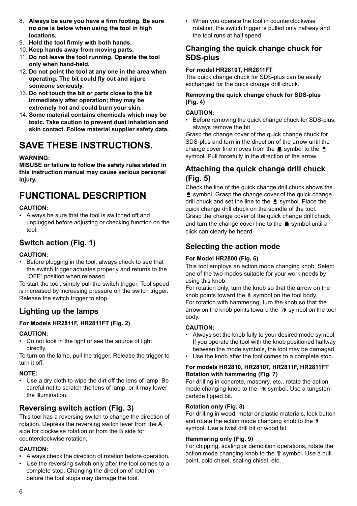- 8. **Always be sure you have a firm footing. Be sure no one is below when using the tool in high locations.**
- 9. **Hold the tool firmly with both hands.**
- 10. **Keep hands away from moving parts.**
- 11. **Do not leave the tool running. Operate the tool only when hand-held.**
- 12. **Do not point the tool at any one in the area when operating. The bit could fly out and injure someone seriously.**
- 13. **Do not touch the bit or parts close to the bit immediately after operation; they may be extremely hot and could burn your skin.**
- 14. **Some material contains chemicals which may be toxic. Take caution to prevent dust inhalation and skin contact. Follow material supplier safety data.**

# **SAVE THESE INSTRUCTIONS.**

### **WARNING:**

**MISUSE or failure to follow the safety rules stated in this instruction manual may cause serious personal injury.**

# **FUNCTIONAL DESCRIPTION**

### **CAUTION:**

• Always be sure that the tool is switched off and unplugged before adjusting or checking function on the tool.

# **Switch action (Fig. 1)**

### **CAUTION:**

• Before plugging in the tool, always check to see that the switch trigger actuates properly and returns to the "OFF" position when released.

To start the tool, simply pull the switch trigger. Tool speed is increased by increasing pressure on the switch trigger. Release the switch trigger to stop.

# **Lighting up the lamps**

### **For Models HR2811F, HR2811FT (Fig. 2)**

### **CAUTION:**

• Do not look in the light or see the source of light directly.

To turn on the lamp, pull the trigger. Release the trigger to turn it off.

### **NOTE:**

• Use a dry cloth to wipe the dirt off the lens of lamp. Be careful not to scratch the lens of lamp, or it may lower the illumination.

# **Reversing switch action (Fig. 3)**

This tool has a reversing switch to change the direction of rotation. Depress the reversing switch lever from the A side for clockwise rotation or from the B side for counterclockwise rotation.

### **CAUTION:**

- Always check the direction of rotation before operation.
- Use the reversing switch only after the tool comes to a complete stop. Changing the direction of rotation before the tool stops may damage the tool.

• When you operate the tool in counterclockwise rotation, the switch trigger is pulled only halfway and the tool runs at half speed.

# **Changing the quick change chuck for SDS-plus**

### **For model HR2810T, HR2811FT**

The quick change chuck for SDS-plus can be easily exchanged for the quick change drill chuck.

### **Removing the quick change chuck for SDS-plus (Fig. 4)**

### **CAUTION:**

• Before removing the quick change chuck for SDS-plus, always remove the bit.

Grasp the change cover of the quick change chuck for SDS-plus and turn in the direction of the arrow until the change cover line moves from the  $\triangle$  symbol to the  $\triangle$ symbol. Pull forcefully in the direction of the arrow.

# **Attaching the quick change drill chuck (Fig. 5)**

Check the line of the quick change drill chuck shows the symbol. Grasp the change cover of the quick change drill chuck and set the line to the  $\triangle$  symbol. Place the quick change drill chuck on the spindle of the tool. Grasp the change cover of the quick change drill chuck and turn the change cover line to the  $\triangle$  symbol until a click can clearly be heard.

# **Selecting the action mode**

### **For Model HR2800 (Fig. 6)**

This tool employs an action mode changing knob. Select one of the two modes suitable for your work needs by using this knob.

For rotation only, turn the knob so that the arrow on the knob points toward the  $\hat{\mathbf{z}}$  symbol on the tool body. For rotation with hammering, turn the knob so that the arrow on the knob points toward the <sub>18</sub> symbol on the tool body.

### **CAUTION:**

- Always set the knob fully to your desired mode symbol. If you operate the tool with the knob positioned halfway between the mode symbols, the tool may be damaged.
- Use the knob after the tool comes to a complete stop.

### **For models HR2810, HR2810T, HR2811F, HR2811FT Rotation with hammering (Fig. 7)**

For drilling in concrete, masonry, etc., rotate the action mode changing knob to the <sup>12</sup> symbol. Use a tungstencarbide tipped bit.

### **Rotation only (Fig. 8)**

For drilling in wood, metal or plastic materials, lock button and rotate the action mode changing knob to the symbol. Use a twist drill bit or wood bit.

### **Hammering only (Fig. 9)**

For chipping, scaling or demolition operations, rotate the action mode changing knob to the  $\nabla$  symbol. Use a bull point, cold chisel, scaling chisel, etc.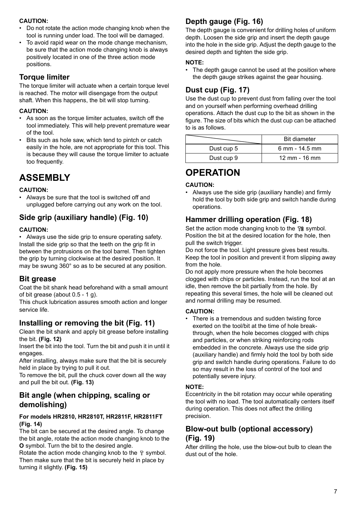### **CAUTION:**

- Do not rotate the action mode changing knob when the tool is running under load. The tool will be damaged.
- To avoid rapid wear on the mode change mechanism, be sure that the action mode changing knob is always positively located in one of the three action mode positions.

# **Torque limiter**

The torque limiter will actuate when a certain torque level is reached. The motor will disengage from the output shaft. When this happens, the bit will stop turning.

### **CAUTION:**

- As soon as the torque limiter actuates, switch off the tool immediately. This will help prevent premature wear of the tool.
- Bits such as hole saw, which tend to pintch or catch easily in the hole, are not appropriate for this tool. This is because they will cause the torque limiter to actuate too frequently.

# **ASSEMBLY**

### **CAUTION:**

• Always be sure that the tool is switched off and unplugged before carrying out any work on the tool.

# **Side grip (auxiliary handle) (Fig. 10)**

### **CAUTION:**

• Always use the side grip to ensure operating safety. Install the side grip so that the teeth on the grip fit in between the protrusions on the tool barrel. Then tighten the grip by turning clockwise at the desired position. It may be swung 360° so as to be secured at any position.

## **Bit grease**

Coat the bit shank head beforehand with a small amount of bit grease (about 0.5 - 1 g).

This chuck lubrication assures smooth action and longer service life.

# **Installing or removing the bit (Fig. 11)**

Clean the bit shank and apply bit grease before installing the bit. **(Fig. 12)**

Insert the bit into the tool. Turn the bit and push it in until it engages.

After installing, always make sure that the bit is securely held in place by trying to pull it out.

To remove the bit, pull the chuck cover down all the way and pull the bit out. **(Fig. 13)**

# **Bit angle (when chipping, scaling or demolishing)**

### **For models HR2810, HR2810T, HR2811F, HR2811FT (Fig. 14)**

The bit can be secured at the desired angle. To change the bit angle, rotate the action mode changing knob to the **O** symbol. Turn the bit to the desired angle.

Rotate the action mode changing knob to the  $\nabla$  symbol. Then make sure that the bit is securely held in place by turning it slightly. **(Fig. 15)**

# **Depth gauge (Fig. 16)**

The depth gauge is convenient for drilling holes of uniform depth. Loosen the side grip and insert the depth gauge into the hole in the side grip. Adjust the depth gauge to the desired depth and tighten the side grip.

### **NOTE:**

• The depth gauge cannot be used at the position where the depth gauge strikes against the gear housing.

# **Dust cup (Fig. 17)**

Use the dust cup to prevent dust from falling over the tool and on yourself when performing overhead drilling operations. Attach the dust cup to the bit as shown in the figure. The size of bits which the dust cup can be attached to is as follows.

|            | <b>Bit diameter</b>       |
|------------|---------------------------|
| Dust cup 5 | 6 mm - 14.5 mm            |
| Dust cup 9 | $12 \, \text{mm}$ - 16 mm |

# **OPERATION**

### **CAUTION:**

• Always use the side grip (auxiliary handle) and firmly hold the tool by both side grip and switch handle during operations.

# **Hammer drilling operation (Fig. 18)**

Set the action mode changing knob to the <sup>12</sup> symbol. Position the bit at the desired location for the hole, then pull the switch trigger.

Do not force the tool. Light pressure gives best results. Keep the tool in position and prevent it from slipping away from the hole.

Do not apply more pressure when the hole becomes clogged with chips or particles. Instead, run the tool at an idle, then remove the bit partially from the hole. By repeating this several times, the hole will be cleaned out and normal drilling may be resumed.

### **CAUTION:**

• There is a tremendous and sudden twisting force exerted on the tool/bit at the time of hole breakthrough, when the hole becomes clogged with chips and particles, or when striking reinforcing rods embedded in the concrete. Always use the side grip (auxiliary handle) and firmly hold the tool by both side grip and switch handle during operations. Failure to do so may result in the loss of control of the tool and potentially severe injury.

### **NOTE:**

Eccentricity in the bit rotation may occur while operating the tool with no load. The tool automatically centers itself during operation. This does not affect the drilling precision.

# **Blow-out bulb (optional accessory) (Fig. 19)**

After drilling the hole, use the blow-out bulb to clean the dust out of the hole.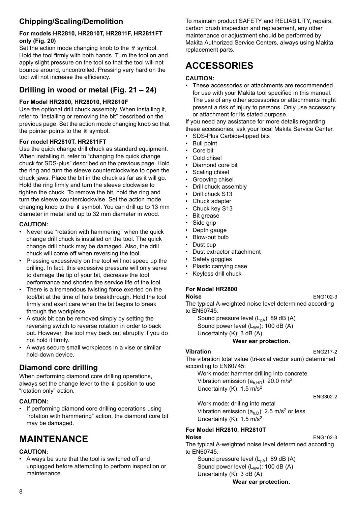# **Chipping/Scaling/Demolition**

### **For models HR2810, HR2810T, HR2811F, HR2811FT only (Fig. 20)**

Set the action mode changing knob to the  $\nabla$  symbol. Hold the tool firmly with both hands. Turn the tool on and apply slight pressure on the tool so that the tool will not bounce around, uncontrolled. Pressing very hard on the tool will not increase the efficiency.

# **Drilling in wood or metal (Fig. 21 – 24)**

## **For Model HR2800, HR28010, HR2810F**

Use the optional drill chuck assembly. When installing it, refer to "Installing or removing the bit" described on the previous page. Set the action mode changing knob so that the pointer points to the  $\frac{8}{3}$  symbol.

## **For model HR2810T, HR2811FT**

Use the quick change drill chuck as standard equipment. When installing it, refer to "changing the quick change chuck for SDS-plus" described on the previous page. Hold the ring and turn the sleeve counterclockwise to open the chuck jaws. Place the bit in the chuck as far as it will go. Hold the ring firmly and turn the sleeve clockwise to tighten the chuck. To remove the bit, hold the ring and turn the sleeve counterclockwise. Set the action mode changing knob to the  $\hat{a}$  symbol. You can drill up to 13 mm diameter in metal and up to 32 mm diameter in wood.

### **CAUTION:**

- Never use "rotation with hammering" when the quick change drill chuck is installed on the tool. The quick change drill chuck may be damaged. Also, the drill chuck will come off when reversing the tool.
- Pressing excessively on the tool will not speed up the drilling. In fact, this excessive pressure will only serve to damage the tip of your bit, decrease the tool performance and shorten the service life of the tool.
- There is a tremendous twisting force exerted on the tool/bit at the time of hole breakthrough. Hold the tool firmly and exert care when the bit begins to break through the workpiece.
- A stuck bit can be removed simply by setting the reversing switch to reverse rotation in order to back out. However, the tool may back out abruptly if you do not hold it firmly.
- Always secure small workpieces in a vise or similar hold-down device.

# **Diamond core drilling**

When performing diamond core drilling operations, always set the change lever to the & position to use "rotation only" action.

### **CAUTION:**

• If performing diamond core drilling operations using "rotation with hammering" action, the diamond core bit may be damaged.

# **MAINTENANCE**

### **CAUTION:**

• Always be sure that the tool is switched off and unplugged before attempting to perform inspection or maintenance.

To maintain product SAFETY and RELIABILITY, repairs, carbon brush inspection and replacement, any other maintenance or adjustment should be performed by Makita Authorized Service Centers, always using Makita replacement parts.

# **ACCESSORIES**

### **CAUTION:**

• These accessories or attachments are recommended for use with your Makita tool specified in this manual. The use of any other accessories or attachments might present a risk of injury to persons. Only use accessory or attachment for its stated purpose.

If you need any assistance for more details regarding these accessories, ask your local Makita Service Center.

- SDS-Plus Carbide-tipped bits
- Bull point
- Core bit
- Cold chisel
- Diamond core bit
- Scaling chisel
- Grooving chisel
- Drill chuck assembly
- Drill chuck S13
- Chuck adapter
- Chuck key S13
- **Bit grease**
- Side grip
- Depth gauge
- Blow-out bulb
- Dust cup
- Dust extractor attachment
- Safety goggles
- Plastic carrying case
- Keyless drill chuck

### **For Model HR2800**

### **Noise** ENG102-3

The typical A-weighted noise level determined according to EN60745:

Sound pressure level  $(L_{pA})$ : 89 dB  $(A)$ Sound power level  $(L_{WA})$ : 100 dB  $(A)$ Uncertainty (K): 3 dB (A)

## **Wear ear protection.**

### **Vibration** ENG217-2

The vibration total value (tri-axial vector sum) determined according to EN60745:

Work mode: hammer drilling into concrete Vibration emission  $(a<sub>b HD</sub>)$ : 20.0 m/s<sup>2</sup> Uncertainty (K): 1.5 m/s<sup>2</sup>

#### ENG302-2

Work mode: drilling into metal Vibration emission  $(a_{h,D})$ : 2.5 m/s<sup>2</sup> or less Uncertainty (K):  $1.5 \text{ m/s}^2$ 

#### **For Model HR2810, HR2810T Noise** ENG102-3

The typical A-weighted noise level determined according to EN60745:

Sound pressure level  $(L_{pA})$ : 89 dB (A) Sound power level  $(L_{WA})$ : 100 dB  $(A)$ Uncertainty (K): 3 dB (A)

**Wear ear protection.**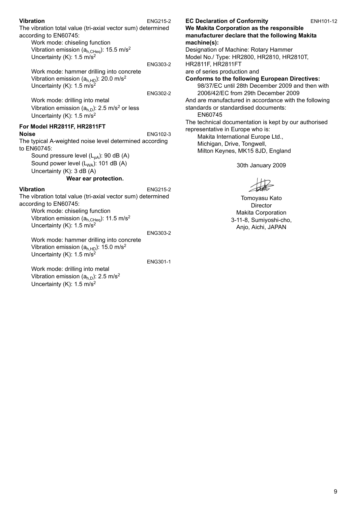### **Vibration** ENG215-2

The vibration total value (tri-axial vector sum) determined according to EN60745:

Work mode: chiseling function Vibration emission ( $a_{h,CHen}$ ): 15.5 m/s<sup>2</sup> Uncertainty  $(K)$ : 1.5 m/s<sup>2</sup>

ENG303-2 Work mode: hammer drilling into concrete Vibration emission  $(a<sub>h.HD</sub>)$ : 20.0 m/s<sup>2</sup> Uncertainty (K): 1.5 m/s<sup>2</sup>

ENG302-2

Work mode: drilling into metal Vibration emission  $(a<sub>h,D</sub>)$ : 2.5 m/s<sup>2</sup> or less Uncertainty (K): 1.5 m/s<sup>2</sup>

#### **For Model HR2811F, HR2811FT Noise** ENG102-3

The typical A-weighted noise level determined according to EN60745:

Sound pressure level  $(L_{pA})$ : 90 dB (A) Sound power level  $(L_{WA})$ : 101 dB  $(A)$ Uncertainty (K): 3 dB (A)

**Wear ear protection.**

### **Vibration** ENG215-2

The vibration total value (tri-axial vector sum) determined according to EN60745:

Work mode: chiseling function Vibration emission  $(a_{h,CHeq})$ : 11.5 m/s<sup>2</sup> Uncertainty (K): 1.5 m/s<sup>2</sup>

ENG303-2

Work mode: hammer drilling into concrete Vibration emission  $(a<sub>h HD</sub>)$ : 15.0 m/s<sup>2</sup> Uncertainty (K): 1.5 m/s2

Work mode: drilling into metal Vibration emission  $(a<sub>h,D</sub>)$ : 2.5 m/s<sup>2</sup> Uncertainty (K): 1.5 m/s2

ENG301-1

### **EC Declaration of Conformity** ENH101-12

**We Makita Corporation as the responsible manufacturer declare that the following Makita machine(s):**

Designation of Machine: Rotary Hammer Model No./ Type: HR2800, HR2810, HR2810T, HR2811F, HR2811FT are of series production and

**Conforms to the following European Directives:**

98/37/EC until 28th December 2009 and then with 2006/42/EC from 29th December 2009

And are manufactured in accordance with the following standards or standardised documents:

EN60745

The technical documentation is kept by our authorised representative in Europe who is:

Makita International Europe Ltd., Michigan, Drive, Tongwell, Milton Keynes, MK15 8JD, England

30th January 2009

Tomoyasu Kato Director Makita Corporation 3-11-8, Sumiyoshi-cho, Anjo, Aichi, JAPAN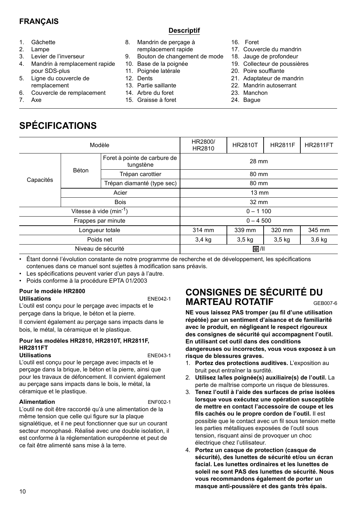## **FRANÇAIS**

**Descriptif**

- 1. Gâchette
- 2. Lampe
- 3. Levier de l'inverseur
- 4. Mandrin à remplacement rapide pour SDS-plus
- 5. Ligne du couvercle de remplacement
- 6. Couvercle de remplacement
- 7. Axe

# **SPÉCIFICATIONS**

- 8. Mandrin de perçage à remplacement rapide
- 9. Bouton de changement de mode
- 10. Base de la poignée
- 11. Poignée latérale
- 12. Dents
- 13. Partie saillante
- 14. Arbre du foret
- 15. Graisse à foret
- 16. Foret
- 17. Couvercle du mandrin
- 18. Jauge de profondeur
- 19. Collecteur de poussières
- 20. Poire soufflante
- 21. Adaptateur de mandrin
- 22. Mandrin autoserrant
- 23. Manchon
- 24. Bague

|                    | Modèle             |                                                              | HR2800/<br>HR2810 | <b>HR2810T</b> | <b>HR2811F</b> | <b>HR2811FT</b> |  |
|--------------------|--------------------|--------------------------------------------------------------|-------------------|----------------|----------------|-----------------|--|
|                    |                    | Foret à pointe de carbure de<br>tungstène                    | 28 mm             |                |                |                 |  |
|                    | Béton              | Trépan carottier                                             | 80 mm             |                |                |                 |  |
| Capacités          |                    | Trépan diamanté (type sec)                                   | 80 mm             |                |                |                 |  |
|                    | Acier              |                                                              | $13 \text{ mm}$   |                |                |                 |  |
|                    | <b>Bois</b>        |                                                              | $32 \text{ mm}$   |                |                |                 |  |
|                    |                    | Vitesse à vide $(min^{-1})$                                  | $0 - 1100$        |                |                |                 |  |
|                    | Frappes par minute |                                                              | $0 - 4500$        |                |                |                 |  |
|                    | Lonqueur totale    |                                                              | 314 mm            | 339 mm         | 320 mm         | 345 mm          |  |
| Poids net          |                    | 3,6 kg<br>$3,4$ kg<br>3.5 <sub>kq</sub><br>3.5 <sub>kg</sub> |                   |                |                |                 |  |
| Niveau de sécurité |                    |                                                              | 回川                |                |                |                 |  |
|                    |                    |                                                              |                   |                |                |                 |  |

• Étant donné l'évolution constante de notre programme de recherche et de développement, les spécifications contenues dans ce manuel sont sujettes à modification sans préavis.

- Les spécifications peuvent varier d'un pays à l'autre.
- Poids conforme à la procédure EPTA 01/2003

### **Pour le modèle HR2800**

### **Utilisations** ENE042-1

L'outil est conçu pour le perçage avec impacts et le perçage dans la brique, le béton et la pierre.

Il convient également au perçage sans impacts dans le bois, le métal, la céramique et le plastique.

#### **Pour les modèles HR2810, HR2810T, HR2811F, HR2811FT Utilisations** ENE043-1

L'outil est conçu pour le perçage avec impacts et le perçage dans la brique, le béton et la pierre, ainsi que pour les travaux de défoncement. Il convient également au perçage sans impacts dans le bois, le métal, la céramique et le plastique.

### **Alimentation** ENF002-1

L'outil ne doit être raccordé qu'à une alimentation de la même tension que celle qui figure sur la plaque signalétique, et il ne peut fonctionner que sur un courant secteur monophasé. Réalisé avec une double isolation, il est conforme à la réglementation européenne et peut de ce fait être alimenté sans mise à la terre.

# **CONSIGNES DE SÉCURITÉ DU MARTEAU ROTATIF** GEB007-6

**NE vous laissez PAS tromper (au fil d'une utilisation répétée) par un sentiment d'aisance et de familiarité avec le produit, en négligeant le respect rigoureux des consignes de sécurité qui accompagnent l'outil. En utilisant cet outil dans des conditions dangereuses ou incorrectes, vous vous exposez à un risque de blessures graves.** 

- 1. **Portez des protections auditives.** L'exposition au bruit peut entraîner la surdité.
- 2. **Utilisez la/les poignée(s) auxiliaire(s) de l'outil.** La perte de maîtrise comporte un risque de blessures.
- 3. **Tenez l'outil à l'aide des surfaces de prise isolées lorsque vous exécutez une opération susceptible de mettre en contact l'accessoire de coupe et les fils cachés ou le propre cordon de l'outil.** Il est possible que le contact avec un fil sous tension mette les parties métalliques exposées de l'outil sous tension, risquant ainsi de provoquer un choc électrique chez l'utilisateur.
- 4. **Portez un casque de protection (casque de sécurité), des lunettes de sécurité et/ou un écran facial. Les lunettes ordinaires et les lunettes de soleil ne sont PAS des lunettes de sécurité. Nous vous recommandons également de porter un masque anti-poussière et des gants très épais.**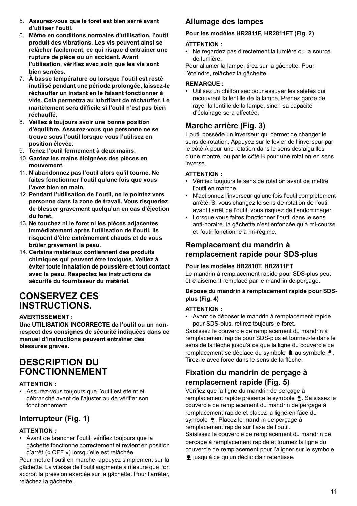- 5. **Assurez-vous que le foret est bien serré avant d'utiliser l'outil.**
- 6. **Même en conditions normales d'utilisation, l'outil produit des vibrations. Les vis peuvent ainsi se relâcher facilement, ce qui risque d'entraîner une rupture de pièce ou un accident. Avant l'utilisation, vérifiez avec soin que les vis sont bien serrées.**
- 7. **À basse température ou lorsque l'outil est resté inutilisé pendant une période prolongée, laissez-le réchauffer un instant en le faisant fonctionner à vide. Cela permettra au lubrifiant de réchauffer. Le martèlement sera difficile si l'outil n'est pas bien réchauffé.**
- 8. **Veillez à toujours avoir une bonne position d'équilibre. Assurez-vous que personne ne se trouve sous l'outil lorsque vous l'utilisez en position élevée.**
- 9. **Tenez l'outil fermement à deux mains.**
- 10. **Gardez les mains éloignées des pièces en mouvement.**
- 11. **N'abandonnez pas l'outil alors qu'il tourne. Ne faites fonctionner l'outil qu'une fois que vous l'avez bien en main.**
- 12. **Pendant l'utilisation de l'outil, ne le pointez vers personne dans la zone de travail. Vous risqueriez de blesser gravement quelqu'un en cas d'éjection du foret.**
- 13. **Ne touchez ni le foret ni les pièces adjacentes immédiatement après l'utilisation de l'outil. Ils risquent d'être extrêmement chauds et de vous brûler gravement la peau.**
- 14. **Certains matériaux contiennent des produits chimiques qui peuvent être toxiques. Veillez à éviter toute inhalation de poussière et tout contact avec la peau. Respectez les instructions de sécurité du fournisseur du matériel.**

# **CONSERVEZ CES INSTRUCTIONS.**

### **AVERTISSEMENT :**

**Une UTILISATION INCORRECTE de l'outil ou un nonrespect des consignes de sécurité indiquées dans ce manuel d'instructions peuvent entraîner des blessures graves.**

# **DESCRIPTION DU FONCTIONNEMENT**

### **ATTENTION :**

• Assurez-vous toujours que l'outil est éteint et débranché avant de l'ajuster ou de vérifier son fonctionnement.

# **Interrupteur (Fig. 1)**

### **ATTENTION :**

• Avant de brancher l'outil, vérifiez toujours que la gâchette fonctionne correctement et revient en position d'arrêt (« OFF ») lorsqu'elle est relâchée.

Pour mettre l'outil en marche, appuyez simplement sur la gâchette. La vitesse de l'outil augmente à mesure que l'on accroît la pression exercée sur la gâchette. Pour l'arrêter, relâchez la gâchette.

# **Allumage des lampes**

### **Pour les modèles HR2811F, HR2811FT (Fig. 2)**

### **ATTENTION :**

• Ne regardez pas directement la lumière ou la source de lumière.

Pour allumer la lampe, tirez sur la gâchette. Pour l'éteindre, relâchez la gâchette.

### **REMARQUE :**

• Utilisez un chiffon sec pour essuyer les saletés qui recouvrent la lentille de la lampe. Prenez garde de rayer la lentille de la lampe, sinon sa capacité d'éclairage sera affectée.

# **Marche arrière (Fig. 3)**

L'outil possède un inverseur qui permet de changer le sens de rotation. Appuyez sur le levier de l'inverseur par le côté A pour une rotation dans le sens des aiguilles d'une montre, ou par le côté B pour une rotation en sens inverse.

### **ATTENTION :**

- Vérifiez toujours le sens de rotation avant de mettre l'outil en marche.
- N'actionnez l'inverseur qu'une fois l'outil complètement arrêté. Si vous changez le sens de rotation de l'outil avant l'arrêt de l'outil, vous risquez de l'endommager.
- Lorsque vous faites fonctionner l'outil dans le sens anti-horaire, la gâchette n'est enfoncée qu'à mi-course et l'outil fonctionne à mi-régime.

# **Remplacement du mandrin à remplacement rapide pour SDS-plus**

### **Pour les modèles HR2810T, HR2811FT**

Le mandrin à remplacement rapide pour SDS-plus peut être aisément remplacé par le mandrin de perçage.

### **Dépose du mandrin à remplacement rapide pour SDSplus (Fig. 4)**

### **ATTENTION :**

• Avant de déposer le mandrin à remplacement rapide pour SDS-plus, retirez toujours le foret.

Saisissez le couvercle de remplacement du mandrin à remplacement rapide pour SDS-plus et tournez-le dans le sens de la flèche jusqu'à ce que la ligne du couvercle de remplacement se déplace du symbole  $\triangle$  au symbole  $\triangle$ . Tirez-le avec force dans le sens de la flèche.

# **Fixation du mandrin de perçage à remplacement rapide (Fig. 5)**

Vérifiez que la ligne du mandrin de perçage à remplacement rapide présente le symbole  $\triangle$ . Saisissez le couvercle de remplacement du mandrin de perçage à remplacement rapide et placez la ligne en face du symbole  $\triangle$ . Placez le mandrin de percage à remplacement rapide sur l'axe de l'outil. Saisissez le couvercle de remplacement du mandrin de

perçage à remplacement rapide et tournez la ligne du couvercle de remplacement pour l'aligner sur le symbole usqu'à ce qu'un déclic clair retentisse.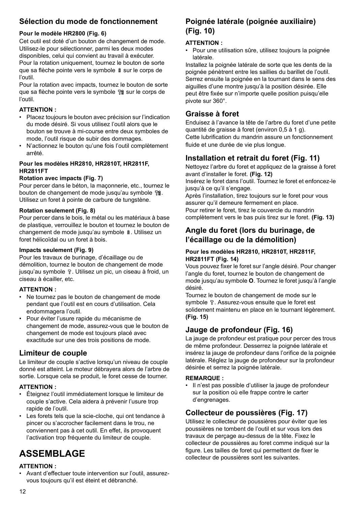# **Sélection du mode de fonctionnement**

## **Pour le modèle HR2800 (Fig. 6)**

Cet outil est doté d'un bouton de changement de mode. Utilisez-le pour sélectionner, parmi les deux modes disponibles, celui qui convient au travail à exécuter. Pour la rotation uniquement, tournez le bouton de sorte que sa flèche pointe vers le symbole § sur le corps de l'outil.

Pour la rotation avec impacts, tournez le bouton de sorte que sa flèche pointe vers le symbole f sur le corps de l'outil.

## **ATTENTION :**

- Placez toujours le bouton avec précision sur l'indication du mode désiré. Si vous utilisez l'outil alors que le bouton se trouve à mi-course entre deux symboles de mode, l'outil risque de subir des dommages.
- N'actionnez le bouton qu'une fois l'outil complètement arrêté.

### **Pour les modèles HR2810, HR2810T, HR2811F, HR2811FT**

### **Rotation avec impacts (Fig. 7)**

Pour percer dans le béton, la maçonnerie, etc., tournez le bouton de changement de mode jusqu'au symbole  $\mathbb{T}$ 8. Utilisez un foret à pointe de carbure de tungstène.

### **Rotation seulement (Fig. 8)**

Pour percer dans le bois, le métal ou les matériaux à base de plastique, verrouillez le bouton et tournez le bouton de changement de mode jusqu'au symbole  $\hat{a}$ . Utilisez un foret hélicoïdal ou un foret à bois.

### **Impacts seulement (Fig. 9)**

Pour les travaux de burinage, d'écaillage ou de démolition, tournez le bouton de changement de mode jusqu'au symbole  $\mathbb T$ . Utilisez un pic, un ciseau à froid, un ciseau à écailler, etc.

## **ATTENTION :**

- Ne tournez pas le bouton de changement de mode pendant que l'outil est en cours d'utilisation. Cela endommagera l'outil.
- Pour éviter l'usure rapide du mécanisme de changement de mode, assurez-vous que le bouton de changement de mode est toujours placé avec exactitude sur une des trois positions de mode.

# **Limiteur de couple**

Le limiteur de couple s'active lorsqu'un niveau de couple donné est atteint. Le moteur débrayera alors de l'arbre de sortie. Lorsque cela se produit, le foret cesse de tourner.

## **ATTENTION :**

- Éteignez l'outil immédiatement lorsque le limiteur de couple s'active. Cela aidera à prévenir l'usure trop rapide de l'outil.
- Les forets tels que la scie-cloche, qui ont tendance à pincer ou s'accrocher facilement dans le trou, ne conviennent pas à cet outil. En effet, ils provoquent l'activation trop fréquente du limiteur de couple.

# **ASSEMBLAGE**

### **ATTENTION :**

• Avant d'effectuer toute intervention sur l'outil, assurezvous toujours qu'il est éteint et débranché.

# **Poignée latérale (poignée auxiliaire) (Fig. 10)**

### **ATTENTION :**

• Pour une utilisation sûre, utilisez toujours la poignée latérale.

Installez la poignée latérale de sorte que les dents de la poignée pénètrent entre les saillies du barillet de l'outil. Serrez ensuite la poignée en la tournant dans le sens des aiguilles d'une montre jusqu'à la position désirée. Elle peut être fixée sur n'importe quelle position puisqu'elle pivote sur 360°.

# **Graisse à foret**

Enduisez à l'avance la tête de l'arbre du foret d'une petite quantité de graisse à foret (environ 0,5 à 1 g). Cette lubrification du mandrin assure un fonctionnement fluide et une durée de vie plus longue.

# **Installation et retrait du foret (Fig. 11)**

Nettoyez l'arbre du foret et appliquez de la graisse à foret avant d'installer le foret. **(Fig. 12)** Insérez le foret dans l'outil. Tournez le foret et enfoncez-le jusqu'à ce qu'il s'engage.

Après l'installation, tirez toujours sur le foret pour vous assurer qu'il demeure fermement en place. Pour retirer le foret, tirez le couvercle du mandrin complètement vers le bas puis tirez sur le foret. **(Fig. 13)**

# **Angle du foret (lors du burinage, de l'écaillage ou de la démolition)**

### **Pour les modèles HR2810, HR2810T, HR2811F, HR2811FT (Fig. 14)**

Vous pouvez fixer le foret sur l'angle désiré. Pour changer l'angle du foret, tournez le bouton de changement de mode jusqu'au symbole **O**. Tournez le foret jusqu'à l'angle désiré.

Tournez le bouton de changement de mode sur le symbole  $T$ . Assurez-vous ensuite que le foret est solidement maintenu en place en le tournant légèrement. **(Fig. 15)**

# **Jauge de profondeur (Fig. 16)**

La jauge de profondeur est pratique pour percer des trous de même profondeur. Desserrez la poignée latérale et insérez la jauge de profondeur dans l'orifice de la poignée latérale. Réglez la jauge de profondeur sur la profondeur désirée et serrez la poignée latérale.

## **REMARQUE :**

• Il n'est pas possible d'utiliser la jauge de profondeur sur la position où elle frappe contre le carter d'engrenages.

# **Collecteur de poussières (Fig. 17)**

Utilisez le collecteur de poussières pour éviter que les poussières ne tombent de l'outil et sur vous lors des travaux de perçage au-dessus de la tête. Fixez le collecteur de poussières au foret comme indiqué sur la figure. Les tailles de foret qui permettent de fixer le collecteur de poussières sont les suivantes.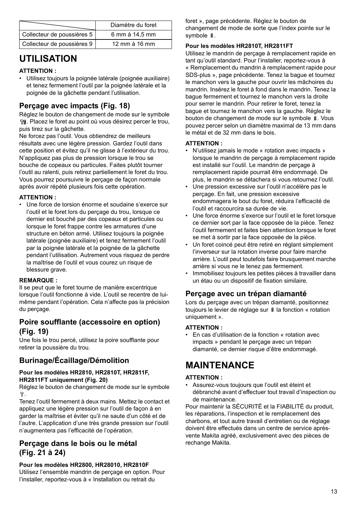|                            | Diamètre du foret |
|----------------------------|-------------------|
| Collecteur de poussières 5 | 6 mm à 14.5 mm    |
| Collecteur de poussières 9 | 12 mm à 16 mm     |

# **UTILISATION**

### **ATTENTION :**

• Utilisez toujours la poignée latérale (poignée auxiliaire) et tenez fermement l'outil par la poignée latérale et la poignée de la gâchette pendant l'utilisation.

# **Perçage avec impacts (Fig. 18)**

Réglez le bouton de changement de mode sur le symbole . Placez le foret au point où vous désirez percer le trou, puis tirez sur la gâchette.

Ne forcez pas l'outil. Vous obtiendrez de meilleurs résultats avec une légère pression. Gardez l'outil dans cette position et évitez qu'il ne glisse à l'extérieur du trou. N'appliquez pas plus de pression lorsque le trou se bouche de copeaux ou particules. Faites plutôt tourner l'outil au ralenti, puis retirez partiellement le foret du trou. Vous pourrez poursuivre le perçage de façon normale après avoir répété plusieurs fois cette opération.

### **ATTENTION :**

• Une force de torsion énorme et soudaine s'exerce sur l'outil et le foret lors du percage du trou, lorsque ce dernier est bouché par des copeaux et particules ou lorsque le foret frappe contre les armatures d'une structure en béton armé. Utilisez toujours la poignée latérale (poignée auxiliaire) et tenez fermement l'outil par la poignée latérale et la poignée de la gâchette pendant l'utilisation. Autrement vous risquez de perdre la maîtrise de l'outil et vous courez un risque de blessure grave.

### **REMARQUE :**

Il se peut que le foret tourne de manière excentrique lorsque l'outil fonctionne à vide. L'outil se recentre de luimême pendant l'opération. Cela n'affecte pas la précision du perçage.

## **Poire soufflante (accessoire en option) (Fig. 19)**

Une fois le trou percé, utilisez la poire soufflante pour retirer la poussière du trou.

# **Burinage/Écaillage/Démolition**

### **Pour les modèles HR2810, HR2810T, HR2811F, HR2811FT uniquement (Fig. 20)**

Réglez le bouton de changement de mode sur le symbole .

Tenez l'outil fermement à deux mains. Mettez le contact et appliquez une légère pression sur l'outil de façon à en garder la maîtrise et éviter qu'il ne saute d'un côté et de l'autre. L'application d'une très grande pression sur l'outil n'augmentera pas l'efficacité de l'opération.

### **Perçage dans le bois ou le métal (Fig. 21 à 24)**

**Pour les modèles HR2800, HR28010, HR2810F**  Utilisez l'ensemble mandrin de perçage en option. Pour l'installer, reportez-vous à « Installation ou retrait du

foret », page précédente. Réglez le bouton de changement de mode de sorte que l'index pointe sur le symbole  $\frac{8}{3}$ .

### **Pour les modèles HR2810T, HR2811FT**

Utilisez le mandrin de perçage à remplacement rapide en tant qu'outil standard. Pour l'installer, reportez-vous à « Remplacement du mandrin à remplacement rapide pour SDS-plus », page précédente. Tenez la bague et tournez le manchon vers la gauche pour ouvrir les mâchoires du mandrin. Insérez le foret à fond dans le mandrin. Tenez la bague fermement et tournez le manchon vers la droite pour serrer le mandrin. Pour retirer le foret, tenez la bague et tournez le manchon vers la gauche. Réglez le bouton de changement de mode sur le symbole  $\frac{8}{3}$ . Vous pouvez percer selon un diamètre maximal de 13 mm dans le métal et de 32 mm dans le bois.

### **ATTENTION :**

- N'utilisez jamais le mode « rotation avec impacts » lorsque le mandrin de perçage à remplacement rapide est installé sur l'outil. Le mandrin de perçage à remplacement rapide pourrait être endommagé. De plus, le mandrin se détachera si vous retournez l'outil.
- Une pression excessive sur l'outil n'accélère pas le perçage. En fait, une pression excessive endommagera le bout du foret, réduira l'efficacité de l'outil et raccourcira sa durée de vie.
- Une force énorme s'exerce sur l'outil et le foret lorsque ce dernier sort par la face opposée de la pièce. Tenez l'outil fermement et faites bien attention lorsque le foret se met à sortir par la face opposée de la pièce.
- Un foret coincé peut être retiré en réglant simplement l'inverseur sur la rotation inverse pour faire marche arrière. L'outil peut toutefois faire brusquement marche arrière si vous ne le tenez pas fermement.
- Immobilisez toujours les petites pièces à travailler dans un étau ou un dispositif de fixation similaire.

## **Perçage avec un trépan diamanté**

Lors du perçage avec un trépan diamanté, positionnez toujours le levier de réglage sur  $\frac{8}{3}$  la fonction « rotation uniquement ».

### **ATTENTION :**

• En cas d'utilisation de la fonction « rotation avec impacts » pendant le perçage avec un trépan diamanté, ce dernier risque d'être endommagé.

# **MAINTENANCE**

### **ATTENTION :**

• Assurez-vous toujours que l'outil est éteint et débranché avant d'effectuer tout travail d'inspection ou de maintenance.

Pour maintenir la SÉCURITÉ et la FIABILITÉ du produit, les réparations, l'inspection et le remplacement des charbons, et tout autre travail d'entretien ou de réglage doivent être effectués dans un centre de service aprèsvente Makita agréé, exclusivement avec des pièces de rechange Makita.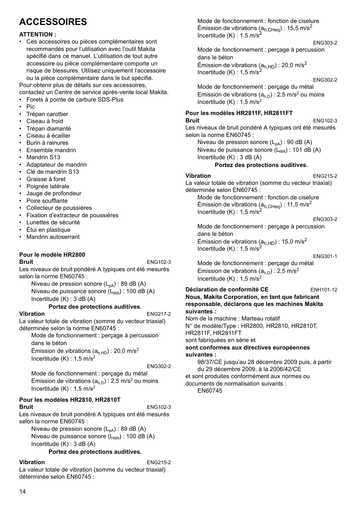# **ACCESSOIRES**

### **ATTENTION :**

• Ces accessoires ou pièces complémentaires sont recommandés pour l'utilisation avec l'outil Makita spécifié dans ce manuel. L'utilisation de tout autre accessoire ou pièce complémentaire comporte un risque de blessures. Utilisez uniquement l'accessoire ou la pièce complémentaire dans le but spécifié.

Pour obtenir plus de détails sur ces accessoires, contactez un Centre de service après-vente local Makita.

- Forets à pointe de carbure SDS-Plus
- Pic
- Trépan carottier
- Ciseau à froid
- Trépan diamanté
- Ciseau à écailler
- Burin à rainures
- Ensemble mandrin
- Mandrin S13
- Adaptateur de mandrin
- Clé de mandrin S13
- Graisse à foret
- Poignée latérale
- Jauge de profondeur
- Poire soufflante
- Collecteur de poussières
- Fixation d'extracteur de poussières
- Lunettes de sécurité
- Étui en plastique
- Mandrin autoserrant

#### **Pour le modèle HR2800 Bruit** ENG102-3

Les niveaux de bruit pondéré A typiques ont été mesurés selon la norme EN60745 :

Niveau de pression sonore  $(L_{pA})$ : 89 dB (A) Niveau de puissance sonore  $(L_{WA})$ : 100 dB  $(A)$ 

Incertitude (K) : 3 dB (A)

### **Portez des protections auditives.**

**Vibration** ENG217-2

La valeur totale de vibration (somme du vecteur triaxial) déterminée selon la norme EN60745 :

Mode de fonctionnement : perçage à percussion dans le béton

Émission de vibrations ( $a<sub>h,HD</sub>$ ) : 20,0 m/s<sup>2</sup> Incertitude  $(K)$  : 1,5 m/s<sup>2</sup>

ENG302-2

Mode de fonctionnement : perçage du métal Emission de vibrations  $(a<sub>h,D</sub>)$  : 2,5 m/s<sup>2</sup> ou moins Incertitude  $(K)$  : 1,5 m/s<sup>2</sup>

### **Pour les modèles HR2810, HR2810T Bruit** ENG102-3

Les niveaux de bruit pondéré A typiques ont été mesurés selon la norme EN60745 :

Niveau de pression sonore  $(L_{pA})$  : 89 dB (A) Niveau de puissance sonore  $(L_{WA})$ : 100 dB (A) Incertitude (K) : 3 dB (A)

### **Portez des protections auditives.**

**Vibration** ENG215-2 La valeur totale de vibration (somme du vecteur triaxial) déterminée selon EN60745 :

Mode de fonctionnement : fonction de ciselure Émission de vibrations ( $a_{h,CHea}$ ) : 15,5 m/s<sup>2</sup> Incertitude  $(K)$  : 1,5 m/s<sup>2</sup>

### ENG303-2

Mode de fonctionnement : perçage à percussion dans le béton Émission de vibrations  $(a_{h,HD})$  : 20,0 m/s<sup>2</sup> Incertitude  $(K)$  : 1,5 m/s<sup>2</sup>

#### ENG302-2

Mode de fonctionnement : perçage du métal Emission de vibrations  $(a<sub>h,D</sub>)$  : 2,5 m/s<sup>2</sup> ou moins Incertitude  $(K)$  : 1.5 m/s<sup>2</sup>

### **Pour les modèles HR2811F, HR2811FT Bruit** ENG102-3

Les niveaux de bruit pondéré A typiques ont été mesurés selon la norme EN60745 :

Niveau de pression sonore  $(L_{pA})$  : 90 dB (A)

Niveau de puissance sonore  $(L_{WA})$ : 101 dB (A) Incertitude (K) : 3 dB (A)

#### **Portez des protections auditives.**

### **Vibration** ENG215-2

La valeur totale de vibration (somme du vecteur triaxial) déterminée selon EN60745 :

Mode de fonctionnement : fonction de ciselure Émission de vibrations ( $a_{h,CHea}$ ) : 11,5 m/s<sup>2</sup> Incertitude  $(K)$  : 1,5 m/s<sup>2</sup>

ENG303-2

Mode de fonctionnement : perçage à percussion dans le béton Émission de vibrations ( $a<sub>h.HD</sub>$ ) : 15,0 m/s<sup>2</sup> Incertitude  $(K)$  : 1,5 m/s<sup>2</sup>

#### ENG301-1

Mode de fonctionnement : perçage du métal Emission de vibrations  $(a<sub>h,D</sub>)$  : 2,5 m/s<sup>2</sup> Incertitude  $(K)$  : 1.5 m/s<sup>2</sup>

#### Déclaration de conformité CE ENH101-12 **Nous, Makita Corporation, en tant que fabricant responsable, déclarons que les machines Makita suivantes :**

Nom de la machine : Marteau rotatif N° de modèle/Type : HR2800, HR2810, HR2810T, HR2811F, HR2811FT sont fabriquées en série et

#### **sont conformes aux directives européennes suivantes :**

98/37/CE jusqu'au 28 décembre 2009 puis, à partir du 29 décembre 2009, à la 2006/42/CE et sont produites conformément aux normes ou documents de normalisation suivants :

EN60745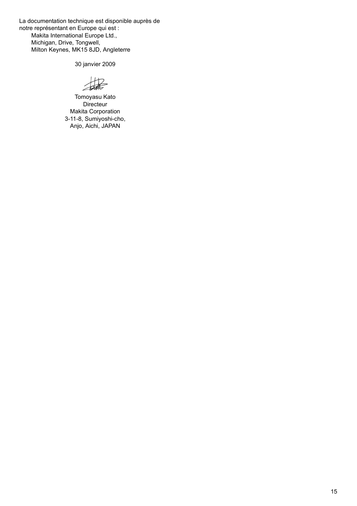La documentation technique est disponible auprès de notre représentant en Europe qui est : Makita International Europe Ltd., Michigan, Drive, Tongwell, Milton Keynes, MK15 8JD, Angleterre

30 janvier 2009

 $H2$ 

Tomoyasu Kato **Directeur** Makita Corporation 3-11-8, Sumiyoshi-cho, Anjo, Aichi, JAPAN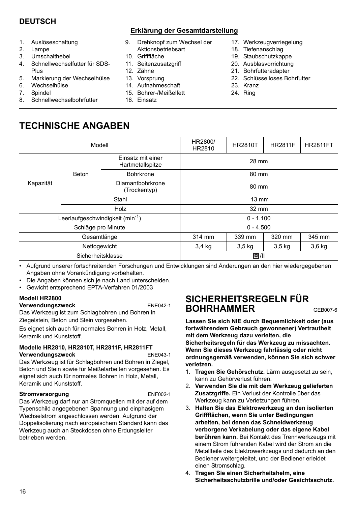# **DEUTSCH**

- 1. Auslöseschaltung
- 2. Lampe
- 3. Umschalthebel
- 4. Schnellwechselfutter für SDS-Plus
- 5. Markierung der Wechselhülse
- 6. Wechselhülse
- 7. Spindel
- 8. Schnellwechselbohrfutter

### **Erklärung der Gesamtdarstellung**

- 9. Drehknopf zum Wechsel der Aktionsbetriebsart
- 10. Grifffläche
- 11. Seitenzusatzgriff
- 12. Zähne
- 13. Vorsprung
- 14. Aufnahmeschaft
- 15. Bohrer-/Meißelfett
- 16. Einsatz
- 17. Werkzeugverriegelung
- 18. Tiefenanschlag
- 19. Staubschutzkappe
- 20. Ausblasvorrichtung
- 21. Bohrfutteradapter
- 22. Schlüsselloses Bohrfutter
- 23. Kranz
- 24. Ring

# **TECHNISCHE ANGABEN**

|           | Modell                                       |                                  | HR2800/<br>HR2810 | <b>HR2810T</b> | <b>HR2811F</b>    | <b>HR2811FT</b> |  |
|-----------|----------------------------------------------|----------------------------------|-------------------|----------------|-------------------|-----------------|--|
|           | Einsatz mit einer<br>Hartmetallspitze        |                                  | 28 mm             |                |                   |                 |  |
|           | Beton                                        | <b>Bohrkrone</b>                 | 80 mm             |                |                   |                 |  |
| Kapazität |                                              | Diamantbohrkrone<br>(Trockentyp) | 80 mm             |                |                   |                 |  |
|           | Stahl                                        |                                  | $13 \text{ mm}$   |                |                   |                 |  |
|           | Holz                                         |                                  | 32 mm             |                |                   |                 |  |
|           | Leerlaufgeschwindigkeit (min <sup>-1</sup> ) |                                  | $0 - 1.100$       |                |                   |                 |  |
|           | Schläge pro Minute                           |                                  | $0 - 4.500$       |                |                   |                 |  |
|           | Gesamtlänge                                  |                                  | 314 mm            | 339 mm         | 320 mm            | 345 mm          |  |
|           | Nettogewicht                                 |                                  | 3,4 kg            | $3,5$ kg       | 3.5 <sub>kq</sub> | $3,6$ kg        |  |
|           | Sicherheitsklasse                            |                                  |                   | 回川             |                   |                 |  |

• Aufgrund unserer fortschreitenden Forschungen und Entwicklungen sind Änderungen an den hier wiedergegebenen Angaben ohne Vorankündigung vorbehalten.

- Die Angaben können sich je nach Land unterscheiden.
- Gewicht entsprechend EPTA-Verfahren 01/2003

## **Modell HR2800**

**Verwendungszweck** ENE042-1

Das Werkzeug ist zum Schlagbohren und Bohren in Ziegelstein, Beton und Stein vorgesehen.

Es eignet sich auch für normales Bohren in Holz, Metall, Keramik und Kunststoff.

### **Modelle HR2810, HR2810T, HR2811F, HR2811FT Verwendungszweck** ENE043-1

Das Werkzeug ist für Schlagbohren und Bohren in Ziegel, Beton und Stein sowie für Meißelarbeiten vorgesehen. Es eignet sich auch für normales Bohren in Holz, Metall, Keramik und Kunststoff.

### **Stromversorgung** ENF002-1

Das Werkzeug darf nur an Stromquellen mit der auf dem Typenschild angegebenen Spannung und einphasigem Wechselstrom angeschlossen werden. Aufgrund der Doppelisolierung nach europäischem Standard kann das Werkzeug auch an Steckdosen ohne Erdungsleiter betrieben werden.

# **SICHERHEITSREGELN FÜR BOHRHAMMER** GEB007-6

**Lassen Sie sich NIE durch Bequemlichkeit oder (aus fortwährendem Gebrauch gewonnener) Vertrautheit mit dem Werkzeug dazu verleiten, die Sicherheitsregeln für das Werkzeug zu missachten. Wenn Sie dieses Werkzeug fahrlässig oder nicht ordnungsgemäß verwenden, können Sie sich schwer verletzen.** 

- 1. **Tragen Sie Gehörschutz.** Lärm ausgesetzt zu sein, kann zu Gehörverlust führen.
- 2. **Verwenden Sie die mit dem Werkzeug gelieferten Zusatzgriffe.** Ein Verlust der Kontrolle über das Werkzeug kann zu Verletzungen führen.
- 3. **Halten Sie das Elektrowerkzeug an den isolierten Griffflächen, wenn Sie unter Bedingungen arbeiten, bei denen das Schneidwerkzeug verborgene Verkabelung oder das eigene Kabel berühren kann.** Bei Kontakt des Trennwerkzeugs mit einem Strom führenden Kabel wird der Strom an die Metallteile des Elektrowerkzeugs und dadurch an den Bediener weitergeleitet, und der Bediener erleidet einen Stromschlag.
- 4. **Tragen Sie einen Sicherheitshelm, eine Sicherheitsschutzbrille und/oder Gesichtsschutz.**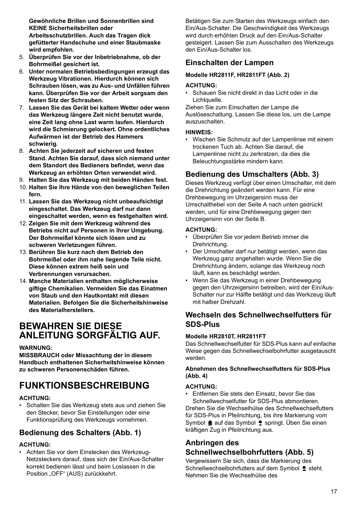**Gewöhnliche Brillen und Sonnenbrillen sind KEINE Sicherheitsbrillen oder Arbeitsschutzbrillen. Auch das Tragen dick gefütterter Handschuhe und einer Staubmaske wird empfohlen.** 

- 5. **Überprüfen Sie vor der Inbetriebnahme, ob der Bohrmeißel gesichert ist.**
- 6. **Unter normalen Betriebsbedingungen erzeugt das Werkzeug Vibrationen. Hierdurch können sich Schrauben lösen, was zu Aus- und Unfällen führen kann. Überprüfen Sie vor der Arbeit sorgsam den festen Sitz der Schrauben.**
- 7. **Lassen Sie das Gerät bei kaltem Wetter oder wenn das Werkzeug längere Zeit nicht benutzt wurde, eine Zeit lang ohne Last warm laufen. Hierdurch wird die Schmierung gelockert. Ohne ordentliches Aufwärmen ist der Betrieb des Hammers schwierig.**
- 8. **Achten Sie jederzeit auf sicheren und festen Stand. Achten Sie darauf, dass sich niemand unter dem Standort des Bedieners befindet, wenn das Werkzeug an erhöhten Orten verwendet wird.**
- 9. **Halten Sie das Werkzeug mit beiden Händen fest.**
- 10. **Halten Sie Ihre Hände von den beweglichen Teilen fern.**
- 11. **Lassen Sie das Werkzeug nicht unbeaufsichtigt eingeschaltet. Das Werkzeug darf nur dann eingeschaltet werden, wenn es festgehalten wird.**
- 12. **Zeigen Sie mit dem Werkzeug während des Betriebs nicht auf Personen in Ihrer Umgebung. Der Bohrmeißel könnte sich lösen und zu schweren Verletzungen führen.**
- 13. **Berühren Sie kurz nach dem Betrieb den Bohrmeißel oder ihm nahe liegende Teile nicht. Diese können extrem heiß sein und Verbrennungen verursachen.**
- 14. **Manche Materialien enthalten möglicherweise giftige Chemikalien. Vermeiden Sie das Einatmen von Staub und den Hautkontakt mit diesen Materialien. Befolgen Sie die Sicherheitshinweise des Materialherstellers.**

# **BEWAHREN SIE DIESE ANLEITUNG SORGFÄLTIG AUF.**

### **WARNUNG:**

**MISSBRAUCH oder Missachtung der in diesem Handbuch enthaltenen Sicherheitshinweise können zu schweren Personenschäden führen.**

# **FUNKTIONSBESCHREIBUNG**

### **ACHTUNG:**

• Schalten Sie das Werkzeug stets aus und ziehen Sie den Stecker, bevor Sie Einstellungen oder eine Funktionsprüfung des Werkzeugs vornehmen.

# **Bedienung des Schalters (Abb. 1)**

### **ACHTUNG:**

• Achten Sie vor dem Einstecken des Werkzeug-Netzsteckers darauf, dass sich der Ein/Aus-Schalter korrekt bedienen lässt und beim Loslassen in die Position "OFF" (AUS) zurückkehrt.

Betätigen Sie zum Starten des Werkzeugs einfach den Ein/Aus-Schalter. Die Geschwindigkeit des Werkzeugs wird durch erhöhten Druck auf den Ein/Aus-Schalter gesteigert. Lassen Sie zum Ausschalten des Werkzeugs den Ein/Aus-Schalter los.

# **Einschalten der Lampen**

### **Modelle HR2811F, HR2811FT (Abb. 2)**

### **ACHTUNG:**

• Schauen Sie nicht direkt in das Licht oder in die Lichtquelle.

Ziehen Sie zum Einschalten der Lampe die Auslöseschaltung. Lassen Sie diese los, um die Lampe auszuschalten.

### **HINWEIS:**

• Wischen Sie Schmutz auf der Lampenlinse mit einem trockenen Tuch ab. Achten Sie darauf, die Lampenlinse nicht zu zerkratzen, da dies die Beleuchtungsstärke mindern kann.

# **Bedienung des Umschalters (Abb. 3)**

Dieses Werkzeug verfügt über einen Umschalter, mit dem die Drehrichtung geändert werden kann. Für eine Drehbewegung im Uhrzeigersinn muss der Umschalthebel von der Seite A nach unten gedrückt werden, und für eine Drehbewegung gegen den Uhrzeigersinn von der Seite B.

### **ACHTUNG:**

- Überprüfen Sie vor jedem Betrieb immer die Drehrichtung.
- Der Umschalter darf nur betätigt werden, wenn das Werkzeug ganz angehalten wurde. Wenn Sie die Drehrichtung ändern, solange das Werkzeug noch läuft, kann es beschädigt werden.
- Wenn Sie das Werkzeug in einer Drehbewegung gegen den Uhrzeigersinn betreiben, wird der Ein/Aus-Schalter nur zur Hälfte betätigt und das Werkzeug läuft mit halber Drehzahl.

# **Wechseln des Schnellwechselfutters für SDS-Plus**

### **Modelle HR2810T, HR2811FT**

Das Schnellwechselfutter für SDS-Plus kann auf einfache Weise gegen das Schnellwechselbohrfutter ausgetauscht werden.

### **Abnehmen des Schnellwechselfutters für SDS-Plus (Abb. 4)**

### **ACHTUNG:**

• Entfernen Sie stets den Einsatz, bevor Sie das Schnellwechselfutter für SDS-Plus abmontieren. Drehen Sie die Wechselhülse des Schnellwechselfutters für SDS-Plus in Pfeilrichtung, bis ihre Markierung vom Symbol  $\triangleq$  auf das Symbol  $\triangleq$  springt. Üben Sie einen kräftigen Zug in Pfeilrichtung aus.

# **Anbringen des Schnellwechselbohrfutters (Abb. 5)**

Vergewissern Sie sich, dass die Markierung des Schnellwechselbohrfutters auf dem Symbol  $\triangle$  steht. Nehmen Sie die Wechselhülse des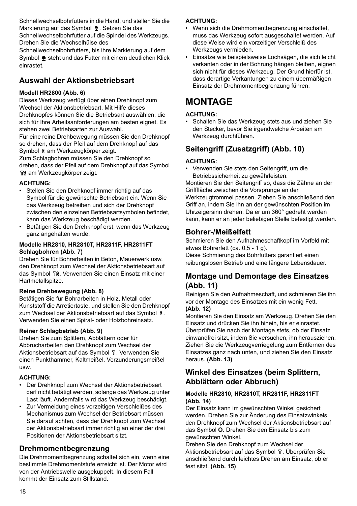Schnellwechselbohrfutters in die Hand, und stellen Sie die Markierung auf das Symbol . Setzen Sie das Schnellwechselbohrfutter auf die Spindel des Werkzeugs.

Drehen Sie die Wechselhülse des Schnellwechselbohrfutters, bis ihre Markierung auf dem

Symbol  $\triangleq$  steht und das Futter mit einem deutlichen Klick einrastet.

# **Auswahl der Aktionsbetriebsart**

### **Modell HR2800 (Abb. 6)**

Dieses Werkzeug verfügt über einen Drehknopf zum Wechsel der Aktionsbetriebsart. Mit Hilfe dieses Drehknopfes können Sie die Betriebsart auswählen, die sich für Ihre Arbeitsanforderungen am besten eignet. Es stehen zwei Betriebsarten zur Auswahl.

Für eine reine Drehbewegung müssen Sie den Drehknopf so drehen, dass der Pfeil auf dem Drehknopf auf das Symbol & am Werkzeugkörper zeigt.

Zum Schlagbohren müssen Sie den Drehknopf so drehen, dass der Pfeil auf dem Drehknopf auf das Symbol am Werkzeugkörper zeigt.

### **ACHTUNG:**

- Stellen Sie den Drehknopf immer richtig auf das Symbol für die gewünschte Betriebsart ein. Wenn Sie das Werkzeug betreiben und sich der Drehknopf zwischen den einzelnen Betriebsartsymbolen befindet, kann das Werkzeug beschädigt werden.
- Betätigen Sie den Drehknopf erst, wenn das Werkzeug ganz angehalten wurde.

### **Modelle HR2810, HR2810T, HR2811F, HR2811FT Schlagbohren (Abb. 7)**

Drehen Sie für Bohrarbeiten in Beton, Mauerwerk usw. den Drehknopf zum Wechsel der Aktionsbetriebsart auf das Symbol fig. Verwenden Sie einen Einsatz mit einer Hartmetallspitze.

### **Reine Drehbewegung (Abb. 8)**

Betätigen Sie für Bohrarbeiten in Holz, Metall oder Kunststoff die Arretiertaste, und stellen Sie den Drehknopf zum Wechsel der Aktionsbetriebsart auf das Symbol @. Verwenden Sie einen Spiral- oder Holzbohreinsatz.

### **Reiner Schlagbetrieb (Abb. 9)**

Drehen Sie zum Splittern, Abblättern oder für Abbrucharbeiten den Drehknopf zum Wechsel der Aktionsbetriebsart auf das Symbol  $\hat{v}$ . Verwenden Sie einen Punkthammer, Kaltmeißel, Verzunderungsmeißel usw.

### **ACHTUNG:**

- Der Drehknopf zum Wechsel der Aktionsbetriebsart darf nicht betätigt werden, solange das Werkzeug unter Last läuft. Andernfalls wird das Werkzeug beschädigt.
- Zur Vermeidung eines vorzeitigen Verschleißes des Mechanismus zum Wechsel der Betriebsart müssen Sie darauf achten, dass der Drehknopf zum Wechsel der Aktionsbetriebsart immer richtig an einer der drei Positionen der Aktionsbetriebsart sitzt.

## **Drehmomentbegrenzung**

Die Drehmomentbegrenzung schaltet sich ein, wenn eine bestimmte Drehmomentstufe erreicht ist. Der Motor wird von der Antriebswelle ausgekuppelt. In diesem Fall kommt der Einsatz zum Stillstand.

### **ACHTUNG:**

- Wenn sich die Drehmomentbegrenzung einschaltet, muss das Werkzeug sofort ausgeschaltet werden. Auf diese Weise wird ein vorzeitiger Verschleiß des Werkzeugs vermieden.
- Einsätze wie beispielsweise Lochsägen, die sich leicht verkanten oder in der Bohrung hängen bleiben, eignen sich nicht für dieses Werkzeug. Der Grund hierfür ist, dass derartige Verkantungen zu einem übermäßigen Einsatz der Drehmomentbegrenzung führen.

# **MONTAGE**

### **ACHTUNG:**

• Schalten Sie das Werkzeug stets aus und ziehen Sie den Stecker, bevor Sie irgendwelche Arbeiten am Werkzeug durchführen.

# **Seitengriff (Zusatzgriff) (Abb. 10)**

### **ACHTUNG:**

• Verwenden Sie stets den Seitengriff, um die Betriebssicherheit zu gewährleisten.

Montieren Sie den Seitengriff so, dass die Zähne an der Grifffläche zwischen die Vorsprünge an der Werkzeugtrommel passen. Ziehen Sie anschließend den Griff an, indem Sie ihn an der gewünschten Position im Uhrzeigersinn drehen. Da er um 360° gedreht werden kann, kann er an jeder beliebigen Stelle befestigt werden.

## **Bohrer-/Meißelfett**

Schmieren Sie den Aufnahmeschaftkopf im Vorfeld mit etwas Bohrerfett (ca. 0,5 - 1 g).

Diese Schmierung des Bohrfutters garantiert einen reibungslosen Betrieb und eine längere Lebensdauer.

## **Montage und Demontage des Einsatzes (Abb. 11)**

Reinigen Sie den Aufnahmeschaft, und schmieren Sie ihn vor der Montage des Einsatzes mit ein wenig Fett. **(Abb. 12)**

Montieren Sie den Einsatz am Werkzeug. Drehen Sie den Einsatz und drücken Sie ihn hinein, bis er einrastet. Überprüfen Sie nach der Montage stets, ob der Einsatz einwandfrei sitzt, indem Sie versuchen, ihn herausziehen. Ziehen Sie die Werkzeugverriegelung zum Entfernen des Einsatzes ganz nach unten, und ziehen Sie den Einsatz heraus. **(Abb. 13)**

# **Winkel des Einsatzes (beim Splittern, Abblättern oder Abbruch)**

### **Modelle HR2810, HR2810T, HR2811F, HR2811FT (Abb. 14)**

Der Einsatz kann im gewünschten Winkel gesichert werden. Drehen Sie zur Änderung des Einsatzwinkels den Drehknopf zum Wechsel der Aktionsbetriebsart auf das Symbol **O**. Drehen Sie den Einsatz bis zum gewünschten Winkel.

Drehen Sie den Drehknopf zum Wechsel der Aktionsbetriebsart auf das Symbol T. Überprüfen Sie anschließend durch leichtes Drehen am Einsatz, ob er fest sitzt. **(Abb. 15)**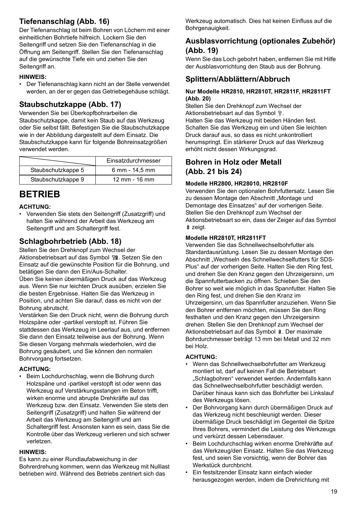# **Tiefenanschlag (Abb. 16)**

Der Tiefenanschlag ist beim Bohren von Löchern mit einer einheitlichen Bohrtiefe hilfreich. Lockern Sie den Seitengriff und setzen Sie den Tiefenanschlag in die Öffnung am Seitengriff. Stellen Sie den Tiefenanschlag auf die gewünschte Tiefe ein und ziehen Sie den Seitengriff an

### **HINWEIS:**

• Der Tiefenanschlag kann nicht an der Stelle verwendet werden, an der er gegen das Getriebegehäuse schlägt.

# **Staubschutzkappe (Abb. 17)**

Verwenden Sie bei Überkopfbohrarbeiten die Staubschutzkappe, damit kein Staub auf das Werkzeug oder Sie selbst fällt. Befestigen Sie die Staubschutzkappe wie in der Abbildung dargestellt auf dem Einsatz. Die Staubschutzkappe kann für folgende Bohreinsatzgrößen verwendet werden.

|                    | Einsatzdurchmesser        |
|--------------------|---------------------------|
| Staubschutzkappe 5 | 6 mm - 14,5 mm            |
| Staubschutzkappe 9 | $12 \, \text{mm}$ - 16 mm |

# **BETRIEB**

### **ACHTUNG:**

• Verwenden Sie stets den Seitengriff (Zusatzgriff) und halten Sie während der Arbeit das Werkzeug am Seitengriff und am Schaltergriff fest.

## **Schlagbohrbetrieb (Abb. 18)**

Stellen Sie den Drehknopf zum Wechsel der Aktionsbetriebsart auf das Symbol få. Setzen Sie den Einsatz auf die gewünschte Position für die Bohrung, und betätigen Sie dann den Ein/Aus-Schalter.

Üben Sie keinen übermäßigen Druck auf das Werkzeug aus. Wenn Sie nur leichten Druck ausüben, erzielen Sie die besten Ergebnisse. Halten Sie das Werkzeug in Position, und achten Sie darauf, dass es nicht von der Bohrung abrutscht.

Verstärken Sie den Druck nicht, wenn die Bohrung durch Holzspäne oder -partikel verstopft ist. Führen Sie stattdessen das Werkzeug im Leerlauf aus, und entfernen Sie dann den Einsatz teilweise aus der Bohrung. Wenn Sie diesen Vorgang mehrmals wiederholen, wird die Bohrung gesäubert, und Sie können den normalen Bohrvorgang fortsetzen.

### **ACHTUNG:**

• Beim Lochdurchschlag, wenn die Bohrung durch Holzspäne und -partikel verstopft ist oder wenn das Werkzeug auf Verstärkungsstangen im Beton trifft, wirken enorme und abrupte Drehkräfte auf das Werkzeug bzw. den Einsatz. Verwenden Sie stets den Seitengriff (Zusatzgriff) und halten Sie während der Arbeit das Werkzeug am Seitengriff und am Schaltergriff fest. Ansonsten kann es sein, dass Sie die Kontrolle über das Werkzeug verlieren und sich schwer verletzen.

### **HINWEIS:**

Es kann zu einer Rundlaufabweichung in der Bohrerdrehung kommen, wenn das Werkzeug mit Nulllast betrieben wird. Während des Betriebs zentriert sich das

Werkzeug automatisch. Dies hat keinen Einfluss auf die Bohrgenauigkeit.

### **Ausblasvorrichtung (optionales Zubehör) (Abb. 19)**

Wenn Sie das Loch gebohrt haben, entfernen Sie mit Hilfe der Ausblasvorrichtung den Staub aus der Bohrung.

## **Splittern/Abblättern/Abbruch**

### **Nur Modelle HR2810, HR2810T, HR2811F, HR2811FT (Abb. 20)**

Stellen Sie den Drehknopf zum Wechsel der Aktionsbetriebsart auf das Symbol  $\Gamma$ . Halten Sie das Werkzeug mit beiden Händen fest. Schalten Sie das Werkzeug ein und üben Sie leichten Druck darauf aus, so dass es nicht unkontrolliert herumspringt. Ein stärkerer Druck auf das Werkzeug erhöht nicht dessen Wirkungsgrad.

### **Bohren in Holz oder Metall (Abb. 21 bis 24)**

### **Modelle HR2800, HR28010, HR2810F**

Verwenden Sie den optionalen Bohrfuttersatz. Lesen Sie zu dessen Montage den Abschnitt "Montage und Demontage des Einsatzes" auf der vorherigen Seite. Stellen Sie den Drehknopf zum Wechsel der Aktionsbetriebsart so ein, dass der Zeiger auf das Symbol zeigt.

### **Modelle HR2810T, HR2811FT**

Verwenden Sie das Schnellwechselbohrfutter als Standardausrüstung. Lesen Sie zu dessen Montage den Abschnitt "Wechseln des Schnellwechselfutters für SDS-Plus" auf der vorherigen Seite. Halten Sie den Ring fest, und drehen Sie den Kranz gegen den Uhrzeigersinn, um die Spannfutterbacken zu öffnen. Schieben Sie den Bohrer so weit wie möglich in das Spannfutter. Halten Sie den Ring fest, und drehen Sie den Kranz im Uhrzeigersinn, um das Spannfutter anzuziehen. Wenn Sie den Bohrer entfernen möchten, müssen Sie den Ring festhalten und den Kranz gegen den Uhrzeigersinn drehen. Stellen Sie den Drehknopf zum Wechsel der Aktionsbetriebsart auf das Symbol @. Der maximale Bohrdurchmesser beträgt 13 mm bei Metall und 32 mm bei Holz.

### **ACHTUNG:**

- Wenn das Schnellwechselbohrfutter am Werkzeug montiert ist, darf auf keinen Fall die Betriebsart "Schlagbohren" verwendet werden. Andernfalls kann das Schnellwechselbohrfutter beschädigt werden. Darüber hinaus kann sich das Bohrfutter bei Linkslauf des Werkzeugs lösen.
- Der Bohrvorgang kann durch übermäßigen Druck auf das Werkzeug nicht beschleunigt werden. Dieser übermäßige Druck beschädigt im Gegenteil die Spitze Ihres Bohrers, vermindert die Leistung des Werkzeugs und verkürzt dessen Lebensdauer.
- Beim Lochdurchschlag wirken enorme Drehkräfte auf das Werkzeug/den Einsatz. Halten Sie das Werkzeug fest, und seien Sie vorsichtig, wenn der Bohrer das Werkstück durchbricht.
- Ein festsitzender Einsatz kann einfach wieder herausgezogen werden, indem die Drehrichtung mit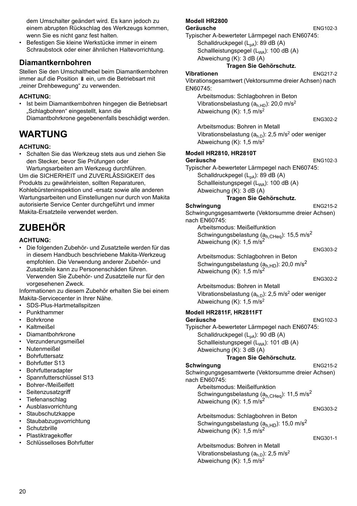dem Umschalter geändert wird. Es kann jedoch zu einem abrupten Rückschlag des Werkzeugs kommen, wenn Sie es nicht ganz fest halten.

• Befestigen Sie kleine Werkstücke immer in einem Schraubstock oder einer ähnlichen Haltevorrichtung.

### **Diamantkernbohren**

Stellen Sie den Umschalthebel beim Diamantkernbohren immer auf die Position § ein, um die Betriebsart mit "reiner Drehbewegung" zu verwenden.

### **ACHTUNG:**

• Ist beim Diamantkernbohren hingegen die Betriebsart "Schlagbohren" eingestellt, kann die Diamantbohrkrone gegebenenfalls beschädigt werden.

# **WARTUNG**

### **ACHTUNG:**

• Schalten Sie das Werkzeug stets aus und ziehen Sie den Stecker, bevor Sie Prüfungen oder

Wartungsarbeiten am Werkzeug durchführen. Um die SICHERHEIT und ZUVERLÄSSIGKEIT des Produkts zu gewährleisten, sollten Reparaturen, Kohlebürsteninspektion und -ersatz sowie alle anderen Wartungsarbeiten und Einstellungen nur durch von Makita autorisierte Service Center durchgeführt und immer Makita-Ersatzteile verwendet werden.

# **ZUBEHÖR**

### **ACHTUNG:**

• Die folgenden Zubehör- und Zusatzteile werden für das in diesem Handbuch beschriebene Makita-Werkzeug empfohlen. Die Verwendung anderer Zubehör- und Zusatzteile kann zu Personenschäden führen. Verwenden Sie Zubehör- und Zusatzteile nur für den vorgesehenen Zweck.

Informationen zu diesem Zubehör erhalten Sie bei einem Makita-Servicecenter in Ihrer Nähe.

- SDS-Plus-Hartmetallspitzen
- Punkthammer
- Bohrkrone
- Kaltmeißel
- Diamantbohrkrone
- Verzunderungsmeißel
- Nutenmeißel
- Bohrfuttersatz
- Bohrfutter S13
- Bohrfutteradapter
- Spannfutterschlüssel S13
- Bohrer-/Meißelfett
- Seitenzusatzgriff
- Tiefenanschlag
- Ausblasvorrichtung
- Staubschutzkappe
- **Staubabzugsvorrichtung**
- Schutzbrille
- Plastiktragekoffer
- Schlüsselloses Bohrfutter

# **Modell HR2800**

Typischer A-bewerteter Lärmpegel nach EN60745:

Schalldruckpegel  $(L_{pA})$ : 89 dB  $(A)$ 

- Schallleistungspegel (L<sub>WA</sub>): 100 dB (A)
- Abweichung (K): 3 dB (A) **Tragen Sie Gehörschutz.**

# **Vibrationen** ENG217-2

Vibrationsgesamtwert (Vektorsumme dreier Achsen) nach EN60745:

Arbeitsmodus: Schlagbohren in Beton Vibrationsbelastung  $(a<sub>h,HD</sub>)$ : 20,0 m/s<sup>2</sup> Abweichung (K): 1,5 m/s2

ENG302-2

Arbeitsmodus: Bohren in Metall Vibrationsbelastung  $(a_{h,D})$ : 2,5 m/s<sup>2</sup> oder weniger Abweichung (K): 1,5 m/s2

### **Modell HR2810, HR2810T**

#### Geräusche ENG102-3

Typischer A-bewerteter Lärmpegel nach EN60745: Schalldruckpegel  $(L_{pA})$ : 89 dB  $(A)$ 

Schallleistungspegel (L<sub>WA</sub>): 100 dB (A) Abweichung (K): 3 dB (A)

### **Tragen Sie Gehörschutz.**

**Schwingung** ENG215-2 Schwingungsgesamtwerte (Vektorsumme dreier Achsen) nach EN60745: Arbeitsmodus: Meißelfunktion

Schwingungsbelastung ( $a_{h,CHeq}$ ): 15,5 m/s<sup>2</sup> Abweichung  $(K)$ : 1,5 m/s<sup>2</sup>

ENG303-2

Arbeitsmodus: Schlagbohren in Beton Schwingungsbelastung ( $a_{h,HD}$ ): 20,0 m/s<sup>2</sup> Abweichung (K):  $1.5 \text{ m/s}^2$ 

ENG302-2

Arbeitsmodus: Bohren in Metall Vibrationsbelastung ( $a_{h,D}$ ): 2,5 m/s<sup>2</sup> oder weniger Abweichung (K): 1,5 m/s2

### **Modell HR2811F, HR2811FT**

Geräusche ENG102-3 Typischer A-bewerteter Lärmpegel nach EN60745: Schalldruckpegel  $(L_{pA})$ : 90 dB  $(A)$ Schallleistungspegel (L<sub>WA</sub>): 101 dB (A) Abweichung (K): 3 dB (A)

### **Tragen Sie Gehörschutz.**

**Schwingung ENG215-2** 

Schwingungsgesamtwerte (Vektorsumme dreier Achsen) nach EN60745:

Arbeitsmodus: Meißelfunktion Schwingungsbelastung ( $a_{h,CHeq}$ ): 11,5 m/s<sup>2</sup> Abweichung  $(K)$ : 1,5 m/s<sup>2</sup>

#### ENG303-2

Arbeitsmodus: Schlagbohren in Beton Schwingungsbelastung ( $a<sub>h,HD</sub>$ ): 15,0 m/s<sup>2</sup> Abweichung (K): 1,5 m/s<sup>2</sup>

#### ENG301-1

Arbeitsmodus: Bohren in Metall Vibrationsbelastung  $(a<sub>h,D</sub>)$ : 2,5 m/s<sup>2</sup> Abweichung (K):  $1,5 \text{ m/s}^2$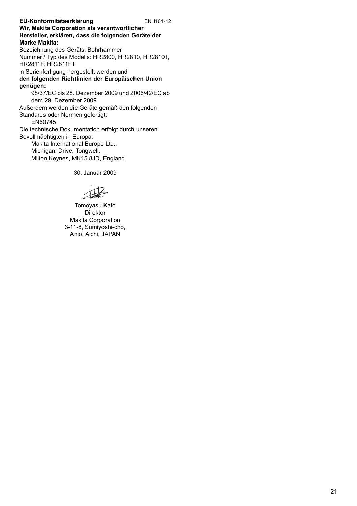**EU-Konformitätserklärung** ENH101-12 **Wir, Makita Corporation als verantwortlicher Hersteller, erklären, dass die folgenden Geräte der Marke Makita:** Bezeichnung des Geräts: Bohrhammer Nummer / Typ des Modells: HR2800, HR2810, HR2810T, HR2811F, HR2811FT in Serienfertigung hergestellt werden und **den folgenden Richtlinien der Europäischen Union genügen:** 98/37/EC bis 28. Dezember 2009 und 2006/42/EC ab dem 29. Dezember 2009 Außerdem werden die Geräte gemäß den folgenden Standards oder Normen gefertigt: EN60745 Die technische Dokumentation erfolgt durch unseren Bevollmächtigten in Europa: Makita International Europe Ltd., Michigan, Drive, Tongwell, Milton Keynes, MK15 8JD, England

30. Januar 2009

Tomoyasu Kato Direktor Makita Corporation 3-11-8, Sumiyoshi-cho, Anjo, Aichi, JAPAN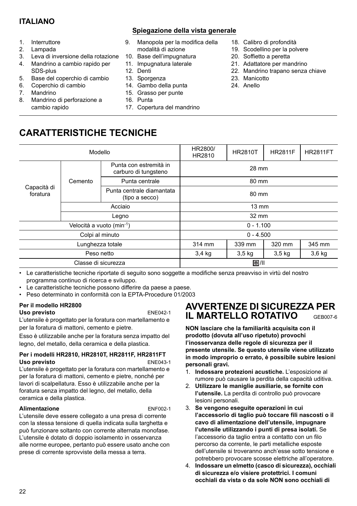# **ITALIANO**

### **Spiegazione della vista generale**

- 1. Interruttore
- 2. Lampada
- 3. Leva di inversione della rotazione
- 4. Mandrino a cambio rapido per SDS-plus
- 5. Base del coperchio di cambio
- 6. Coperchio di cambio
- 7. Mandrino
- 8. Mandrino di perforazione a cambio rapido

### 9. Manopola per la modifica della modalità di azione

- 10. Base dell'impugnatura
- 11. Impugnatura laterale
- 12. Denti
- 13. Sporgenza
- 14. Gambo della punta
- 15. Grasso per punte
- 16. Punta
- 17. Copertura del mandrino
- 18. Calibro di profondità
- 19. Scodellino per la polvere
- 20. Soffietto a peretta
- 21. Adattatore per mandrino
- 22. Mandrino trapano senza chiave
- 23. Manicotto
- 24. Anello

# **CARATTERISTICHE TECNICHE**

|                         | Modello                               |                                                | HR2800/<br>HR2810 | <b>HR2810T</b> | <b>HR2811F</b>    | <b>HR2811FT</b> |  |
|-------------------------|---------------------------------------|------------------------------------------------|-------------------|----------------|-------------------|-----------------|--|
|                         |                                       | Punta con estremità in<br>carburo di tungsteno | 28 mm             |                |                   |                 |  |
|                         | Cemento                               | Punta centrale                                 | 80 mm             |                |                   |                 |  |
| Capacità di<br>foratura |                                       | Punta centrale diamantata<br>(tipo a secco)    | 80 mm             |                |                   |                 |  |
|                         | Acciaio                               |                                                | $13 \text{ mm}$   |                |                   |                 |  |
|                         | Legno                                 |                                                | 32 mm             |                |                   |                 |  |
|                         | Velocità a vuoto (min <sup>-1</sup> ) |                                                | $0 - 1.100$       |                |                   |                 |  |
|                         | Colpi al minuto                       |                                                |                   | $0 - 4.500$    |                   |                 |  |
|                         | Lunghezza totale                      |                                                | 314 mm            | 339 mm         | 320 mm            | 345 mm          |  |
|                         | Peso netto                            |                                                | $3,4$ kg          | $3,5$ kg       | 3.5 <sub>kq</sub> | 3,6 kg          |  |
|                         | Classe di sicurezza                   |                                                |                   | 回川             |                   |                 |  |

• Le caratteristiche tecniche riportate di seguito sono soggette a modifiche senza preavviso in virtù del nostro programma continuo di ricerca e sviluppo.

- Le caratteristiche tecniche possono differire da paese a paese.
- Peso determinato in conformità con la EPTA-Procedure 01/2003

### **Per il modello HR2800**  Uso previsto **ENE042-1**

L'utensile è progettato per la foratura con martellamento e per la foratura di mattoni, cemento e pietre.

Esso è utilizzabile anche per la foratura senza impatto del legno, del metallo, della ceramica e della plastica.

#### **Per i modelli HR2810, HR2810T, HR2811F, HR2811FT Uso previsto** ENE043-1

L'utensile è progettato per la foratura con martellamento e per la foratura di mattoni, cemento e pietre, nonché per lavori di scalpellatura. Esso è utilizzabile anche per la foratura senza impatto del legno, del metallo, della ceramica e della plastica.

### **Alimentazione** ENF002-1

L'utensile deve essere collegato a una presa di corrente con la stessa tensione di quella indicata sulla targhetta e può funzionare soltanto con corrente alternata monofase. L'utensile è dotato di doppio isolamento in osservanza alle norme europee, pertanto può essere usato anche con prese di corrente sprovviste della messa a terra.

# **AVVERTENZE DI SICUREZZA PER IL MARTELLO ROTATIVO** GEB007-6

**NON lasciare che la familiarità acquisita con il prodotto (dovuta all'uso ripetuto) provochi l'inosservanza delle regole di sicurezza per il presente utensile. Se questo utensile viene utilizzato in modo improprio o errato, è possibile subire lesioni personali gravi.** 

- 1. **Indossare protezioni acustiche.** L'esposizione al rumore può causare la perdita della capacità uditiva.
- 2. **Utilizzare le maniglie ausiliarie, se fornite con l'utensile.** La perdita di controllo può provocare lesioni personali.
- 3. **Se vengono eseguite operazioni in cui l'accessorio di taglio può toccare fili nascosti o il cavo di alimentazione dell'utensile, impugnare l'utensile utilizzando i punti di presa isolati.** Se l'accessorio da taglio entra a contatto con un filo percorso da corrente, le parti metalliche esposte dell'utensile si troveranno anch'esse sotto tensione e potrebbero provocare scosse elettriche all'operatore.
- 4. **Indossare un elmetto (casco di sicurezza), occhiali di sicurezza e/o visiere protettrici. I comuni occhiali da vista o da sole NON sono occhiali di**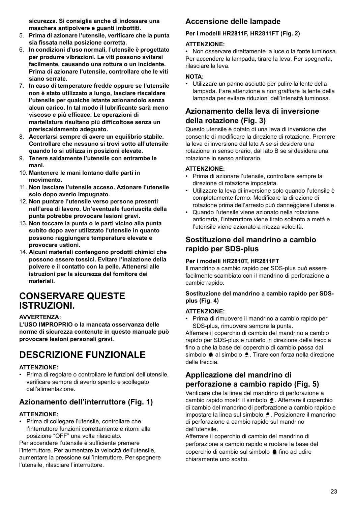**sicurezza. Si consiglia anche di indossare una maschera antipolvere e guanti imbottiti.** 

- 5. **Prima di azionare l'utensile, verificare che la punta sia fissata nella posizione corretta.**
- 6. **In condizioni d'uso normali, l'utensile è progettato per produrre vibrazioni. Le viti possono svitarsi facilmente, causando una rottura o un incidente. Prima di azionare l'utensile, controllare che le viti siano serrate.**
- 7. **In caso di temperature fredde oppure se l'utensile non è stato utilizzato a lungo, lasciare riscaldare l'utensile per qualche istante azionandolo senza alcun carico. In tal modo il lubrificante sarà meno viscoso e più efficace. Le operazioni di martellatura risultano più difficoltose senza un preriscaldamento adeguato.**
- 8. **Accertarsi sempre di avere un equilibrio stabile. Controllare che nessuno si trovi sotto all'utensile quando lo si utilizza in posizioni elevate.**
- 9. **Tenere saldamente l'utensile con entrambe le mani.**
- 10. **Mantenere le mani lontano dalle parti in movimento.**
- 11. **Non lasciare l'utensile acceso. Azionare l'utensile solo dopo averlo impugnato.**
- 12. **Non puntare l'utensile verso persone presenti nell'area di lavoro. Un'eventuale fuoriuscita della punta potrebbe provocare lesioni gravi.**
- 13. **Non toccare la punta o le parti vicino alla punta subito dopo aver utilizzato l'utensile in quanto possono raggiungere temperature elevate e provocare ustioni.**
- 14. **Alcuni materiali contengono prodotti chimici che possono essere tossici. Evitare l'inalazione della polvere e il contatto con la pelle. Attenersi alle istruzioni per la sicurezza del fornitore dei materiali.**

# **CONSERVARE QUESTE ISTRUZIONI.**

### **AVVERTENZA:**

**L'USO IMPROPRIO o la mancata osservanza delle norme di sicurezza contenute in questo manuale può provocare lesioni personali gravi.**

# **DESCRIZIONE FUNZIONALE**

### **ATTENZIONE:**

• Prima di regolare o controllare le funzioni dell'utensile, verificare sempre di averlo spento e scollegato dall'alimentazione.

# **Azionamento dell'interruttore (Fig. 1)**

### **ATTENZIONE:**

• Prima di collegare l'utensile, controllare che l'interruttore funzioni correttamente e ritorni alla posizione "OFF" una volta rilasciato.

Per accendere l'utensile è sufficiente premere l'interruttore. Per aumentare la velocità dell'utensile, aumentare la pressione sull'interruttore. Per spegnere l'utensile, rilasciare l'interruttore.

# **Accensione delle lampade**

### **Per i modelli HR2811F, HR2811FT (Fig. 2)**

### **ATTENZIONE:**

• Non osservare direttamente la luce o la fonte luminosa. Per accendere la lampada, tirare la leva. Per spegnerla, rilasciare la leva.

### **NOTA:**

• Utilizzare un panno asciutto per pulire la lente della lampada. Fare attenzione a non graffiare la lente della lampada per evitare riduzioni dell'intensità luminosa.

## **Azionamento della leva di inversione della rotazione (Fig. 3)**

Questo utensile è dotato di una leva di inversione che consente di modificare la direzione di rotazione. Premere la leva di inversione dal lato A se si desidera una rotazione in senso orario, dal lato B se si desidera una rotazione in senso antiorario.

### **ATTENZIONE:**

- Prima di azionare l'utensile, controllare sempre la direzione di rotazione impostata.
- Utilizzare la leva di inversione solo quando l'utensile è completamente fermo. Modificare la direzione di rotazione prima dell'arresto può danneggiare l'utensile.
- Quando l'utensile viene azionato nella rotazione antioraria, l'interruttore viene tirato soltanto a metà e l'utensile viene azionato a mezza velocità.

# **Sostituzione del mandrino a cambio rapido per SDS-plus**

### **Per i modelli HR2810T, HR2811FT**

Il mandrino a cambio rapido per SDS-plus può essere facilmente scambiato con il mandrino di perforazione a cambio rapido.

### **Sostituzione del mandrino a cambio rapido per SDSplus (Fig. 4)**

### **ATTENZIONE:**

• Prima di rimuovere il mandrino a cambio rapido per SDS-plus, rimuovere sempre la punta.

Afferrare il coperchio di cambio del mandrino a cambio rapido per SDS-plus e ruotarlo in direzione della freccia fino a che la base del coperchio di cambio passa dal simbolo  $\triangleq$  al simbolo  $\triangleq$ . Tirare con forza nella direzione della freccia.

# **Applicazione del mandrino di perforazione a cambio rapido (Fig. 5)**

Verificare che la linea del mandrino di perforazione a cambio rapido mostri il simbolo  $\triangle$ . Afferrare il coperchio di cambio del mandrino di perforazione a cambio rapido e impostare la linea sul simbolo  $\triangle$ . Posizionare il mandrino di perforazione a cambio rapido sul mandrino dell'utensile.

Afferrare il coperchio di cambio del mandrino di perforazione a cambio rapido e ruotare la base del coperchio di cambio sul simbolo  $\triangle$  fino ad udire chiaramente uno scatto.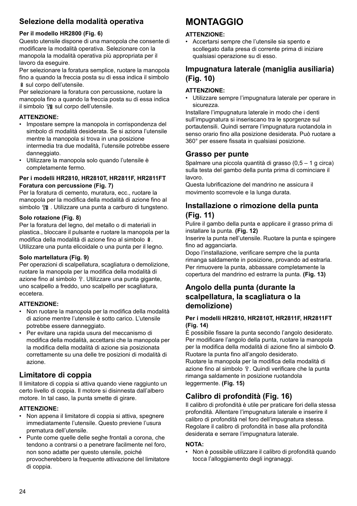# **Selezione della modalità operativa**

### **Per il modello HR2800 (Fig. 6)**

Questo utensile dispone di una manopola che consente di modificare la modalità operativa. Selezionare con la manopola la modalità operativa più appropriata per il lavoro da eseguire.

Per selezionare la foratura semplice, ruotare la manopola fino a quando la freccia posta su di essa indica il simbolo sul corpo dell'utensile.

Per selezionare la foratura con percussione, ruotare la manopola fino a quando la freccia posta su di essa indica il simbolo fra sul corpo dell'utensile.

### **ATTENZIONE:**

- Impostare sempre la manopola in corrispondenza del simbolo di modalità desiderata. Se si aziona l'utensile mentre la manopola si trova in una posizione intermedia tra due modalità, l'utensile potrebbe essere danneggiato.
- Utilizzare la manopola solo quando l'utensile è completamente fermo.

### **Per i modelli HR2810, HR2810T, HR2811F, HR2811FT Foratura con percussione (Fig. 7)**

Per la foratura di cemento, muratura, ecc., ruotare la manopola per la modifica della modalità di azione fino al simbolo  $\frac{1}{2}$ . Utilizzare una punta a carburo di tungsteno.

### **Solo rotazione (Fig. 8)**

Per la foratura del legno, del metallo o di materiali in plastica., bloccare il pulsante e ruotare la manopola per la modifica della modalità di azione fino al simbolo . Utilizzare una punta elicoidale o una punta per il legno.

### **Solo martellatura (Fig. 9)**

Per operazioni di scalpellatura, scagliatura o demolizione, ruotare la manopola per la modifica della modalità di azione fino al simbolo  $\hat{r}$ . Utilizzare una punta gigante, uno scalpello a freddo, uno scalpello per scagliatura, eccetera.

### **ATTENZIONE:**

- Non ruotare la manopola per la modifica della modalità di azione mentre l'utensile è sotto carico. L'utensile potrebbe essere danneggiato.
- Per evitare una rapida usura del meccanismo di modifica della modalità, accettarsi che la manopola per la modifica della modalità di azione sia posizionata correttamente su una delle tre posizioni di modalità di azione.

## **Limitatore di coppia**

Il limitatore di coppia si attiva quando viene raggiunto un certo livello di coppia. Il motore si disinnesta dall'albero motore. In tal caso, la punta smette di girare.

### **ATTENZIONE:**

- Non appena il limitatore di coppia si attiva, spegnere immediatamente l'utensile. Questo previene l'usura prematura dell'utensile.
- Punte come quelle delle seghe frontali a corona, che tendono a contrarsi o a penetrare facilmente nel foro, non sono adatte per questo utensile, poiché provocherebbero la frequente attivazione del limitatore di coppia.

# **MONTAGGIO**

### **ATTENZIONE:**

• Accertarsi sempre che l'utensile sia spento e scollegato dalla presa di corrente prima di iniziare qualsiasi operazione su di esso.

## **Impugnatura laterale (maniglia ausiliaria) (Fig. 10)**

### **ATTENZIONE:**

• Utilizzare sempre l'impugnatura laterale per operare in sicurezza.

Installare l'impugnatura laterale in modo che i denti sull'impugnatura si inseriscano tra le sporgenze sul portautensili. Quindi serrare l'impugnatura ruotandola in senso orario fino alla posizione desiderata. Può ruotare a 360° per essere fissata in qualsiasi posizione.

### **Grasso per punte**

Spalmare una piccola quantità di grasso (0,5 – 1 g circa) sulla testa del gambo della punta prima di cominciare il lavoro.

Questa lubrificazione del mandrino ne assicura il movimento scorrevole e la lunga durata.

## **Installazione o rimozione della punta (Fig. 11)**

Pulire il gambo della punta e applicare il grasso prima di installare la punta. **(Fig. 12)**

Inserire la punta nell'utensile. Ruotare la punta e spingere fino ad agganciarla.

Dopo l'installazione, verificare sempre che la punta rimanga saldamente in posizione, provando ad estrarla. Per rimuovere la punta, abbassare completamente la copertura del mandrino ed estrarre la punta. **(Fig. 13)**

### **Angolo della punta (durante la scalpellatura, la scagliatura o la demolizione)**

### **Per i modelli HR2810, HR2810T, HR2811F, HR2811FT (Fig. 14)**

È possibile fissare la punta secondo l'angolo desiderato. Per modificare l'angolo della punta, ruotare la manopola per la modifica della modalità di azione fino al simbolo **O**. Ruotare la punta fino all'angolo desiderato.

Ruotare la manopola per la modifica della modalità di azione fino al simbolo  $\Gamma$ . Quindi verificare che la punta rimanga saldamente in posizione ruotandola leggermente. **(Fig. 15)**

# **Calibro di profondità (Fig. 16)**

Il calibro di profondità è utile per praticare fori della stessa profondità. Allentare l'impugnatura laterale e inserire il calibro di profondità nel foro dell'impugnatura stessa. Regolare il calibro di profondità in base alla profondità desiderata e serrare l'impugnatura laterale.

### **NOTA:**

• Non è possibile utilizzare il calibro di profondità quando tocca l'alloggiamento degli ingranaggi.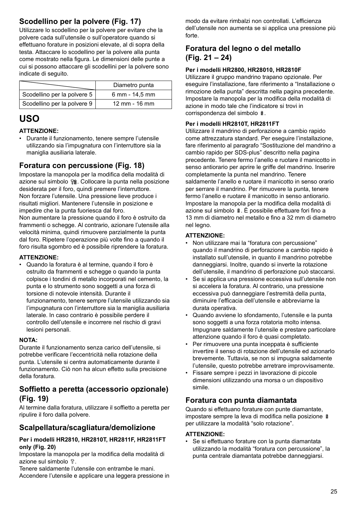# **Scodellino per la polvere (Fig. 17)**

Utilizzare lo scodellino per la polvere per evitare che la polvere cada sull'utensile o sull'operatore quando si effettuano forature in posizioni elevate, al di sopra della testa. Attaccare lo scodellino per la polvere alla punta come mostrato nella figura. Le dimensioni delle punte a cui si possono attaccare gli scodellini per la polvere sono indicate di seguito.

|                             | Diametro punta |
|-----------------------------|----------------|
| Scodellino per la polvere 5 | 6 mm - 14,5 mm |
| Scodellino per la polvere 9 | 12 mm - 16 mm  |

# **USO**

### **ATTENZIONE:**

• Durante il funzionamento, tenere sempre l'utensile utilizzando sia l'impugnatura con l'interruttore sia la maniglia ausiliaria laterale.

## **Foratura con percussione (Fig. 18)**

Impostare la manopola per la modifica della modalità di azione sul simbolo pa. Collocare la punta nella posizione desiderata per il foro, quindi premere l'interruttore. Non forzare l'utensile. Una pressione lieve produce i risultati migliori. Mantenere l'utensile in posizione e impedire che la punta fuoriesca dal foro.

Non aumentare la pressione quando il foro è ostruito da frammenti o schegge. Al contrario, azionare l'utensile alla velocità minima, quindi rimuovere parzialmente la punta dal foro. Ripetere l'operazione più volte fino a quando il foro risulta sgombro ed è possibile riprendere la foratura.

### **ATTENZIONE:**

• Quando la foratura è al termine, quando il foro è ostruito da frammenti e schegge o quando la punta colpisce i tondini di metallo incorporati nel cemento, la punta e lo strumento sono soggetti a una forza di torsione di notevole intensità. Durante il funzionamento, tenere sempre l'utensile utilizzando sia l'impugnatura con l'interruttore sia la maniglia ausiliaria laterale. In caso contrario è possibile perdere il controllo dell'utensile e incorrere nel rischio di gravi lesioni personali.

### **NOTA:**

Durante il funzionamento senza carico dell'utensile, si potrebbe verificare l'eccentricità nella rotazione della punta. L'utensile si centra automaticamente durante il funzionamento. Ciò non ha alcun effetto sulla precisione della foratura.

# **Soffietto a peretta (accessorio opzionale) (Fig. 19)**

Al termine dalla foratura, utilizzare il soffietto a peretta per ripulire il foro dalla polvere.

### **Scalpellatura/scagliatura/demolizione**

### **Per i modelli HR2810, HR2810T, HR2811F, HR2811FT only (Fig. 20)**

Impostare la manopola per la modifica della modalità di azione sul simbolo  $\sqrt{n}$ .

Tenere saldamente l'utensile con entrambe le mani. Accendere l'utensile e applicare una leggera pressione in modo da evitare rimbalzi non controllati. L'efficienza dell'utensile non aumenta se si applica una pressione più forte.

# **Foratura del legno o del metallo (Fig. 21 – 24)**

### **Per i modelli HR2800, HR28010, HR2810F**

Utilizzare il gruppo mandrino trapano opzionale. Per eseguire l'installazione, fare riferimento a "Installazione o rimozione della punta" descritta nella pagina precedente. Impostare la manopola per la modifica della modalità di azione in modo tale che l'indicatore si trovi in corrispondenza del simbolo  $\frac{8}{3}$ .

### **Per i modelli HR2810T, HR2811FT**

Utilizzare il mandrino di perforazione a cambio rapido come attrezzatura standard. Per eseguire l'installazione, fare riferimento al paragrafo "Sostituzione del mandrino a cambio rapido per SDS-plus" descritto nella pagina precedente. Tenere fermo l'anello e ruotare il manicotto in senso antiorario per aprire le griffe del mandrino. Inserire completamente la punta nel mandrino. Tenere saldamente l'anello e ruotare il manicotto in senso orario per serrare il mandrino. Per rimuovere la punta, tenere fermo l'anello e ruotare il manicotto in senso antiorario. Impostare la manopola per la modifica della modalità di azione sul simbolo  $\hat{a}$ . È possibile effettuare fori fino a 13 mm di diametro nel metallo e fino a 32 mm di diametro nel legno.

### **ATTENZIONE:**

- Non utilizzare mai la "foratura con percussione" quando il mandrino di perforazione a cambio rapido è installato sull'utensile, in quanto il mandrino potrebbe danneggiarsi. Inoltre, quando si inverte la rotazione dell'utensile, il mandrino di perforazione può staccarsi.
- Se si applica una pressione eccessiva sull'utensile non si accelera la foratura. Al contrario, una pressione eccessiva può danneggiare l'estremità della punta, diminuire l'efficacia dell'utensile e abbreviarne la durata operativa.
- Quando avviene lo sfondamento, l'utensile e la punta sono soggetti a una forza rotatoria molto intensa. Impugnare saldamente l'utensile e prestare particolare attenzione quando il foro è quasi completato.
- Per rimuovere una punta inceppata è sufficiente invertire il senso di rotazione dell'utensile ed azionarlo brevemente. Tuttavia, se non si impugna saldamente l'utensile, questo potrebbe arretrare improvvisamente.
- Fissare sempre i pezzi in lavorazione di piccole dimensioni utilizzando una morsa o un dispositivo simile.

## **Foratura con punta diamantata**

Quando si effettuano forature con punte diamantate, impostare sempre la leva di modifica nella posizione per utilizzare la modalità "solo rotazione".

### **ATTENZIONE:**

• Se si effettuano forature con la punta diamantata utilizzando la modalità "foratura con percussione", la punta centrale diamantata potrebbe danneggiarsi.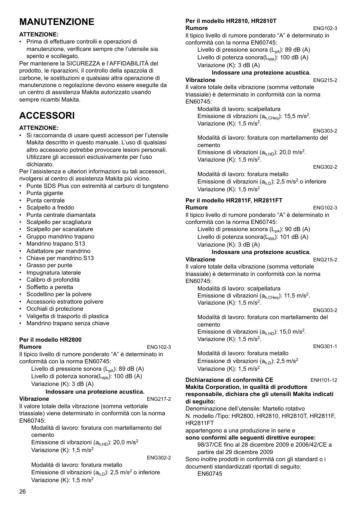# **MANUTENZIONE**

### **ATTENZIONE:**

• Prima di effettuare controlli e operazioni di manutenzione, verificare sempre che l'utensile sia spento e scollegato.

Per mantenere la SICUREZZA e l'AFFIDABILITÀ del prodotto, le riparazioni, il controllo della spazzola di carbone, le sostituzioni e qualsiasi altra operazione di manutenzione o regolazione devono essere eseguite da un centro di assistenza Makita autorizzato usando sempre ricambi Makita.

# **ACCESSORI**

### **ATTENZIONE:**

• Si raccomanda di usare questi accessori per l'utensile Makita descritto in questo manuale. L'uso di qualsiasi altro accessorio potrebbe provocare lesioni personali. Utilizzare gli accessori esclusivamente per l'uso dichiarato.

Per l'assistenza e ulteriori informazioni su tali accessori, rivolgersi al centro di assistenza Makita più vicino.

- Punte SDS Plus con estremità al carburo di tungsteno • Punta gigante
- Punta centrale
- Scalpello a freddo
- Punta centrale diamantata
- 
- Scalpello per scagliatura
- Scalpello per scanalature • Gruppo mandrino trapano
- 
- Mandrino trapano S13
- Adattatore per mandrino • Chiave per mandrino S13
- Grasso per punte
- Impugnatura laterale
- Calibro di profondità
- Soffietto a peretta
- Scodellino per la polvere
- Accessorio estrattore polvere
- Occhiali di protezione
- Valigetta di trasporto di plastica
- Mandrino trapano senza chiave

#### **Per il modello HR2800 Rumore** ENG102-3

Il tipico livello di rumore ponderato "A" è determinato in conformità con la norma EN60745:

Livello di pressione sonora  $(L_{pA})$ : 89 dB (A) Livello di potenza sonora $(L_{WA})$ : 100 dB (A) Variazione (K): 3 dB (A)

### **Indossare una protezione acustica.**

### **Vibrazione** ENG217-2

Il valore totale della vibrazione (somma vettoriale triassiale) viene determinato in conformità con la norma EN60745:

Modalità di lavoro: foratura con martellamento del cemento Emissione di vibrazioni ( $a<sub>h,HD</sub>$ ): 20,0 m/s<sup>2</sup> Variazione  $(K)$ : 1,5 m/s<sup>2</sup>

ENG302-2

Modalità di lavoro: foratura metallo Emissione di vibrazioni ( $a<sub>h,D</sub>$ ): 2,5 m/s<sup>2</sup> o inferiore Variazione (K): 1,5 m/s<sup>2</sup>

#### **Per il modello HR2810, HR2810T Rumore** ENG102-3

Il tipico livello di rumore ponderato "A" è determinato in conformità con la norma EN60745:

Livello di pressione sonora  $(L_{pA})$ : 89 dB  $(A)$ 

Livello di potenza sonora(L<sub>WA</sub>): 100 dB (A) Variazione (K): 3 dB (A)

### **Indossare una protezione acustica.**

### **Vibrazione** ENG215-2

Il valore totale della vibrazione (somma vettoriale triassiale) è determinato in conformità con la norma EN60745:

Modalità di lavoro: scalpellatura Emissione di vibrazioni ( $a_{h,CHea}$ ): 15,5 m/s<sup>2</sup>. Variazione  $(K)$ : 1.5 m/s<sup>2</sup>.

ENG303-2

Modalità di lavoro: foratura con martellamento del cemento Emissione di vibrazioni ( $a<sub>h,HD</sub>$ ): 20,0 m/s<sup>2</sup>.

Variazione  $(K)$ : 1.5 m/s<sup>2</sup>.

ENG302-2

Modalità di lavoro: foratura metallo Emissione di vibrazioni  $(a<sub>h,D</sub>)$ : 2,5 m/s<sup>2</sup> o inferiore Variazione (K): 1,5 m/s<sup>2</sup>

#### **Per il modello HR2811F, HR2811FT Rumore** ENG102-3

Il tipico livello di rumore ponderato "A" è determinato in conformità con la norma EN60745:

Livello di pressione sonora  $(L_{pA})$ : 90 dB  $(A)$ Livello di potenza sonora $(L_{WA})$ : 101 dB (A)

Variazione (K): 3 dB (A)

### **Indossare una protezione acustica.**

#### **Vibrazione** ENG215-2

Il valore totale della vibrazione (somma vettoriale triassiale) è determinato in conformità con la norma EN60745:

Modalità di lavoro: scalpellatura Emissione di vibrazioni ( $a_{h,CHea}$ ): 11,5 m/s<sup>2</sup>. Variazione (K): 1,5 m/s<sup>2</sup>.

#### ENG303-2

Modalità di lavoro: foratura con martellamento del cemento

Emissione di vibrazioni ( $a<sub>h HD</sub>$ ): 15,0 m/s<sup>2</sup>. Variazione  $(K)$ : 1,5 m/s<sup>2</sup>.

ENG301-1

Modalità di lavoro: foratura metallo Emissione di vibrazioni  $(a<sub>h,D</sub>)$ : 2,5 m/s<sup>2</sup> Variazione (K): 1.5 m/s<sup>2</sup>

**Dichiarazione di conformità CE** ENH101-12

#### **Makita Corporation, in qualità di produttore responsabile, dichiara che gli utensili Makita indicati di seguito:**

Denominazione dell'utensile: Martello rotativo N. modello /Tipo: HR2800, HR2810, HR2810T, HR2811F, HR2811FT

appartengono a una produzione in serie e

**sono conformi alle seguenti direttive europee:** 98/37/CE fino al 28 dicembre 2009 e 2006/42/CE a partire dal 29 dicembre 2009

Sono inoltre prodotti in conformità con gli standard o i documenti standardizzati riportati di seguito:

EN60745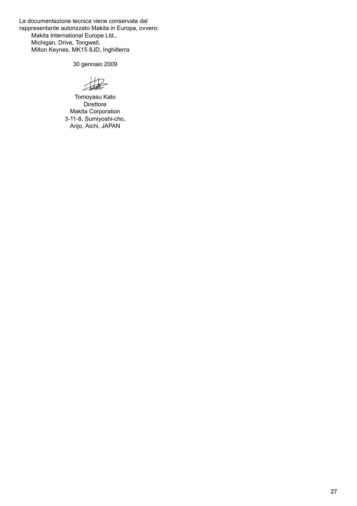La documentazione tecnica viene conservata dal rappresentante autorizzato Makita in Europa, ovvero: Makita International Europe Ltd., Michigan, Drive, Tongwell, Milton Keynes, MK15 8JD, Inghilterra

30 gennaio 2009

Tomoyasu Kato **Direttore** Makita Corporation 3-11-8, Sumiyoshi-cho, Anjo, Aichi, JAPAN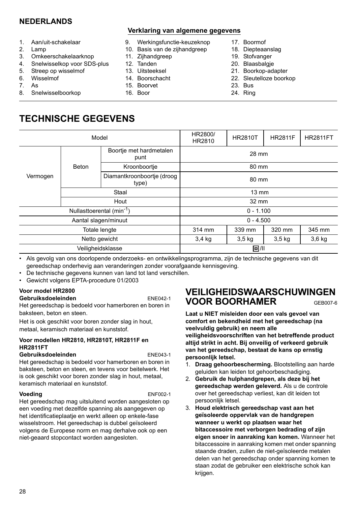# **NEDERLANDS**

- 1. Aan/uit-schakelaar
- 2. Lamp
- 3. Omkeerschakelaarknop
- 4. Snelwisselkop voor SDS-plus
- 5. Streep op wisselmof
- 6. Wisselmof
- 7. As
- 8. Snelwisselboorkop

### **Verklaring van algemene gegevens**

- 9. Werkingsfunctie-keuzeknop
- 10. Basis van de zijhandgreep
- 11. Zijhandgreep
- 12. Tanden
- 13. Uitsteeksel
- 14. Boorschacht
- 15. Boorvet
- 16. Boor
- 17. Boormof
- 18. Diepteaanslag
- 19. Stofvanger
- 20. Blaasbalgje
- 21. Boorkop-adapter
- 22. Sleutelloze boorkop
- 23. Bus
- 24. Ring

# **TECHNISCHE GEGEVENS**

|          | Model                                 |                                     | HR2800/<br>HR2810 | <b>HR2810T</b> | <b>HR2811F</b> | <b>HR2811FT</b> |  |
|----------|---------------------------------------|-------------------------------------|-------------------|----------------|----------------|-----------------|--|
|          | Boortje met hardmetalen<br>punt       |                                     | 28 mm             |                |                |                 |  |
|          | Beton                                 | Kroonboortje                        | 80 mm             |                |                |                 |  |
| Vermogen |                                       | Diamantkroonboortje (droog<br>type) | 80 mm             |                |                |                 |  |
|          | Staal                                 |                                     | $13 \text{ mm}$   |                |                |                 |  |
|          | Hout                                  |                                     | 32 mm             |                |                |                 |  |
|          | Nullasttoerental (min <sup>-1</sup> ) |                                     | $0 - 1.100$       |                |                |                 |  |
|          | Aantal slagen/minuut                  |                                     |                   | $0 - 4.500$    |                |                 |  |
|          | <b>Totale lengte</b>                  |                                     | 314 mm            | 339 mm         | 320 mm         | 345 mm          |  |
|          | Netto gewicht                         |                                     | 3,4 kg            | $3,5$ kg       | $3,5$ kg       | $3,6$ kg        |  |
|          |                                       | Veiligheidsklasse                   |                   | 0/11           |                |                 |  |

• Als gevolg van ons doorlopende onderzoeks- en ontwikkelingsprogramma, zijn de technische gegevens van dit gereedschap onderhevig aan veranderingen zonder voorafgaande kennisgeving.

• De technische gegevens kunnen van land tot land verschillen.

• Gewicht volgens EPTA-procedure 01/2003

### **Voor model HR2800**

### **Gebruiksdoeleinden** ENE042-1

Het gereedschap is bedoeld voor hamerboren en boren in baksteen, beton en steen.

Het is ook geschikt voor boren zonder slag in hout, metaal, keramisch materiaal en kunststof.

### **Voor modellen HR2810, HR2810T, HR2811F en HR2811FT**

#### Gebruiksdoeleinden **ENE043-1**

Het gereedschap is bedoeld voor hamerboren en boren in baksteen, beton en steen, en tevens voor beitelwerk. Het is ook geschikt voor boren zonder slag in hout, metaal, keramisch materiaal en kunststof.

### **Voeding** ENF002-1

Het gereedschap mag uitsluitend worden aangesloten op een voeding met dezelfde spanning als aangegeven op het identificatieplaatje en werkt alleen op enkele-fase wisselstroom. Het gereedschap is dubbel geïsoleerd volgens de Europese norm en mag derhalve ook op een niet-geaard stopcontact worden aangesloten.

# **VEILIGHEIDSWAARSCHUWINGEN VOOR BOORHAMER** GEB007-6

**Laat u NIET misleiden door een vals gevoel van comfort en bekendheid met het gereedschap (na veelvuldig gebruik) en neem alle veiligheidsvoorschriften van het betreffende product altijd strikt in acht. Bij onveilig of verkeerd gebruik van het gereedschap, bestaat de kans op ernstig persoonlijk letsel.** 

- 1. **Draag gehoorbescherming.** Blootstelling aan harde geluiden kan leiden tot gehoorbeschadiging.
- 2. **Gebruik de hulphandgrepen, als deze bij het gereedschap werden geleverd.** Als u de controle over het gereedschap verliest, kan dit leiden tot persoonlijk letsel.
- 3. **Houd elektrisch gereedschap vast aan het geïsoleerde oppervlak van de handgrepen wanneer u werkt op plaatsen waar het bitaccessoire met verborgen bedrading of zijn eigen snoer in aanraking kan komen.** Wanneer het bitaccessoire in aanraking komen met onder spanning staande draden, zullen de niet-geïsoleerde metalen delen van het gereedschap onder spanning komen te staan zodat de gebruiker een elektrische schok kan krijgen.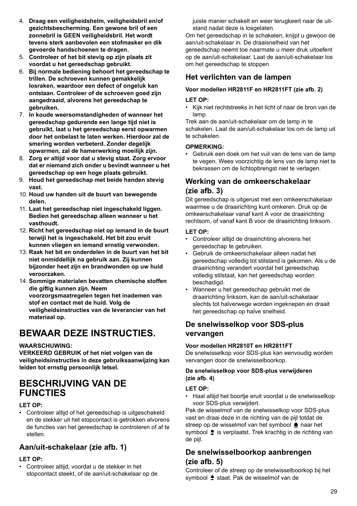- 4. **Draag een veiligheidshelm, veiligheidsbril en/of gezichtsbescherming. Een gewone bril of een zonnebril is GEEN veiligheidsbril. Het wordt tevens sterk aanbevolen een stofmasker en dik gevoerde handschoenen te dragen.**
- 5. **Controleer of het bit stevig op zijn plaats zit voordat u het gereedschap gebruikt.**
- 6. **Bij normale bediening behoort het gereedschap te trillen. De schroeven kunnen gemakkelijk losraken, waardoor een defect of ongeluk kan ontstaan. Controleer of de schroeven goed zijn aangedraaid, alvorens het gereedschap te gebruiken.**
- 7. **In koude weersomstandigheden of wanneer het gereedschap gedurende een lange tijd niet is gebruikt, laat u het gereedschap eerst opwarmen door het onbelast te laten werken. Hierdoor zal de smering worden verbeterd. Zonder degelijk opwarmen, zal de hamerwerking moeilijk zijn.**
- 8. **Zorg er altijd voor dat u stevig staat. Zorg ervoor dat er niemand zich onder u bevindt wanneer u het gereedschap op een hoge plaats gebruikt.**
- 9. **Houd het gereedschap met beide handen stevig vast.**
- 10. **Houd uw handen uit de buurt van bewegende delen.**
- 11. **Laat het gereedschap niet ingeschakeld liggen. Bedien het gereedschap alleen wanneer u het vasthoudt.**
- 12. **Richt het gereedschap niet op iemand in de buurt terwijl het is ingeschakeld. Het bit zou eruit kunnen vliegen en iemand ernstig verwonden.**
- 13. **Raak het bit en onderdelen in de buurt van het bit niet onmiddellijk na gebruik aan. Zij kunnen bijzonder heet zijn en brandwonden op uw huid veroorzaken.**
- 14. **Sommige materialen bevatten chemische stoffen die giftig kunnen zijn. Neem voorzorgsmaatregelen tegen het inademen van stof en contact met de huid. Volg de veiligheidsinstructies van de leverancier van het materiaal op.**

# **BEWAAR DEZE INSTRUCTIES.**

### **WAARSCHUWING:**

**VERKEERD GEBRUIK of het niet volgen van de veiligheidsinstructies in deze gebruiksaanwijzing kan leiden tot ernstig persoonlijk letsel.** 

# **BESCHRIJVING VAN DE FUNCTIES**

### **LET OP:**

• Controleer altijd of het gereedschap is uitgeschakeld en de stekker uit het stopcontact is getrokken alvorens de functies van het gereedschap te controleren of af te stellen.

# **Aan/uit-schakelaar (zie afb. 1)**

### **LET OP:**

• Controleer altijd, voordat u de stekker in het stopcontact steekt, of de aan/uit-schakelaar op de juiste manier schakelt en weer terugkeert naar de uitstand nadat deze is losgelaten.

Om het gereedschap in te schakelen, knijpt u gewoon de aan/uit-schakelaar in. De draaisnelheid van het gereedschap neemt toe naarmate u meer druk uitoefent op de aan/uit-schakelaar. Laat de aan/uit-schakelaar los om het gereedschap te stoppen

## **Het verlichten van de lampen**

### **Voor modellen HR2811F en HR2811FT (zie afb. 2)**

### **LET OP:**

• Kijk niet rechtstreeks in het licht of naar de bron van de lamp.

Trek aan de aan/uit-schakelaar om de lamp in te schakelen. Laat de aan/uit-schakelaar los om de lamp uit te schakelen.

### **OPMERKING:**

• Gebruik een doek om het vuil van de lens van de lamp te vegen. Wees voorzichtig de lens van de lamp niet te bekrassen om de lichtopbrengst niet te verlagen.

## **Werking van de omkeerschakelaar (zie afb. 3)**

Dit gereedschap is uitgerust met een omkeerschakelaar waarmee u de draairichting kunt omkeren. Druk op de omkeerschakelaar vanaf kant A voor de draairichting rechtsom, of vanaf kant B voor de draairichting linksom.

### **LET OP:**

- Controleer altijd de draairichting alvorens het gereedschap te gebruiken.
- Gebruik de omkeerschakelaar alleen nadat het gereedschap volledig tot stilstand is gekomen. Als u de draairichting verandert voordat het gereedschap volledig stilstaat, kan het gereedschap worden beschadigd.
- Wanneer u het gereedschap gebruikt met de draairichting linksom, kan de aan/uit-schakelaar slechts tot halverwege worden ingeknepen en draait het gereedschap op halve snelheid.

# **De snelwisselkop voor SDS-plus vervangen**

### **Voor modellen HR2810T en HR2811FT**

De snelwisselkop voor SDS-plus kan eenvoudig worden vervangen door de snelwisselboorkop.

### **De snelwisselkop voor SDS-plus verwijderen (zie afb. 4)**

### **LET OP:**

• Haal altijd het boortje eruit voordat u de snelwisselkop voor SDS-plus verwijdert.

Pak de wisselmof van de snelwisselkop voor SDS-plus vast en draai deze in de richting van de pijl totdat de streep op de wisselmof van het symbool  $\triangle$  naar het symbool  $\triangleq$  is verplaatst. Trek krachtig in de richting van de pijl.

## **De snelwisselboorkop aanbrengen (zie afb. 5)**

Controleer of de streep op de snelwisselboorkop bij het symbool  $\triangle$  staat. Pak de wisselmof van de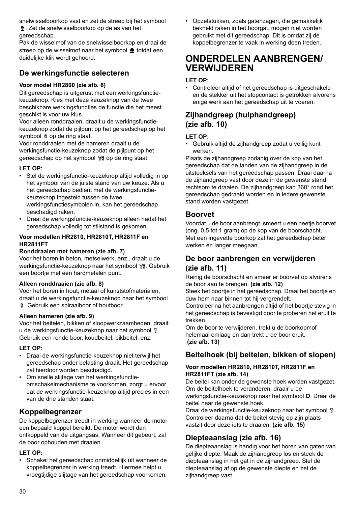snelwisselboorkop vast en zet de streep bij het symbool

. Zet de snelwisselboorkop op de as van het gereedschap.

Pak de wisselmof van de snelwisselboorkop en draai de streep op de wisselmof naar het symbool  $\triangle$  totdat een duidelijke klik wordt gehoord.

# **De werkingsfunctie selecteren**

### **Voor model HR2800 (zie afb. 6)**

Dit gereedschap is uitgerust met een werkingsfunctiekeuzeknop. Kies met deze keuzeknop van de twee beschikbare werkingsfuncties de functie die het meest geschikt is voor uw klus.

Voor alleen ronddraaien, draait u de werkingsfunctiekeuzeknop zodat de pijlpunt op het gereedschap op het symbool & op de ring staat.

Voor ronddraaien met de hameren draait u de werkingsfunctie-keuzeknop zodat de pijlpunt op het gereedschap op het symbool <sub>is</sub> op de ring staat.

### **LET OP:**

- Stel de werkingsfunctie-keuzeknop altijd volledig in op het symbool van de juiste stand van uw keuze. Als u het gereedschap bedient met de werkingsfunctiekeuzeknop ingesteld tussen de twee werkingsfunctiesymbolen in, kan het gereedschap beschadigd raken.
- Draai de werkingsfunctie-keuzeknop alleen nadat het gereedschap volledig tot stilstand is gekomen.

### **Voor modellen HR2810, HR2810T, HR2811F en HR2811FT**

### **Ronddraaien met hameren (zie afb. 7)**

Voor het boren in beton, metselwerk, enz., draait u de werkingsfunctie-keuzeknop naar het symbool fp. Gebruik een boortie met een hardmetalen punt.

### **Alleen ronddraaien (zie afb. 8)**

Voor het boren in hout, metaal of kunststofmaterialen, draait u de werkingsfunctie-keuzeknop naar het symbool . Gebruik een spiraalboor of houtboor.

### **Alleen hameren (zie afb. 9)**

Voor het beitelen, bikken of sloopwerkzaamheden, draait u de werkingsfunctie-keuzeknop naar het symbool  $\Gamma$ . Gebruik een ronde boor, koudbeitel, bikbeitel, enz.

### **LET OP:**

- Draai de werkingsfunctie-keuzeknop niet terwijl het gereedschap onder belasting draait. Het gereedschap zal hierdoor worden beschadigd.
- Om snelle slijtage van het werkingsfunctieomschakelmechanisme te voorkomen, zorgt u ervoor dat de werkingsfunctie-keuzeknop altijd precies in een van de drie standen staat.

## **Koppelbegrenzer**

De koppelbegrenzer treedt in werking wanneer de motor een bepaald koppel bereikt. De motor wordt dan ontkoppeld van de uitgangsas. Wanneer dit gebeurt, zal de boor ophouden met draaien.

### **LET OP:**

• Schakel het gereedschap onmiddellijk uit wanneer de koppelbegrenzer in werking treedt. Hiermee helpt u vroegtijdige slijtage van het gereedschap voorkomen. • Opzetstukken, zoals gatenzagen, die gemakkelijk bekneld raken in het boorgat, mogen niet worden gebruikt met dit gereedschap. Dit is omdat zij de koppelbegrenzer te vaak in werking doen treden.

# **ONDERDELEN AANBRENGEN/ VERWIJDEREN**

### **LET OP:**

• Controleer altijd of het gereedschap is uitgeschakeld en de stekker uit het stopcontact is getrokken alvorens enige werk aan het gereedschap uit te voeren.

# **Zijhandgreep (hulphandgreep) (zie afb. 10)**

### **LET OP:**

• Gebruik altijd de zijhandgreep zodat u veilig kunt werken.

Plaats de zijhandgreep zodanig over de kop van het gereedschap dat de tanden van de zijhandgreep in de uitsteeksels van het gereedschap passen. Draai daarna de zijhandgreep vast door deze in de gewenste stand rechtsom te draaien. De zijhandgreep kan 360° rond het gereedschap gedraaid worden en in iedere gewenste stand worden vastgezet.

# **Boorvet**

Voordat u de boor aanbrengt, smeert u een beetje boorvet (ong. 0,5 tot 1 gram) op de kop van de boorschacht. Met een ingevette boorkop zal het gereedschap beter werken en langer meegaan.

# **De boor aanbrengen en verwijderen (zie afb. 11)**

Reinig de boorschacht en smeer er boorvet op alvorens de boor aan te brengen. **(zie afb. 12)**

Steek het boortje in het gereedschap. Draai het boortje en duw hem naar binnen tot hij vergrendelt.

Controleer na het aanbrengen altijd of het boortje stevig in het gereedschap is bevestigd door te proberen het eruit te trekken.

Om de boor te verwijderen, trekt u de boorkopmof helemaal omlaag en dan trekt u de boor eruit. **(zie afb. 13)**

# **Beitelhoek (bij beitelen, bikken of slopen)**

### **Voor modellen HR2810, HR2810T, HR2811F en HR2811FT (zie afb. 14)**

De beitel kan onder de gewenste hoek worden vastgezet. Om de beitelhoek te veranderen, draair u de

werkingsfunctie-keuzeknop naar het symbool **O**. Draai de beitel naar de gewenste hoek.

Draai de werkingsfunctie-keuzeknop naar het symbool  $\Gamma$ . Controleer daarna dat de beitel stevig op zijn plaats vastzit door deze iets te draaien. **(zie afb. 15)**

# **Diepteaanslag (zie afb. 16)**

De diepteaanslag is handig voor het boren van gaten van gelijke diepte. Maak de zijhandgreep los en steek de diepteaanslag in het gat in de zijhandgreep. Stel de diepteaanslag af op de gewenste diepte en zet de zijhandgreep vast.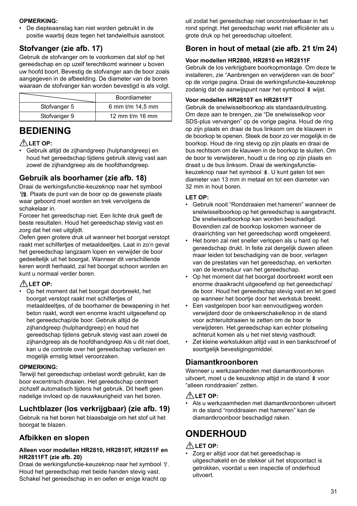### **OPMERKING:**

• De diepteaanslag kan niet worden gebruikt in de positie waarbij deze tegen het tandwielhuis aanstoot.

# **Stofvanger (zie afb. 17)**

Gebruik de stofvanger om te voorkomen dat stof op het gereedschap en op uzelf terechtkomt wanneer u boven uw hoofd boort. Bevestig de stofvanger aan de boor zoals aangegeven in de afbeelding. De diameter van de boren waaraan de stofvanger kan worden bevestigd is als volgt.

|              | Boordiameter      |
|--------------|-------------------|
| Stofvanger 5 | 6 mm t/m 14,5 mm  |
| Stofvanger 9 | 12 mm $t/m$ 16 mm |

# **BEDIENING**

### **LET OP:**

• Gebruik altijd de zijhandgreep (hulphandgreep) en houd het gereedschap tijdens gebruik stevig vast aan zowel de zijhandgreep als de hoofdhandgreep.

## **Gebruik als boorhamer (zie afb. 18)**

Draai de werkingsfunctie-keuzeknop naar het symbool . Plaats de punt van de boor op de gewenste plaats waar geboord moet worden en trek vervolgens de schakelaar in.

Forceer het gereedschap niet. Een lichte druk geeft de beste resultaten. Houd het gereedschap stevig vast en zorg dat het niet uitglijdt.

Oefen geen grotere druk uit wanneer het boorgat verstopt raakt met schilfertjes of metaaldeeltjes. Laat in zo'n geval het gereedschap langzaam lopen en verwijder de boor gedeeltelijk uit het boorgat. Wanneer dit verschillende keren wordt herhaald, zal het boorgat schoon worden en kunt u normaal verder boren.

### **LET OP:**

• Op het moment dat het boorgat doorbreekt, het boorgat verstopt raakt met schilfertjes of metaaldeeltjes, of de boorhamer de bewapening in het beton raakt, wordt een enorme kracht uitgeoefend op het gereedschap/de boor. Gebruik altijd de zijhandgreep (hulphandgreep) en houd het gereedschap tijdens gebruik stevig vast aan zowel de zijhandgreep als de hoofdhandgreep Als u dit niet doet, kan u de controle over het gereedschap verliezen en mogelijk ernstig letsel veroorzaken.

### **OPMERKING:**

Terwijl het gereedschap onbelast wordt gebruikt, kan de boor excentrisch draaien. Het gereedschap centreert zichzelf automatisch tijdens het gebruik. Dit heeft geen nadelige invloed op de nauwkeurigheid van het boren.

# **Luchtblazer (los verkrijgbaar) (zie afb. 19)**

Gebruik na het boren het blaasbalgje om het stof uit het boorgat te blazen.

# **Afbikken en slopen**

### **Alleen voor modellen HR2810, HR2810T, HR2811F en HR2811FT (zie afb. 20)**

Draai de werkingsfunctie-keuzeknop naar het symbool  $\sqrt{r}$ . Houd het gereedschap met beide handen stevig vast. Schakel het gereedschap in en oefen er enige kracht op

uit zodat het gereedschap niet oncontroleerbaar in het rond springt. Het gereedschap werkt niet efficiënter als u grote druk op het gereedschap uitoefent.

# **Boren in hout of metaal (zie afb. 21 t/m 24)**

### **Voor modellen HR2800, HR2810 en HR2811F**

Gebruik de los verkrijgbare boorkopmontage. Om deze te installeren, zie "Aanbrengen en verwijderen van de boor" op de vorige pagina. Draai de werkingsfunctie-keuzeknop zodanig dat de aanwijspunt naar het symbool § wijst.

### **Voor modellen HR2810T en HR2811FT**

Gebruik de snelwisselboorkop als standaarduitrusting. Om deze aan te brengen, zie "De snelwisselkop voor SDS-plus vervangen" op de vorige pagina. Houd de ring op zijn plaats en draai de bus linksom om de klauwen in de boorkop te openen. Steek de boor zo ver mogelijk in de boorkop. Houd de ring stevig op zijn plaats en draai de bus rechtsom om de klauwen in de boorkop te sluiten. Om de boor te verwijderen, houdt u de ring op zijn plaats en draait u de bus linksom. Draai de werkingsfunctiekeuzeknop naar het symbool  $\hat{a}$ . U kunt gaten tot een diameter van 13 mm in metaal en tot een diameter van 32 mm in hout boren.

### **LET OP:**

- Gebruik nooit "Ronddraaien met hameren" wanneer de snelwisselboorkop op het gereedschap is aangebracht. De snelwisselboorkop kan worden beschadigd. Bovendien zal de boorkop loskomen wanneer de draairichting van het gereedschap wordt omgekeerd.
- Het boren zal niet sneller verlopen als u hard op het gereedschap drukt. In feite zal dergelijk duwen alleen maar leiden tot beschadiging van de boor, verlagen van de prestaties van het gereedschap, en verkorten van de levensduur van het gereedschap.
- Op het moment dat het boorgat doorbreekt wordt een enorme draaikracht uitgeoefend op het gereedschap/ de boor. Houd het gereedschap stevig vast en let goed op wanneer het boortje door het werkstuk breekt.
- Een vastgelopen boor kan eenvoudigweg worden verwijderd door de omkeerschakelknop in de stand voor achteruitdraaien te zetten om de boor te verwijderen. Het gereedschap kan echter plotseling achteruit komen als u het niet stevig vasthoudt.
- Zet kleine werkstukken altijd vast in een bankschroef of soortgelijk bevestigingsmiddel.

## **Diamantkroonboren**

Wanneer u werkzaamheden met diamantkroonboren uitvoert, moet u de keuzeknop altijd in de stand & voor "alleen ronddraaien" zetten.

### **LET OP:**

• Als u werkzaamheden met diamantkroonboren uitvoert in de stand "ronddraaien met hameren" kan de diamantkroonboor beschadigd raken.

# **ONDERHOUD**

### **LET OP:**

Zorg er altijd voor dat het gereedschap is uitgeschakeld en de stekker uit het stopcontact is getrokken, voordat u een inspectie of onderhoud uitvoert.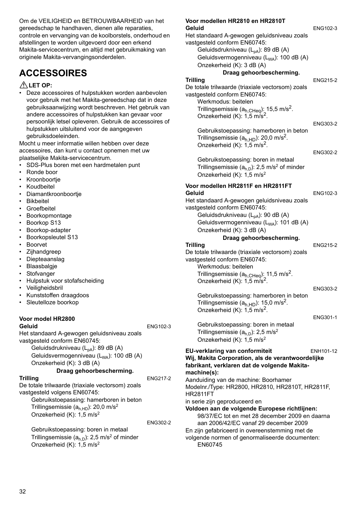Om de VEILIGHEID en BETROUWBAARHEID van het gereedschap te handhaven, dienen alle reparaties, controle en vervanging van de koolborstels, onderhoud en afstellingen te worden uitgevoerd door een erkend Makita-servicecentrum, en altijd met gebruikmaking van originele Makita-vervangingsonderdelen.

# **ACCESSOIRES**

### **LET OP:**

• Deze accessoires of hulpstukken worden aanbevolen voor gebruik met het Makita-gereedschap dat in deze gebruiksaanwijzing wordt beschreven. Het gebruik van andere accessoires of hulpstukken kan gevaar voor persoonlijk letsel opleveren. Gebruik de accessoires of hulpstukken uitsluitend voor de aangegeven gebruiksdoeleinden.

Mocht u meer informatie willen hebben over deze accessoires, dan kunt u contact opnemen met uw plaatselijke Makita-servicecentrum.

- SDS-Plus boren met een hardmetalen punt
- Ronde boor
- Kroonboortie
- Koudbeitel
- Diamantkroonboortje
- Bikbeitel
- Groefbeitel
- Boorkopmontage
- Boorkop S13
- Boorkop-adapter
- Boorkopsleutel S13
- Boorvet
- Zijhandgreep
- Diepteaanslag
- Blaasbalgje
- Stofvanger
- Hulpstuk voor stofafscheiding
- Veiligheidsbril
- Kunststoffen draagdoos
- Sleutelloze boorkop

#### **Voor model HR2800 Geluid** ENG102-3

ENG302-2

Het standaard A-gewogen geluidsniveau zoals vastgesteld conform EN60745: Geluidsdrukniveau  $(L_{pA})$ : 89 dB (A)

Geluidsvermogenniveau (L<sub>WA</sub>): 100 dB (A) Onzekerheid (K): 3 dB (A)

### **Draag gehoorbescherming.**

#### **Trilling** ENG217-2

De totale trilwaarde (triaxiale vectorsom) zoals vastgesteld volgens EN60745: Gebruikstoepassing: hamerboren in beton Trillingsemissie ( $a<sub>h HD</sub>$ ): 20,0 m/s<sup>2</sup> Onzekerheid (K): 1,5 m/s2

Gebruikstoepassing: boren in metaal Trillingsemissie  $(a<sub>h,D</sub>)$ : 2,5 m/s<sup>2</sup> of minder Onzekerheid (K): 1,5 m/s2

| Voor modellen HR2810 en HR2810T                                                                         |                 |
|---------------------------------------------------------------------------------------------------------|-----------------|
| Geluid                                                                                                  | ENG102-3        |
| Het standaard A-gewogen geluidsniveau zoals                                                             |                 |
| vastgesteld conform EN60745:                                                                            |                 |
| Geluidsdrukniveau (L <sub>pA</sub> ): 89 dB (A)<br>Geluidsvermogenniveau (L <sub>WA</sub> ): 100 dB (A) |                 |
| Onzekerheid (K): 3 dB (A)                                                                               |                 |
| Draag gehoorbescherming.                                                                                |                 |
| <b>Trilling</b>                                                                                         | ENG215-2        |
| De totale trilwaarde (triaxiale vectorsom) zoals                                                        |                 |
| vastgesteld conform EN60745:                                                                            |                 |
| Werkmodus: beitelen                                                                                     |                 |
| Trillingsemissie $(a_{h,CHeq})$ : 15,5 m/s <sup>2</sup> .                                               |                 |
| Onzekerheid (K): 1,5 m/s <sup>2</sup>                                                                   |                 |
|                                                                                                         | ENG303-2        |
| Gebruikstoepassing: hamerboren in beton                                                                 |                 |
| Trillingsemissie ( $a_{h,HD}$ ): 20,0 m/s <sup>2</sup> .                                                |                 |
| Onzekerheid (K): 1,5 m/s <sup>2</sup> .                                                                 | <b>ENG302-2</b> |
| Gebruikstoepassing: boren in metaal                                                                     |                 |
| Trillingsemissie $(ah,D)$ : 2,5 m/s <sup>2</sup> of minder                                              |                 |
| Onzekerheid (K): 1,5 m/s <sup>2</sup>                                                                   |                 |
|                                                                                                         |                 |
| Voor modellen HR2811F en HR2811FT<br>Geluid                                                             |                 |
| Het standaard A-gewogen geluidsniveau zoals                                                             | ENG102-3        |
| vastgesteld conform EN60745:                                                                            |                 |
| Geluidsdrukniveau (L <sub>pA</sub> ): 90 dB (A)                                                         |                 |
| Geluidsvermogenniveau (L <sub>WA</sub> ): 101 dB (A)                                                    |                 |
| Onzekerheid (K): 3 dB (A)                                                                               |                 |
| Draag gehoorbescherming.                                                                                |                 |
|                                                                                                         |                 |
| <b>Trilling</b>                                                                                         | <b>ENG215-2</b> |
| De totale trilwaarde (triaxiale vectorsom) zoals                                                        |                 |
| vastgesteld conform EN60745:                                                                            |                 |
| Werkmodus: beitelen                                                                                     |                 |
| Trillingsemissie $(a_{h,CHeq})$ : 11,5 m/s <sup>2</sup> .                                               |                 |
| Onzekerheid (K): 1,5 m/s <sup>2</sup> .                                                                 |                 |
|                                                                                                         | <b>ENG303-2</b> |
| Gebruikstoepassing: hamerboren in beton                                                                 |                 |
| Trillingsemissie (a <sub>h HD</sub> ): 15,0 m/s <sup>2</sup> .                                          |                 |
| Onzekerheid (K): 1,5 m/s <sup>2</sup> .                                                                 | ENG301-1        |
| Gebruikstoepassing: boren in metaal                                                                     |                 |
| Trillingsemissie $(ah,D)$ : 2,5 m/s <sup>2</sup>                                                        |                 |
| Onzekerheid (K): 1,5 m/s <sup>2</sup>                                                                   |                 |
|                                                                                                         | ENH101-12       |
| <b>EU-verklaring van conformiteit</b><br>Wij, Makita Corporation, als de verantwoordelijke              |                 |
| fabrikant, verklaren dat de volgende Makita-                                                            |                 |
| machine(s):                                                                                             |                 |
| Aanduiding van de machine: Boorhamer                                                                    |                 |
| Modelnr./Type: HR2800, HR2810, HR2810T, HR2811F,                                                        |                 |
| <b>HR2811FT</b>                                                                                         |                 |
| in serie zijn geproduceerd en                                                                           |                 |
| Voldoen aan de volgende Europese richtlijnen:                                                           |                 |
| 98/37/EC tot en met 28 december 2009 en daarna<br>aan 2006/42/EC vanaf 29 december 2009                 |                 |
| En zijn gefabriceerd in overeenstemming met de                                                          |                 |
| volgende normen of genormaliseerde documenten:<br><b>EN60745</b>                                        |                 |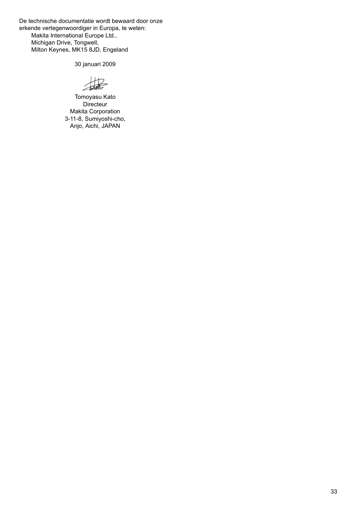De technische documentatie wordt bewaard door onze erkende vertegenwoordiger in Europa, te weten: Makita International Europe Ltd., Michigan Drive, Tongwell, Milton Keynes, MK15 8JD, Engeland

30 januari 2009

 $H2$ 

Tomoyasu Kato **Directeur** Makita Corporation 3-11-8, Sumiyoshi-cho, Anjo, Aichi, JAPAN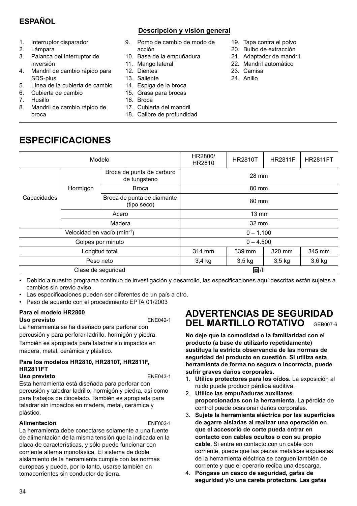# **ESPAÑOL**

- 1. Interruptor disparador
- 2. Lámpara
- 3. Palanca del interruptor de inversión
- 4. Mandril de cambio rápido para SDS-plus
- 5. Línea de la cubierta de cambio
- 6. Cubierta de cambio
- 7. Husillo
- 8. Mandril de cambio rápido de broca

**ESPECIFICACIONES**

## **Descripción y visión general**

- 9. Pomo de cambio de modo de acción
- 10. Base de la empuñadura
- 11 Mango lateral
- 12. Dientes
- 
- 14. Espiga de la broca
- 15. Grasa para brocas
- 16. Broca
	-
- 17. Cubierta del mandril
- 18. Calibre de profundidad
- 19. Tapa contra el polvo
- 20. Bulbo de extracción
- 21. Adaptador de mandril
- 22. Mandril automático
- 23. Camisa
- 24. Anillo

| Modelo                     |          |                                           | HR2800/<br>HR2810 | <b>HR2810T</b>    | <b>HR2811F</b> | <b>HR2811FT</b> |
|----------------------------|----------|-------------------------------------------|-------------------|-------------------|----------------|-----------------|
| Capacidades                | Hormigón | Broca de punta de carburo<br>de tungsteno | 28 mm             |                   |                |                 |
|                            |          | <b>Broca</b>                              | 80 mm             |                   |                |                 |
|                            |          | Broca de punta de diamante<br>(tipo seco) | 80 mm             |                   |                |                 |
|                            | Acero    |                                           | $13 \text{ mm}$   |                   |                |                 |
|                            | Madera   |                                           | 32 mm             |                   |                |                 |
| Velocidad en vacío (mín-1) |          | $0 - 1.100$                               |                   |                   |                |                 |
| Golpes por minuto          |          | $0 - 4.500$                               |                   |                   |                |                 |
| Longitud total             |          | 314 mm                                    | 339 mm            | 320 mm            | 345 mm         |                 |
| Peso neto                  |          | $3,4$ kg                                  | $3,5$ kg          | 3.5 <sub>kq</sub> | $3,6$ kg       |                 |
| Clase de seguridad         |          |                                           | 回川                |                   |                |                 |
|                            |          |                                           |                   |                   |                |                 |

• Debido a nuestro programa continuo de investigación y desarrollo, las especificaciones aquí descritas están sujetas a cambios sin previo aviso.

- Las especificaciones pueden ser diferentes de un país a otro.
- Peso de acuerdo con el procedimiento EPTA 01/2003

#### **Para el modelo HR2800 Uso previsto** ENE042-1

La herramienta se ha diseñado para perforar con percusión y para perforar ladrillo, hormigón y piedra. También es apropiada para taladrar sin impactos en madera, metal, cerámica y plástico.

#### **Para los modelos HR2810, HR2810T, HR2811F, HR2811FT** Uso previsto **ENE043-1**

Esta herramienta está diseñada para perforar con percusión y taladrar ladrillo, hormigón y piedra, así como para trabajos de cincelado. También es apropiada para taladrar sin impactos en madera, metal, cerámica y plástico.

### **Alimentación** ENF002-1

La herramienta debe conectarse solamente a una fuente de alimentación de la misma tensión que la indicada en la placa de características, y sólo puede funcionar con corriente alterna monofásica. El sistema de doble aislamiento de la herramienta cumple con las normas europeas y puede, por lo tanto, usarse también en tomacorrientes sin conductor de tierra.

# **ADVERTENCIAS DE SEGURIDAD DEL MARTILLO ROTATIVO** GEB007-6

**No deje que la comodidad o la familiaridad con el producto (a base de utilizarlo repetidamente) sustituya la estricta observancia de las normas de seguridad del producto en cuestión. Si utiliza esta herramienta de forma no segura o incorrecta, puede sufrir graves daños corporales.** 

- 1. **Utilice protectores para los oídos.** La exposición al ruido puede producir pérdida auditiva.
- 2. **Utilice las empuñaduras auxiliares proporcionadas con la herramienta.** La pérdida de control puede ocasionar daños corporales.
- 3. **Sujete la herramienta eléctrica por las superficies de agarre aisladas al realizar una operación en que el accesorio de corte pueda entrar en contacto con cables ocultos o con su propio cable.** Si entra en contacto con un cable con corriente, puede que las piezas metálicas expuestas de la herramienta eléctrica se carguen también de corriente y que el operario reciba una descarga.
- 4. **Póngase un casco de seguridad, gafas de seguridad y/o una careta protectora. Las gafas**

13. Saliente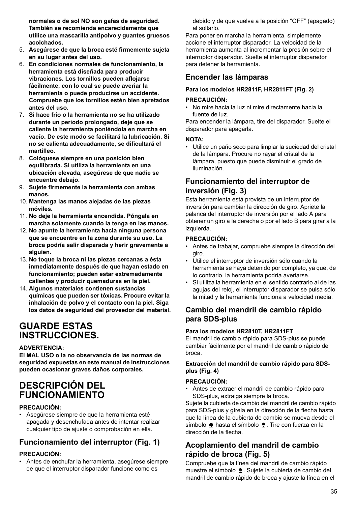**normales o de sol NO son gafas de seguridad. También se recomienda encarecidamente que utilice una mascarilla antipolvo y guantes gruesos acolchados.** 

- 5. **Asegúrese de que la broca esté firmemente sujeta en su lugar antes del uso.**
- 6. **En condiciones normales de funcionamiento, la herramienta está diseñada para producir vibraciones. Los tornillos pueden aflojarse fácilmente, con lo cual se puede averiar la herramienta o puede producirse un accidente. Compruebe que los tornillos estén bien apretados antes del uso.**
- 7. **Si hace frío o la herramienta no se ha utilizado durante un período prolongado, deje que se caliente la herramienta poniéndola en marcha en vacío. De este modo se facilitará la lubricación. Si no se calienta adecuadamente, se dificultará el martilleo.**
- 8. **Colóquese siempre en una posición bien equilibrada. Si utiliza la herramienta en una ubicación elevada, asegúrese de que nadie se encuentre debajo.**
- 9. **Sujete firmemente la herramienta con ambas manos.**
- 10. **Mantenga las manos alejadas de las piezas móviles.**
- 11. **No deje la herramienta encendida. Póngala en marcha solamente cuando la tenga en las manos.**
- 12. **No apunte la herramienta hacia ninguna persona que se encuentre en la zona durante su uso. La broca podría salir disparada y herir gravemente a alguien.**
- 13. **No toque la broca ni las piezas cercanas a ésta inmediatamente después de que hayan estado en funcionamiento; pueden estar extremadamente calientes y producir quemaduras en la piel.**
- 14. **Algunos materiales contienen sustancias químicas que pueden ser tóxicas. Procure evitar la inhalación de polvo y el contacto con la piel. Siga los datos de seguridad del proveedor del material.**

# **GUARDE ESTAS INSTRUCCIONES.**

### **ADVERTENCIA:**

**El MAL USO o la no observancia de las normas de seguridad expuestas en este manual de instrucciones pueden ocasionar graves daños corporales.**

# **DESCRIPCIÓN DEL FUNCIONAMIENTO**

### **PRECAUCIÓN:**

• Asegúrese siempre de que la herramienta esté apagada y desenchufada antes de intentar realizar cualquier tipo de ajuste o comprobación en ella.

# **Funcionamiento del interruptor (Fig. 1)**

### **PRECAUCIÓN:**

• Antes de enchufar la herramienta, asegúrese siempre de que el interruptor disparador funcione como es

debido y de que vuelva a la posición "OFF" (apagado) al soltarlo.

Para poner en marcha la herramienta, simplemente accione el interruptor disparador. La velocidad de la herramienta aumenta al incrementar la presión sobre el interruptor disparador. Suelte el interruptor disparador para detener la herramienta.

# **Encender las lámparas**

### **Para los modelos HR2811F, HR2811FT (Fig. 2)**

### **PRECAUCIÓN:**

• No mire hacia la luz ni mire directamente hacia la fuente de luz.

Para encender la lámpara, tire del disparador. Suelte el disparador para apagarla.

### **NOTA:**

• Utilice un paño seco para limpiar la suciedad del cristal de la lámpara. Procure no rayar el cristal de la lámpara, puesto que puede disminuir el grado de iluminación.

# **Funcionamiento del interruptor de inversión (Fig. 3)**

Esta herramienta está provista de un interruptor de inversión para cambiar la dirección de giro. Apriete la palanca del interruptor de inversión por el lado A para obtener un giro a la derecha o por el lado B para girar a la izquierda.

### **PRECAUCIÓN:**

- Antes de trabajar, compruebe siempre la dirección del giro.
- Utilice el interruptor de inversión sólo cuando la herramienta se haya detenido por completo, ya que, de lo contrario, la herramienta podría averiarse.
- Si utiliza la herramienta en el sentido contrario al de las agujas del reloj, el interruptor disparador se pulsa sólo la mitad y la herramienta funciona a velocidad media.

# **Cambio del mandril de cambio rápido para SDS-plus**

### **Para los modelos HR2810T, HR2811FT**

El mandril de cambio rápido para SDS-plus se puede cambiar fácilmente por el mandril de cambio rápido de broca.

### **Extracción del mandril de cambio rápido para SDSplus (Fig. 4)**

### **PRECAUCIÓN:**

• Antes de extraer el mandril de cambio rápido para SDS-plus, extraiga siempre la broca.

Sujete la cubierta de cambio del mandril de cambio rápido para SDS-plus y gírela en la dirección de la flecha hasta que la línea de la cubierta de cambio se mueva desde el símbolo  $\triangle$  hasta el símbolo  $\triangle$ . Tire con fuerza en la dirección de la flecha.

# **Acoplamiento del mandril de cambio rápido de broca (Fig. 5)**

Compruebe que la línea del mandril de cambio rápido muestre el símbolo  $\triangle$ . Sujete la cubierta de cambio del mandril de cambio rápido de broca y ajuste la línea en el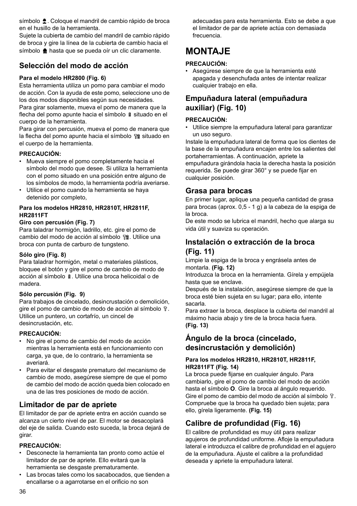símbolo  $\triangle$ . Coloque el mandril de cambio rápido de broca en el husillo de la herramienta.

Sujete la cubierta de cambio del mandril de cambio rápido de broca y gire la línea de la cubierta de cambio hacia el símbolo  $\triangle$  hasta que se pueda oír un clic claramente.

# **Selección del modo de acción**

### **Para el modelo HR2800 (Fig. 6)**

Esta herramienta utiliza un pomo para cambiar el modo de acción. Con la ayuda de este pomo, seleccione uno de los dos modos disponibles según sus necesidades. Para girar solamente, mueva el pomo de manera que la flecha del pomo apunte hacia el símbolo  $\frac{1}{2}$  situado en el cuerpo de la herramienta.

Para girar con percusión, mueva el pomo de manera que la flecha del pomo apunte hacia el símbolo fa situado en el cuerpo de la herramienta.

### **PRECAUCIÓN:**

- Mueva siempre el pomo completamente hacia el símbolo del modo que desee. Si utiliza la herramienta con el pomo situado en una posición entre alguno de los símbolos de modo, la herramienta podría averiarse.
- Utilice el pomo cuando la herramienta se haya detenido por completo,

### **Para los modelos HR2810, HR2810T, HR2811F, HR2811FT**

### **Giro con percusión (Fig. 7)**

Para taladrar hormigón, ladrillo, etc. gire el pomo de cambio del modo de acción al símbolo  $\mathbb{T}$ 8. Utilice una broca con punta de carburo de tungsteno.

### **Sólo giro (Fig. 8)**

Para taladrar hormigón, metal o materiales plásticos, bloquee el botón y gire el pomo de cambio de modo de acción al símbolo  $%$ . Utilice una broca helicoidal o de madera.

### **Sólo percusión (Fig. 9)**

Para trabajos de cincelado, desincrustación o demolición, gire el pomo de cambio de modo de acción al símbolo  $\sqrt[n]{\cdot}$ . Utilice un puntero, un cortafrío, un cincel de desincrustación, etc.

### **PRECAUCIÓN:**

- No gire el pomo de cambio del modo de acción mientras la herramienta está en funcionamiento con carga, ya que, de lo contrario, la herramienta se averiará.
- Para evitar el desgaste prematuro del mecanismo de cambio de modo, asegúrese siempre de que el pomo de cambio del modo de acción queda bien colocado en una de las tres posiciones de modo de acción.

## **Limitador de par de apriete**

El limitador de par de apriete entra en acción cuando se alcanza un cierto nivel de par. El motor se desacoplará del eje de salida. Cuando esto suceda, la broca dejará de girar.

### **PRECAUCIÓN:**

- Desconecte la herramienta tan pronto como actúe el limitador de par de apriete. Ello evitará que la herramienta se desgaste prematuramente.
- Las brocas tales como los sacabocados, que tienden a encallarse o a agarrotarse en el orificio no son

adecuadas para esta herramienta. Esto se debe a que el limitador de par de apriete actúa con demasiada frecuencia.

# **MONTAJE**

### **PRECAUCIÓN:**

• Asegúrese siempre de que la herramienta esté apagada y desenchufada antes de intentar realizar cualquier trabajo en ella.

# **Empuñadura lateral (empuñadura auxiliar) (Fig. 10)**

### **PRECAUCIÓN:**

• Utilice siempre la empuñadura lateral para garantizar un uso seguro.

Instale la empuñadura lateral de forma que los dientes de la base de la empuñadura encajen entre los salientes del portaherramientas. A continuación, apriete la empuñadura girándola hacia la derecha hasta la posición requerida. Se puede girar 360° y se puede fijar en cualquier posición.

### **Grasa para brocas**

En primer lugar, aplique una pequeña cantidad de grasa para brocas (aprox. 0,5 - 1 g) a la cabeza de la espiga de la broca.

De este modo se lubrica el mandril, hecho que alarga su vida útil y suaviza su operación.

## **Instalación o extracción de la broca (Fig. 11)**

Limpie la espiga de la broca y engrásela antes de montarla. **(Fig. 12)**

Introduzca la broca en la herramienta. Gírela y empújela hasta que se enclave.

Después de la instalación, asegúrese siempre de que la broca esté bien sujeta en su lugar; para ello, intente sacarla.

Para extraer la broca, desplace la cubierta del mandril al máximo hacia abajo y tire de la broca hacia fuera. **(Fig. 13)**

# **Ángulo de la broca (cincelado, desincrustación y demolición)**

### **Para los modelos HR2810, HR2810T, HR2811F, HR2811FT (Fig. 14)**

La broca puede fijarse en cualquier ángulo. Para cambiarlo, gire el pomo de cambio del modo de acción hasta el símbolo **O**. Gire la broca al ángulo requerido. Gire el pomo de cambio del modo de acción al símbolo  $\hat{v}$ . Compruebe que la broca ha quedado bien sujeta; para ello, gírela ligeramente. **(Fig. 15)**

# **Calibre de profundidad (Fig. 16)**

El calibre de profundidad es muy útil para realizar agujeros de profundidad uniforme. Afloje la empuñadura lateral e introduzca el calibre de profundidad en el agujero de la empuñadura. Ajuste el calibre a la profundidad deseada y apriete la empuñadura lateral.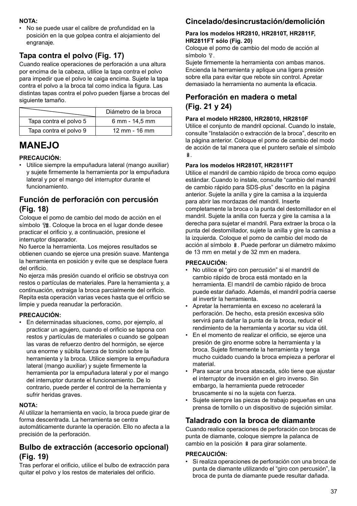### **NOTA:**

• No se puede usar el calibre de profundidad en la posición en la que golpea contra el alojamiento del engranaje.

# **Tapa contra el polvo (Fig. 17)**

Cuando realice operaciones de perforación a una altura por encima de la cabeza, utilice la tapa contra el polvo para impedir que el polvo le caiga encima. Sujete la tapa contra el polvo a la broca tal como indica la figura. Las distintas tapas contra el polvo pueden fijarse a brocas del siguiente tamaño.

|                        | Diámetro de la broca      |
|------------------------|---------------------------|
| Tapa contra el polvo 5 | 6 mm - 14,5 mm            |
| Tapa contra el polvo 9 | $12 \, \text{mm}$ - 16 mm |

# **MANEJO**

### **PRECAUCIÓN:**

• Utilice siempre la empuñadura lateral (mango auxiliar) y sujete firmemente la herramienta por la empuñadura lateral y por el mango del interruptor durante el funcionamiento.

# **Función de perforación con percusión (Fig. 18)**

Coloque el pomo de cambio del modo de acción en el símbolo  $\frac{1}{2}$ . Coloque la broca en el lugar donde desee practicar el orificio y, a continuación, presione el interruptor disparador.

No fuerce la herramienta. Los mejores resultados se obtienen cuando se ejerce una presión suave. Mantenga la herramienta en posición y evite que se desplace fuera del orificio.

No ejerza más presión cuando el orificio se obstruya con restos o partículas de materiales. Pare la herramienta y, a continuación, extraiga la broca parcialmente del orificio. Repita esta operación varias veces hasta que el orificio se limpie y pueda reanudar la perforación.

### **PRECAUCIÓN:**

• En determinadas situaciones, como, por ejemplo, al practicar un agujero, cuando el orificio se tapona con restos y partículas de materiales o cuando se golpean las varas de refuerzo dentro del hormigón, se ejerce una enorme y súbita fuerza de torsión sobre la herramienta y la broca. Utilice siempre la empuñadura lateral (mango auxiliar) y sujete firmemente la herramienta por la empuñadura lateral y por el mango del interruptor durante el funcionamiento. De lo contrario, puede perder el control de la herramienta y sufrir heridas graves.

### **NOTA:**

Al utilizar la herramienta en vacío, la broca puede girar de forma descentrada. La herramienta se centra automáticamente durante la operación. Ello no afecta a la precisión de la perforación.

## **Bulbo de extracción (accesorio opcional) (Fig. 19)**

Tras perforar el orificio, utilice el bulbo de extracción para quitar el polvo y los restos de materiales del orificio.

# **Cincelado/desincrustación/demolición**

### **Para los modelos HR2810, HR2810T, HR2811F, HR2811FT sólo (Fig. 20)**

Coloque el pomo de cambio del modo de acción al  $s<sub>í</sub>$ mbolo  $R$ 

Sujete firmemente la herramienta con ambas manos. Encienda la herramienta y aplique una ligera presión sobre ella para evitar que rebote sin control. Apretar demasiado la herramienta no aumenta la eficacia.

# **Perforación en madera o metal (Fig. 21 y 24)**

### **Para el modelo HR2800, HR28010, HR2810F**

Utilice el conjunto de mandril opcional. Cuando lo instale, consulte "Instalación o extracción de la broca", descrito en la página anterior. Coloque el pomo de cambio del modo de acción de tal manera que el puntero señale el símbolo .

### **Para los modelos HR2810T, HR2811FT**

Utilice el mandril de cambio rápido de broca como equipo estándar. Cuando lo instale, consulte "cambio del mandril de cambio rápido para SDS-plus" descrito en la página anterior. Sujete la anilla y gire la camisa a la izquierda para abrir las mordazas del mandril. Inserte completamente la broca o la punta del destornillador en el mandril. Sujete la anilla con fuerza y gire la camisa a la derecha para sujetar el mandril. Para extraer la broca o la punta del destornillador, sujete la anilla y gire la camisa a la izquierda. Coloque el pomo de cambio del modo de acción al símbolo  $\hat{a}$ . Puede perforar un diámetro máximo de 13 mm en metal y de 32 mm en madera.

### **PRECAUCIÓN:**

- No utilice el "giro con percusión" si el mandril de cambio rápido de broca está montado en la herramienta. El mandril de cambio rápido de broca puede estar dañado. Además, el mandril podría caerse al invertir la herramienta.
- Apretar la herramienta en exceso no acelerará la perforación. De hecho, esta presión excesiva sólo servirá para dañar la punta de la broca, reducir el rendimiento de la herramienta y acortar su vida útil.
- En el momento de realizar el orificio, se ejerce una presión de giro enorme sobre la herramienta y la broca. Sujete firmemente la herramienta y tenga mucho cuidado cuando la broca empieza a perforar el material.
- Para sacar una broca atascada, sólo tiene que ajustar el interruptor de inversión en el giro inverso. Sin embargo, la herramienta puede retroceder bruscamente si no la sujeta con fuerza.
- Sujete siempre las piezas de trabajo pequeñas en una prensa de tornillo o un dispositivo de sujeción similar.

## **Taladrado con la broca de diamante**

Cuando realice operaciones de perforación con brocas de punta de diamante, coloque siempre la palanca de cambio en la posición  $\hat{a}$  para girar solamente.

### **PRECAUCIÓN:**

• Si realiza operaciones de perforación con una broca de punta de diamante utilizando el "giro con percusión", la broca de punta de diamante puede resultar dañada.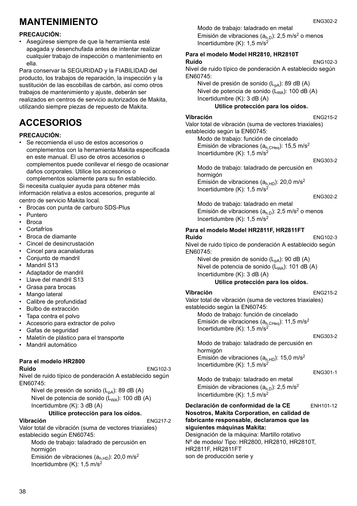# **MANTENIMIENTO**

### **PRECAUCIÓN:**

• Asegúrese siempre de que la herramienta esté apagada y desenchufada antes de intentar realizar cualquier trabajo de inspección o mantenimiento en ella.

Para conservar la SEGURIDAD y la FIABILIDAD del producto, los trabajos de reparación, la inspección y la sustitución de las escobillas de carbón, así como otros trabajos de mantenimiento y ajuste, deberán ser realizados en centros de servicio autorizados de Makita, utilizando siempre piezas de repuesto de Makita.

# **ACCESORIOS**

### **PRECAUCIÓN:**

• Se recomienda el uso de estos accesorios o complementos con la herramienta Makita especificada en este manual. El uso de otros accesorios o complementos puede conllevar el riesgo de ocasionar daños corporales. Utilice los accesorios o

complementos solamente para su fin establecido. Si necesita cualquier ayuda para obtener más información relativa a estos accesorios, pregunte al centro de servicio Makita local.

- Brocas con punta de carburo SDS-Plus
- Puntero
- Broca
- Cortafríos
- Broca de diamante
- Cincel de desincrustación
- Cincel para acanaladuras
- Conjunto de mandril
- Mandril S13
- Adaptador de mandril
- Llave del mandril S13
- Grasa para brocas
- Mango lateral
- Calibre de profundidad
- Bulbo de extracción
- Tapa contra el polvo
- Accesorio para extractor de polvo
- Gafas de seguridad
- Maletín de plástico para el transporte
- Mandril automático

#### **Para el modelo HR2800 Ruido** ENG102-3

Nivel de ruido típico de ponderación A establecido según EN60745:

Nivel de presión de sonido  $(L_{pA})$ : 89 dB (A) Nivel de potencia de sonido  $(L_{WA})$ : 100 dB  $(A)$ Incertidumbre (K): 3 dB (A)

### **Utilice protección para los oídos.**

### **Vibración** ENG217-2

Valor total de vibración (suma de vectores triaxiales) establecido según EN60745:

Modo de trabajo: taladrado de percusión en hormigón Emisión de vibraciones ( $a<sub>h.HD</sub>$ ): 20,0 m/s<sup>2</sup> Incertidumbre (K): 1,5 m/s2

Modo de trabajo: taladrado en metal Emisión de vibraciones  $(a_{h,0})$ : 2,5 m/s<sup>2</sup> o menos Incertidumbre  $(K)$ : 1.5 m/s<sup>2</sup>

#### **Para el modelo Model HR2810, HR2810T Ruido** ENG102-3

Nivel de ruido típico de ponderación A establecido según EN60745:

Nivel de presión de sonido  $(L_{pA})$ : 89 dB  $(A)$ Nivel de potencia de sonido  $(L_{WA})$ : 100 dB (A) Incertidumbre (K): 3 dB (A)

### **Utilice protección para los oídos.**

### **Vibración** ENG215-2

Valor total de vibración (suma de vectores triaxiales) establecido según la EN60745:

Modo de trabajo: función de cincelado Emisión de vibraciones ( $a_{h,CHea}$ ): 15,5 m/s<sup>2</sup> Incertidumbre  $(K)$ : 1.5 m/s<sup>2</sup>

#### ENG303-2

Modo de trabajo: taladrado de percusión en hormigón Emisión de vibraciones ( $a<sub>h,HD</sub>$ ): 20,0 m/s<sup>2</sup> Incertidumbre  $(K)$ : 1,5 m/s<sup>2</sup>

#### ENG302-2

Modo de trabajo: taladrado en metal Emisión de vibraciones  $(a<sub>h,D</sub>)$ : 2,5 m/s<sup>2</sup> o menos Incertidumbre  $(K)$ : 1,5 m/s<sup>2</sup>

### **Para el modelo Model HR2811F, HR2811FT**

#### **Ruido** ENG102-3 Nivel de ruido típico de ponderación A establecido según EN60745:

Nivel de presión de sonido  $(L_{pA})$ : 90 dB (A) Nivel de potencia de sonido  $(L_{WA})$ : 101 dB (A) Incertidumbre (K): 3 dB (A)

### **Utilice protección para los oídos.**

### **Vibración** ENG215-2

Valor total de vibración (suma de vectores triaxiales) establecido según la EN60745:

Modo de trabajo: función de cincelado Emisión de vibraciones ( $a_{h,CHeq}$ ): 11,5 m/s<sup>2</sup> Incertidumbre  $(K)$ : 1,5 m/s<sup>2</sup>

#### ENG303-2

Modo de trabajo: taladrado de percusión en hormigón Emisión de vibraciones ( $a<sub>h,HD</sub>$ ): 15,0 m/s<sup>2</sup> Incertidumbre (K): 1,5 m/s2

```
ENG301-1
```
Modo de trabajo: taladrado en metal Emisión de vibraciones ( $a<sub>h,D</sub>$ ): 2,5 m/s<sup>2</sup> Incertidumbre  $(K)$ : 1,5 m/s<sup>2</sup>

### **Declaración de conformidad de la CE** ENH101-12 **Nosotros, Makita Corporation, en calidad de fabricante responsable, declaramos que las siguientes máquinas Makita:**

Designación de la máquina: Martillo rotativo Nº de modelo/ Tipo: HR2800, HR2810, HR2810T, HR2811F, HR2811FT son de producción serie y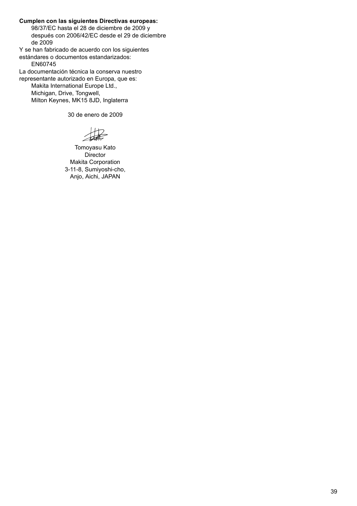**Cumplen con las siguientes Directivas europeas:**

98/37/EC hasta el 28 de diciembre de 2009 y después con 2006/42/EC desde el 29 de diciembre de 2009

Y se han fabricado de acuerdo con los siguientes estándares o documentos estandarizados:

EN60745

La documentación técnica la conserva nuestro

representante autorizado en Europa, que es: Makita International Europe Ltd.,

Michigan, Drive, Tongwell, Milton Keynes, MK15 8JD, Inglaterra

30 de enero de 2009

 $+12$ 

Tomoyasu Kato **Director** Makita Corporation 3-11-8, Sumiyoshi-cho, Anjo, Aichi, JAPAN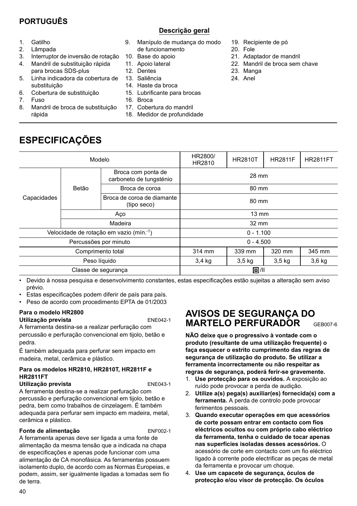# **PORTUGUÊS**

## **Descrição geral**

- 1. Gatilho
- 2. Lâmpada
- 3. Interruptor de inversão de rotação
- 4. Mandril de substituição rápida para brocas SDS-plus
- 5. Linha indicadora da cobertura de substituição
- 6. Cobertura de substituição

**ESPECIFICAÇÕES**

- 7. Fuso
- 8. Mandril de broca de substituição rápida
- 9. Manípulo de mudança do modo de funcionamento
- 10. Base do apoio
- 11 Apoio lateral
- 12. Dentes
- 13. Saliência
- 14. Haste da broca
- 15. Lubrificante para brocas
- 16. Broca
- 17. Cobertura do mandril
- 18. Medidor de profundidade
- 19. Recipiente de pó
- 20. Fole
- 21. Adaptador de mandril
- 22. Mandril de broca sem chave
- 23. Manga
- 24. Anel

| Modelo                                  |         |                                               | HR2800/<br>HR2810 | <b>HR2810T</b>    | <b>HR2811F</b>    | <b>HR2811FT</b> |
|-----------------------------------------|---------|-----------------------------------------------|-------------------|-------------------|-------------------|-----------------|
| Capacidades                             |         | Broca com ponta de<br>carboneto de tungsténio | 28 mm             |                   |                   |                 |
|                                         | Betão   | Broca de coroa                                | 80 mm             |                   |                   |                 |
|                                         |         | Broca de coroa de diamante<br>(tipo seco)     | 80 mm             |                   |                   |                 |
|                                         | Aco     |                                               | $13 \text{ mm}$   |                   |                   |                 |
|                                         | Madeira |                                               | 32 mm             |                   |                   |                 |
| Velocidade de rotação em vazio (mín.-1) |         | $0 - 1.100$                                   |                   |                   |                   |                 |
| Percussões por minuto                   |         | $0 - 4.500$                                   |                   |                   |                   |                 |
| Comprimento total                       |         | 314 mm                                        | 339 mm            | 320 mm            | 345 mm            |                 |
| Peso líquido                            |         | 3,4 kg                                        | $3,5$ kg          | 3.5 <sub>kq</sub> | 3.6 <sub>kq</sub> |                 |
| Classe de segurança                     |         |                                               | 回川                |                   |                   |                 |

• Devido à nossa pesquisa e desenvolvimento constantes, estas especificações estão sujeitas a alteração sem aviso prévio.

- Estas especificações podem diferir de país para país.
- Peso de acordo com procedimento EPTA de 01/2003

#### **Para o modelo HR2800 Utilização prevista** ENE042-1

A ferramenta destina-se a realizar perfuração com percussão e perfuração convencional em tijolo, betão e pedra.

É também adequada para perfurar sem impacto em madeira, metal, cerâmica e plástico.

### **Para os modelos HR2810, HR2810T, HR2811F e HR2811FT**

**Utilização prevista** entre entre ENE043-1

A ferramenta destina-se a realizar perfuração com percussão e perfuração convencional em tijolo, betão e pedra, bem como trabalhos de cinzelagem. É também adequada para perfurar sem impacto em madeira, metal, cerâmica e plástico.

### **Fonte de alimentação** ENF002-1

A ferramenta apenas deve ser ligada a uma fonte de alimentação da mesma tensão que a indicada na chapa de especificações e apenas pode funcionar com uma alimentação de CA monofásica. As ferramentas possuem isolamento duplo, de acordo com as Normas Europeias, e podem, assim, ser igualmente ligadas a tomadas sem fio de terra.

# **AVISOS DE SEGURANÇA DO MARTELO PERFURADOR** GEB007-6

**NÃO deixe que o progressivo à vontade com o produto (resultante de uma utilização frequente) o faça esquecer o estrito cumprimento das regras de segurança de utilização do produto. Se utilizar a ferramenta incorrectamente ou não respeitar as regras de segurança, poderá ferir-se gravemente.** 

- 1. **Use protecção para os ouvidos.** A exposição ao ruído pode provocar a perda de audição.
- 2. **Utilize a(s) pega(s) auxiliar(es) fornecida(s) com a ferramenta.** A perda de controlo pode provocar ferimentos pessoais.
- 3. **Quando executar operações em que acessórios de corte possam entrar em contacto com fios eléctricos ocultos ou com próprio cabo eléctrico da ferramenta, tenha o cuidado de tocar apenas nas superfícies isoladas desses acessórios.** O acessório de corte em contacto com um fio eléctrico ligado à corrente pode electrificar as peças de metal da ferramenta e provocar um choque.
- 4. **Use um capacete de segurança, óculos de protecção e/ou visor de protecção. Os óculos**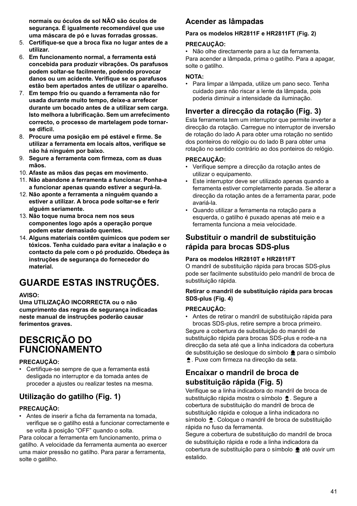**normais ou óculos de sol NÃO são óculos de segurança. É igualmente recomendável que use uma máscara de pó e luvas forradas grossas.** 

- 5. **Certifique-se que a broca fixa no lugar antes de a utilizar.**
- 6. **Em funcionamento normal, a ferramenta está concebida para produzir vibrações. Os parafusos podem soltar-se facilmente, podendo provocar danos ou um acidente. Verifique se os parafusos estão bem apertados antes de utilizar o aparelho.**
- 7. **Em tempo frio ou quando a ferramenta não for usada durante muito tempo, deixe-a arrefecer durante um bocado antes de a utilizar sem carga. Isto melhora a lubrificação. Sem um arrefecimento correcto, o processo de martelagem pode tornarse difícil.**
- 8. **Procure uma posição em pé estável e firme. Se utilizar a ferramenta em locais altos, verifique se não há ninguém por baixo.**
- 9. **Segure a ferramenta com firmeza, com as duas mãos.**
- 10. **Afaste as mãos das peças em movimento.**
- 11. **Não abandone a ferramenta a funcionar. Ponha-a a funcionar apenas quando estiver a segurá-la.**
- 12. **Não aponte a ferramenta a ninguém quando a estiver a utilizar. A broca pode soltar-se e ferir alguém seriamente.**
- 13. **Não toque numa broca nem nos seus componentes logo após a operação porque podem estar demasiado quentes.**
- 14. **Alguns materiais contêm químicos que podem ser tóxicos. Tenha cuidado para evitar a inalação e o contacto da pele com o pó produzido. Obedeça às instruções de segurança do fornecedor do material.**

# **GUARDE ESTAS INSTRUÇÕES.**

### **AVISO:**

**Uma UTILIZAÇÃO INCORRECTA ou o não cumprimento das regras de segurança indicadas neste manual de instruções poderão causar ferimentos graves.** 

# **DESCRIÇÃO DO FUNCIONAMENTO**

### **PRECAUÇÃO:**

• Certifique-se sempre de que a ferramenta está desligada no interruptor e da tomada antes de proceder a ajustes ou realizar testes na mesma.

# **Utilização do gatilho (Fig. 1)**

### **PRECAUÇÃO:**

• Antes de inserir a ficha da ferramenta na tomada, verifique se o gatilho está a funcionar correctamente e se volta à posição "OFF" quando o solta.

Para colocar a ferramenta em funcionamento, prima o gatilho. A velocidade da ferramenta aumenta ao exercer uma maior pressão no gatilho. Para parar a ferramenta, solte o gatilho.

# **Acender as lâmpadas**

### **Para os modelos HR2811F e HR2811FT (Fig. 2)**

### **PRECAUÇÃO:**

• Não olhe directamente para a luz da ferramenta. Para acender a lâmpada, prima o gatilho. Para a apagar, solte o gatilho.

### **NOTA:**

• Para limpar a lâmpada, utilize um pano seco. Tenha cuidado para não riscar a lente da lâmpada, pois poderia diminuir a intensidade da iluminação.

# **Inverter a direcção da rotação (Fig. 3)**

Esta ferramenta tem um interruptor que permite inverter a direcção da rotação. Carregue no interruptor de inversão de rotação do lado A para obter uma rotação no sentido dos ponteiros do relógio ou do lado B para obter uma rotação no sentido contrário ao dos ponteiros do relógio.

### **PRECAUÇÃO:**

- Verifique sempre a direcção da rotação antes de utilizar o equipamento.
- Este interruptor deve ser utilizado apenas quando a ferramenta estiver completamente parada. Se alterar a direcção da rotação antes de a ferramenta parar, pode avariá-la.
- Quando utilizar a ferramenta na rotação para a esquerda, o gatilho é puxado apenas até meio e a ferramenta funciona a meia velocidade.

## **Substituir o mandril de substituição rápida para brocas SDS-plus**

### **Para os modelos HR2810T e HR2811FT**

O mandril de substituição rápida para brocas SDS-plus pode ser facilmente substituído pelo mandril de broca de substituição rápida.

### **Retirar o mandril de substituição rápida para brocas SDS-plus (Fig. 4)**

### **PRECAUÇÃO:**

- Antes de retirar o mandril de substituição rápida para brocas SDS-plus, retire sempre a broca primeiro. Segure a cobertura de substituição do mandril de substituição rápida para brocas SDS-plus e rode-a na direcção da seta até que a linha indicadora da cobertura de substituição se desloque do símbolo para o símbolo
- . Puxe com firmeza na direcção da seta.

# **Encaixar o mandril de broca de substituição rápida (Fig. 5)**

Verifique se a linha indicadora do mandril de broca de substituição rápida mostra o símbolo  $\triangle$ . Segure a cobertura de substituição do mandril de broca de substituição rápida e coloque a linha indicadora no símbolo  $\triangle$ . Coloque o mandril de broca de substituição rápida no fuso da ferramenta.

Segure a cobertura de substituição do mandril de broca de substituição rápida e rode a linha indicadora da cobertura de substituição para o símbolo  $\triangleq$  até ouvir um estalido.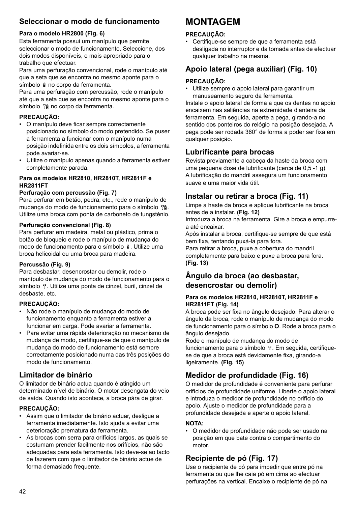# **Seleccionar o modo de funcionamento**

### **Para o modelo HR2800 (Fig. 6)**

Esta ferramenta possui um manípulo que permite seleccionar o modo de funcionamento. Seleccione, dos dois modos disponíveis, o mais apropriado para o trabalho que efectuar.

Para uma perfuração convencional, rode o manípulo até que a seta que se encontra no mesmo aponte para o símbolo  $\hat{a}$  no corpo da ferramenta.

Para uma perfuração com percussão, rode o manípulo até que a seta que se encontra no mesmo aponte para o símbolo <sup>no</sup> no corpo da ferramenta.

### **PRECAUÇÃO:**

- O manípulo deve ficar sempre correctamente posicionado no símbolo do modo pretendido. Se puser a ferramenta a funcionar com o manípulo numa posição indefinida entre os dois símbolos, a ferramenta pode avariar-se.
- Utilize o manípulo apenas quando a ferramenta estiver completamente parada.

### **Para os modelos HR2810, HR2810T, HR2811F e HR2811FT**

### **Perfuração com percussão (Fig. 7)**

Para perfurar em betão, pedra, etc., rode o manípulo de mudança do modo de funcionamento para o símbolo  $\mathbb{T}$ ĝ. Utilize uma broca com ponta de carboneto de tungsténio.

### **Perfuração convencional (Fig. 8)**

Para perfurar em madeira, metal ou plástico, prima o botão de bloqueio e rode o manípulo de mudança do modo de funcionamento para o símbolo  $\hat{z}$ . Utilize uma broca helicoidal ou uma broca para madeira.

### **Percussão (Fig. 9)**

Para desbastar, desencrostar ou demolir, rode o manípulo de mudança do modo de funcionamento para o símbolo  $T$ . Utilize uma ponta de cinzel, buril, cinzel de desbaste, etc.

### **PRECAUÇÃO:**

- Não rode o manípulo de mudança do modo de funcionamento enquanto a ferramenta estiver a funcionar em carga. Pode avariar a ferramenta.
- Para evitar uma rápida deterioração no mecanismo de mudança de modo, certifique-se de que o manípulo de mudança do modo de funcionamento está sempre correctamente posicionado numa das três posições do modo de funcionamento.

## **Limitador de binário**

O limitador de binário actua quando é atingido um determinado nível de binário. O motor desengata do veio de saída. Quando isto acontece, a broca pára de girar.

### **PRECAUÇÃO:**

- Assim que o limitador de binário actuar, desligue a ferramenta imediatamente. Isto ajuda a evitar uma deterioração prematura da ferramenta.
- As brocas com serra para orifícios largos, as quais se costumam prender facilmente nos orifícios, não são adequadas para esta ferramenta. Isto deve-se ao facto de fazerem com que o limitador de binário actue de forma demasiado frequente.

# **MONTAGEM**

### **PRECAUÇÃO:**

• Certifique-se sempre de que a ferramenta está desligada no interruptor e da tomada antes de efectuar qualquer trabalho na mesma.

# **Apoio lateral (pega auxiliar) (Fig. 10)**

### **PRECAUÇÃO:**

• Utilize sempre o apoio lateral para garantir um manuseamento seguro da ferramenta.

Instale o apoio lateral de forma a que os dentes no apoio encaixem nas saliências na extremidade dianteira da ferramenta. Em seguida, aperte a pega, girando-a no sentido dos ponteiros do relógio na posição desejada. A pega pode ser rodada 360° de forma a poder ser fixa em qualquer posição.

## **Lubrificante para brocas**

Revista previamente a cabeça da haste da broca com uma pequena dose de lubrificante (cerca de 0,5 -1 g). A lubrificação do mandril assegura um funcionamento suave e uma maior vida útil.

# **Instalar ou retirar a broca (Fig. 11)**

Limpe a haste da broca e aplique lubrificante na broca antes de a instalar. **(Fig. 12)**

Introduza a broca na ferramenta. Gire a broca e empurrea até encaixar.

Após instalar a broca, certifique-se sempre de que está bem fixa, tentando puxá-la para fora.

Para retirar a broca, puxe a cobertura do mandril completamente para baixo e puxe a broca para fora. **(Fig. 13)**

# **Ângulo da broca (ao desbastar, desencrostar ou demolir)**

### **Para os modelos HR2810, HR2810T, HR2811F e HR2811FT (Fig. 14)**

A broca pode ser fixa no ângulo desejado. Para alterar o ângulo da broca, rode o manípulo de mudança do modo de funcionamento para o símbolo **O**. Rode a broca para o ângulo desejado.

Rode o manípulo de mudança do modo de funcionamento para o símbolo  $\hat{v}$ . Em seguida, certifiquese de que a broca está devidamente fixa, girando-a ligeiramente. **(Fig. 15)**

# **Medidor de profundidade (Fig. 16)**

O medidor de profundidade é conveniente para perfurar orifícios de profundidade uniforme. Liberte o apoio lateral e introduza o medidor de profundidade no orifício do apoio. Ajuste o medidor de profundidade para a profundidade desejada e aperte o apoio lateral.

### **NOTA:**

• O medidor de profundidade não pode ser usado na posição em que bate contra o compartimento do motor.

# **Recipiente de pó (Fig. 17)**

Use o recipiente de pó para impedir que entre pó na ferramenta ou que lhe caia pó em cima ao efectuar perfurações na vertical. Encaixe o recipiente de pó na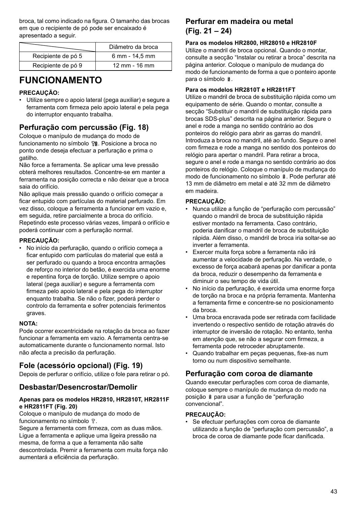broca, tal como indicado na figura. O tamanho das brocas em que o recipiente de pó pode ser encaixado é apresentado a seguir.

|                    | Diâmetro da broca         |
|--------------------|---------------------------|
| Recipiente de pó 5 | 6 mm - 14.5 mm            |
| Recipiente de pó 9 | $12 \, \text{mm}$ - 16 mm |

# **FUNCIONAMENTO**

### **PRECAUÇÃO:**

• Utilize sempre o apoio lateral (pega auxiliar) e segure a ferramenta com firmeza pelo apoio lateral e pela pega do interruptor enquanto trabalha.

# **Perfuração com percussão (Fig. 18)**

Coloque o manípulo de mudança do modo de funcionamento no símbolo <sup>no</sup> . Posicione a broca no ponto onde deseja efectuar a perfuração e prima o gatilho.

Não force a ferramenta. Se aplicar uma leve pressão obterá melhores resultados. Concentre-se em manter a ferramenta na posição correcta e não deixar que a broca saia do orifício.

Não aplique mais pressão quando o orifício começar a ficar entupido com partículas do material perfurado. Em vez disso, coloque a ferramenta a funcionar em vazio e, em seguida, retire parcialmente a broca do orifício. Repetindo este processo várias vezes, limpará o orifício e poderá continuar com a perfuração normal.

### **PRECAUÇÃO:**

• No início da perfuração, quando o orifício começa a ficar entupido com partículas do material que está a ser perfurado ou quando a broca encontra armações de reforço no interior do betão, é exercida uma enorme e repentina força de torção. Utilize sempre o apoio lateral (pega auxiliar) e segure a ferramenta com firmeza pelo apoio lateral e pela pega do interruptor enquanto trabalha. Se não o fizer, poderá perder o controlo da ferramenta e sofrer potenciais ferimentos graves.

### **NOTA:**

Pode ocorrer excentricidade na rotação da broca ao fazer funcionar a ferramenta em vazio. A ferramenta centra-se automaticamente durante o funcionamento normal. Isto não afecta a precisão da perfuração.

# **Fole (acessório opcional) (Fig. 19)**

Depois de perfurar o orifício, utilize o fole para retirar o pó.

## **Desbastar/Desencrostar/Demolir**

### **Apenas para os modelos HR2810, HR2810T, HR2811F e HR2811FT (Fig. 20)**

Coloque o manípulo de mudança do modo de funcionamento no símbolo  $\Gamma$ .

Segure a ferramenta com firmeza, com as duas mãos. Ligue a ferramenta e aplique uma ligeira pressão na mesma, de forma a que a ferramenta não salte descontrolada. Premir a ferramenta com muita força não aumentará a eficiência da perfuração.

# **Perfurar em madeira ou metal (Fig. 21 – 24)**

### **Para os modelos HR2800, HR28010 e HR2810F**

Utilize o mandril de broca opcional. Quando o montar, consulte a secção "Instalar ou retirar a broca" descrita na página anterior. Coloque o manípulo de mudança do modo de funcionamento de forma a que o ponteiro aponte para o símbolo  $\frac{1}{2}$ 

### **Para os modelos HR2810T e HR2811FT**

Utilize o mandril de broca de substituição rápida como um equipamento de série. Quando o montar, consulte a secção "Substituir o mandril de substituição rápida para brocas SDS-plus" descrita na página anterior. Segure o anel e rode a manga no sentido contrário ao dos ponteiros do relógio para abrir as garras do mandril. Introduza a broca no mandril, até ao fundo. Segure o anel com firmeza e rode a manga no sentido dos ponteiros do relógio para apertar o mandril. Para retirar a broca, segure o anel e rode a manga no sentido contrário ao dos ponteiros do relógio. Coloque o manípulo de mudança do modo de funcionamento no símbolo  $\hat{a}$ . Pode perfurar até 13 mm de diâmetro em metal e até 32 mm de diâmetro em madeira.

### **PRECAUÇÃO:**

- Nunca utilize a função de "perfuração com percussão" quando o mandril de broca de substituição rápida estiver montado na ferramenta. Caso contrário, poderia danificar o mandril de broca de substituição rápida. Além disso, o mandril de broca iria soltar-se ao inverter a ferramenta.
- Exercer muita força sobre a ferramenta não irá aumentar a velocidade de perfuração. Na verdade, o excesso de força acabará apenas por danificar a ponta da broca, reduzir o desempenho da ferramenta e diminuir o seu tempo de vida útil.
- No início da perfuração, é exercida uma enorme força de torção na broca e na própria ferramenta. Mantenha a ferramenta firme e concentre-se no posicionamento da broca.
- Uma broca encravada pode ser retirada com facilidade invertendo o respectivo sentido de rotação através do interruptor de inversão de rotação. No entanto, tenha em atenção que, se não a segurar com firmeza, a ferramenta pode retroceder abruptamente.
- Quando trabalhar em peças pequenas, fixe-as num torno ou num dispositivo semelhante.

# **Perfuração com coroa de diamante**

Quando executar perfurações com coroa de diamante, coloque sempre o manípulo de mudança do modo na posição  $\hat{a}$  para usar a função de "perfuração convencional".

### **PRECAUÇÃO:**

• Se efectuar perfurações com coroa de diamante utilizando a função de "perfuração com percussão", a broca de coroa de diamante pode ficar danificada.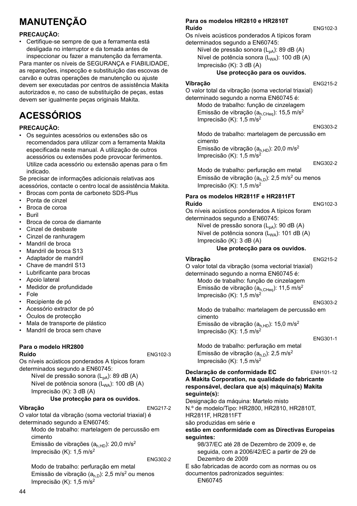# **MANUTENÇÃO**

### **PRECAUÇÃO:**

• Certifique-se sempre de que a ferramenta está desligada no interruptor e da tomada antes de inspeccionar ou fazer a manutenção da ferramenta.

Para manter os níveis de SEGURANÇA e FIABILIDADE, as reparações, inspecção e substituição das escovas de carvão e outras operações de manutenção ou ajuste devem ser executadas por centros de assistência Makita autorizados e, no caso de substituição de peças, estas devem ser igualmente peças originais Makita.

# **ACESSÓRIOS**

### **PRECAUÇÃO:**

• Os seguintes acessórios ou extensões são os recomendados para utilizar com a ferramenta Makita especificada neste manual. A utilização de outros acessórios ou extensões pode provocar ferimentos. Utilize cada acessório ou extensão apenas para o fim indicado.

Se precisar de informações adicionais relativas aos acessórios, contacte o centro local de assistência Makita.

- Brocas com ponta de carboneto SDS-Plus
- Ponta de cinzel
- Broca de coroa
- Buril
- Broca de coroa de diamante
- Cinzel de desbaste
- Cinzel de ranhuragem
- Mandril de broca
- Mandril de broca S13
- Adaptador de mandril
- Chave de mandril S13
- Lubrificante para brocas
- Apoio lateral
- Medidor de profundidade
- Fole
- Recipiente de pó
- Acessório extractor de pó
- Óculos de protecção
- Mala de transporte de plástico
- Mandril de broca sem chave

#### **Para o modelo HR2800 Ruído** ENG102-3

Os níveis acústicos ponderados A típicos foram determinados segundo a EN60745:

Nível de pressão sonora (L<sub>pA</sub>): 89 dB (A) Nível de potência sonora (L<sub>WA</sub>): 100 dB (A) Imprecisão (K): 3 dB (A)

### **Use protecção para os ouvidos.**

### **Vibração** ENG217-2

O valor total da vibração (soma vectorial triaxial) é determinado segundo a EN60745:

Modo de trabalho: martelagem de percussão em cimento Emissão de vibrações  $(a<sub>h.HD</sub>)$ : 20,0 m/s<sup>2</sup>

Imprecisão (K): 1,5 m/s2

ENG302-2

Modo de trabalho: perfuração em metal Emissão de vibração  $(a<sub>h,D</sub>)$ : 2,5 m/s<sup>2</sup> ou menos Imprecisão (K): 1,5 m/s<sup>2</sup>

#### **Para os modelos HR2810 e HR2810T Ruído** ENG102-3

Os níveis acústicos ponderados A típicos foram determinados segundo a EN60745: Nível de pressão sonora  $(L_{pA})$ : 89 dB (A) Nível de potência sonora (L<sub>WA</sub>): 100 dB (A) Imprecisão (K): 3 dB (A)

### **Use protecção para os ouvidos.**

#### **Vibração** ENG215-2

O valor total da vibração (soma vectorial triaxial) determinado segundo a norma EN60745 é: Modo de trabalho: função de cinzelagem Emissão de vibração ( $a_{h,CHeq}$ ): 15,5 m/s<sup>2</sup> Imprecisão (K): 1,5 m/s2

ENG303-2 Modo de trabalho: martelagem de percussão em cimento Emissão de vibração  $(a<sub>hHD</sub>)$ : 20,0 m/s<sup>2</sup> Imprecisão (K): 1,5 m/s<sup>2</sup>

ENG302-2

Modo de trabalho: perfuração em metal Emissão de vibração  $(a<sub>h,D</sub>)$ : 2,5 m/s<sup>2</sup> ou menos Imprecisão (K): 1,5 m/s2

### **Para os modelos HR2811F e HR2811FT Ruído** ENG102-3

Os níveis acústicos ponderados A típicos foram determinados segundo a EN60745: Nível de pressão sonora  $(L_{pA})$ : 90 dB  $(A)$ 

Nível de potência sonora  $(L_{WA})$ : 101 dB (A) Imprecisão (K): 3 dB (A)

### **Use protecção para os ouvidos.**

**Vibração** ENG215-2

O valor total da vibração (soma vectorial triaxial) determinado segundo a norma EN60745 é: Modo de trabalho: função de cinzelagem

Emissão de vibração ( $a_{h,CHeq}$ ): 11,5 m/s<sup>2</sup> Imprecisão (K): 1,5 m/s2

ENG303-2

Modo de trabalho: martelagem de percussão em cimento Emissão de vibração  $(a<sub>h.HD</sub>)$ : 15,0 m/s<sup>2</sup> Imprecisão (K): 1,5 m/s<sup>2</sup>

#### ENG301-1

Modo de trabalho: perfuração em metal Emissão de vibração ( $a_{h, D}$ ): 2,5 m/s<sup>2</sup> Imprecisão (K): 1,5 m/s2

### **Declaração de conformidade EC** ENH101-12

#### **A Makita Corporation, na qualidade do fabricante responsável, declara que a(s) máquina(s) Makita seguinte(s):**

Designação da máquina: Martelo misto N.º de modelo/Tipo: HR2800, HR2810, HR2810T, HR2811F, HR2811FT

são produzidas em série e

### **estão em conformidade com as Directivas Europeias seguintes:**

98/37/EC até 28 de Dezembro de 2009 e, de seguida, com a 2006/42/EC a partir de 29 de Dezembro de 2009

E são fabricadas de acordo com as normas ou os documentos padronizados seguintes:

EN60745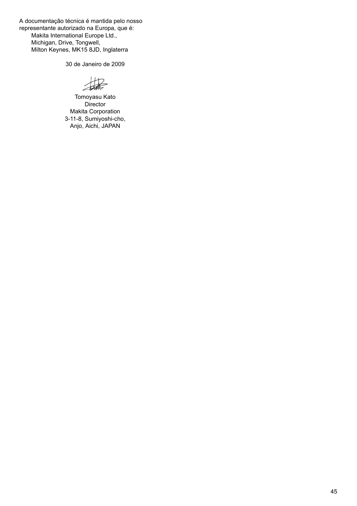A documentação técnica é mantida pelo nosso representante autorizado na Europa, que é: Makita International Europe Ltd., Michigan, Drive, Tongwell, Milton Keynes, MK15 8JD, Inglaterra

30 de Janeiro de 2009

 $H2$ 

Tomoyasu Kato **Director** Makita Corporation 3-11-8, Sumiyoshi-cho, Anjo, Aichi, JAPAN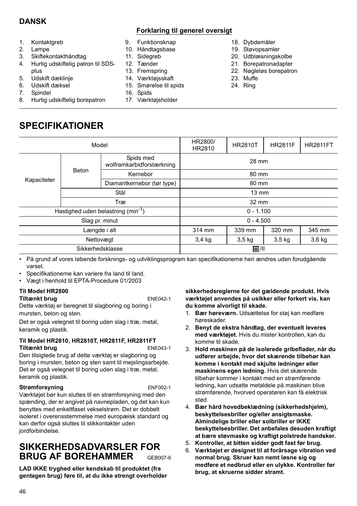# **DANSK**

### **Forklaring til generel oversigt**

- 1. Kontaktgreb
- 2. Lampe
- 3. Skiftekontakthåndtag
- 4. Hurtig udskiftelig patron til SDSplus
- 5. Udskift dæklinje
- 6. Udskift dæksel
- 7. Spindel
- 8. Hurtig udskiftelig borepatron
- 9. Funktionsknap
- 10. Håndtagsbase
- 11. Sidegreb
- 12. Tænder
- 13. Fremspring
- 14. Værktøjsskaft
- 15. Smørelse til spids
- 16. Spids
- 17. Værktøjsholder
- 18. Dybdemåler
- 19. Støvopsamler
- 20. Udblæsningskolbe
- 21. Borepatronadapter
- 22. Nøgleløs borepatron
- 23. Muffe
- 24. Ring

**SPECIFIKATIONER**

| Model                                  |       |                                        | HR2800/<br>HR2810 | <b>HR2810T</b>    | <b>HR2811F</b> | <b>HR2811FT</b> |
|----------------------------------------|-------|----------------------------------------|-------------------|-------------------|----------------|-----------------|
|                                        | Beton | Spids med<br>wolframkarbidforstærkning | 28 mm             |                   |                |                 |
|                                        |       | Kernebor                               | 80 mm             |                   |                |                 |
| Kapaciteter                            |       | Diamantkernebor (tør type)             | 80 mm             |                   |                |                 |
|                                        | Stål  |                                        | $13 \text{ mm}$   |                   |                |                 |
|                                        | Træ   |                                        | 32 mm             |                   |                |                 |
| Hastighed uden belastning $(min^{-1})$ |       | $0 - 1.100$                            |                   |                   |                |                 |
| Slag pr. minut                         |       | $0 - 4.500$                            |                   |                   |                |                 |
| Længde i alt                           |       | 314 mm                                 | 339 mm            | 320 mm            | 345 mm         |                 |
| Nettovægt                              |       | $3,4$ kg                               | $3,5$ kg          | 3.5 <sub>kq</sub> | $3,6$ kg       |                 |
| Sikkerhedsklasse                       |       |                                        | 回川                |                   |                |                 |

• På grund af vores løbende forsknings- og udviklingsprogram kan specifikationerne heri ændres uden forudgående varsel.

- Specifikationerne kan variere fra land til land.
- Vægt i henhold til EPTA-Procedure 01/2003

### **Til Model HR2800**

### **Tiltænkt brug** ENE042-1

Dette værktøj er beregnet til slagboring og boring i mursten, beton og sten.

Det er også velegnet til boring uden slag i træ, metal, keramik og plastik.

### **Til Model HR2810, HR2810T, HR2811F, HR2811FT Tiltænkt brug** ENE043-1

Den tilsigtede brug af dette værktøj er slagboring og boring i mursten, beton og sten samt til mejslingsarbejde. Det er også velegnet til boring uden slag i træ, metal, keramik og plastik.

### **Strømforsyning** ENF002-1

Værktøjet bør kun sluttes til en strømforsyning med den spænding, der er angivet på navnepladen, og det kan kun benyttes med enkeltfaset vekselstrøm. Det er dobbelt isoleret i overensstemmelse med europæisk standard og kan derfor også sluttes til stikkontakter uden jordforbindelse.

# **SIKKERHEDSADVARSLER FOR BRUG AF BOREHAMMER** GEBOOZ-6

**LAD IKKE tryghed eller kendskab til produktet (fra gentagen brug) føre til, at du ikke strengt overholder**  **sikkerhedsreglerne for det gældende produkt. Hvis værktøjet anvendes på usikker eller forkert vis, kan du komme alvorligt til skade.** 

- 1. **Bær høreværn.** Udsættelse for støj kan medføre høreskader.
- 2. **Benyt de ekstra håndtag, der eventuelt leveres med værktøjet.** Hvis du mister kontrollen, kan du komme til skade.
- 3. **Hold maskinen på de isolerede gribeflader, når du udfører arbejde, hvor det skærende tilbehør kan komme i kontakt med skjulte ledninger eller maskinens egen ledning.** Hvis det skærende tilbehør kommer i kontakt med en strømførende ledning, kan udsatte metaldele på maskinen blive strømførende, hvorved operatøren kan få elektrisk stød.
- 4. **Bær hård hovedbeklædning (sikkerhedshjelm), beskyttelsesbriller og/eller ansigtsmaske. Almindelige briller eller solbriller er IKKE beskyttelsesbriller. Det anbefales desuden kraftigt at bære støvmaske og kraftigt polstrede handsker.**
- 5. **Kontroller, at bitten sidder godt fast før brug.**
- 6. **Værktøjet er designet til at forårsage vibration ved normal brug. Skruer kan nemt løsne sig og medføre et nedbrud eller en ulykke. Kontroller før brug, at skruerne sidder stramt.**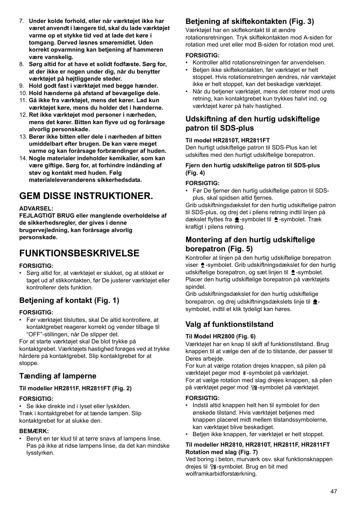- 7. **Under kolde forhold, eller når værktøjet ikke har været anvendt i længere tid, skal du lade værktøjet varme op et stykke tid ved at lade det køre i tomgang. Derved løsnes smøremidlet. Uden korrekt opvarmning kan betjening af hammeren være vanskelig.**
- 8. **Sørg altid for at have et solidt fodfæste. Sørg for, at der ikke er nogen under dig, når du benytter værktøjet på højtliggende steder.**
- 9. **Hold godt fast i værktøjet med begge hænder.**
- 10. **Hold hænderne på afstand af bevægelige dele.**
- 11. **Gå ikke fra værktøjet, mens det kører. Lad kun værktøjet køre, mens du holder det i hænderne.**
- 12. **Ret ikke værktøjet mod personer i nærheden, mens det kører. Bitten kan flyve ud og forårsage alvorlig personskade.**
- 13. **Berør ikke bitten eller dele i nærheden af bitten umiddelbart efter brugen. De kan være meget varme og kan forårsage forbrændinger af huden.**
- 14. **Nogle materialer indeholder kemikalier, som kan være giftige. Sørg for, at forhindre indånding af støv og kontakt med huden. Følg materialeleverandørens sikkerhedsdata.**

# **GEM DISSE INSTRUKTIONER.**

### **ADVARSEL:**

**FEJLAGTIGT BRUG eller manglende overholdelse af de sikkerhedsregler, der gives i denne brugervejledning, kan forårsage alvorlig personskade.**

# **FUNKTIONSBESKRIVELSE**

### **FORSIGTIG:**

• Sørg altid for, at værktøjet er slukket, og at stikket er taget ud af stikkontakten, før De justerer værktøjet eller kontrollerer dets funktion.

# **Betjening af kontakt (Fig. 1)**

### **FORSIGTIG:**

• Før værktøjet tilsluttes, skal De altid kontrollere, at kontaktgrebet reagerer korrekt og vender tilbage til "OFF"-stillingen, når De slipper det.

For at starte værktøjet skal De blot trykke på kontaktgrebet. Værktøjets hastighed forøges ved at trykke hårdere på kontaktgrebet. Slip kontaktgrebet for at stoppe.

## **Tænding af lamperne**

### **Til modeller HR2811F, HR2811FT (Fig. 2)**

### **FORSIGTIG:**

Se ikke direkte ind i lyset eller lyskilden. Træk i kontaktgrebet for at tænde lampen. Slip kontaktgrebet for at slukke den.

### **BEMÆRK:**

• Benyt en tør klud til at tørre snavs af lampens linse. Pas på ikke at ridse lampens linse, da det kan mindske lysstyrken.

# **Betjening af skiftekontakten (Fig. 3)**

Værktøjet har en skiftekontakt til at ændre rotationsretningen. Tryk skiftekontakten mod A-siden for rotation med uret eller mod B-siden for rotation mod uret.

### **FORSIGTIG:**

- Kontroller altid rotationsretningen før anvendelsen.
- Betjen ikke skiftekontakten, før værktøjet er helt stoppet. Hvis rotationsretningen ændres, når værktøjet ikke er helt stoppet, kan det beskadige værktøjet.
- Når du betjener værktøjet, mens det roterer mod urets retning, kan kontaktgrebet kun trykkes halvt ind, og værktøjet kører på halv hastighed.

# **Udskiftning af den hurtig udskiftelige patron til SDS-plus**

### **Til model HR2810T, HR2811FT**

Den hurtigt udskiftelige patron til SDS-Plus kan let udskiftes med den hurtigt udskiftelige borepatron.

### **Fjern den hurtig udskiftelige patron til SDS-plus (Fig. 4)**

### **FORSIGTIG:**

• Før De fjerner den hurtig udskiftelige patron til SDSplus, skal spidsen altid fjernes.

Grib udskiftningsdækslet for den hurtig udskiftelige patron til SDS-plus, og drej det i pilens retning indtil linjen på dækslet flyttes fra  $\triangle$ -symbolet til  $\triangle$ -symbolet. Træk kraftigt i pilens retning.

# **Montering af den hurtig udskiftelige borepatron (Fig. 5)**

Kontroller at linjen på den hurtig udskiftelige borepatron viser  $\triangle$ -symbolet. Grib udskiftningsdækslet for den hurtig udskiftelige borepatron, og sæt linjen til  $\triangle$ -symbolet. Placer den hurtig udskiftelige borepatron på værktøjets spindel.

Grib udskiftningsdækslet for den hurtig udskiftelige borepatron, og drej udskiftningsdækslets linje til  $\triangle$ symbolet, indtil et klik tydeligt kan høres.

# **Valg af funktionstilstand**

### **Til Model HR2800 (Fig. 6)**

Værktøjet har en knap til skift af funktionstilstand. Brug knappen til at vælge den af de to tilstande, der passer til Deres arbejde.

For kun at vælge rotation drejes knappen, så pilen på værktøjet peger mod å-symbolet på værktøjet. For at vælge rotation med slag drejes knappen, så pilen på værktøjet peger mod <sup>58</sup>-symbolet på værktøjet.

### **FORSIGTIG:**

- Indstil altid knappen helt hen til symbolet for den ønskede tilstand. Hvis værktøjet betjenes med knappen placeret midt mellem tilstandssymbolerne, kan værktøjet blive beskadiget.
- Betjen ikke knappen, før værktøjet er helt stoppet.

### **Til modeller HR2810, HR2810T, HR2811F, HR2811FT Rotation med slag (Fig. 7)**

Ved boring i beton, murværk osv. skal funktionsknappen drejes til  $\nabla$  -symbolet. Brug en bit med wolframkarbidforstærkning.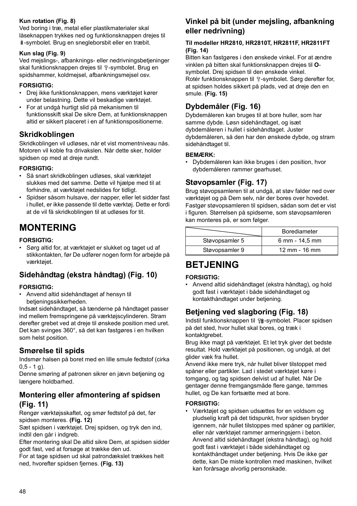### **Kun rotation (Fig. 8)**

Ved boring i træ, metal eller plastikmaterialer skal låseknappen trykkes ned og funktionsknappen drejes til -symbolet. Brug en snegleborsbit eller en træbit.

### **Kun slag (Fig. 9)**

Ved mejslings-, afbanknings- eller nedrivningsbetjeninger skal funktionsknappen drejes til <sub>P-S</sub>ymbolet. Brug en spidshammer, koldmejsel, afbankningsmejsel osv.

### **FORSIGTIG:**

- Drej ikke funktionsknappen, mens værktøjet kører under belastning. Dette vil beskadige værktøjet.
- For at undgå hurtigt slid på mekanismen til funktionsskift skal De sikre Dem, at funktionsknappen altid er sikkert placeret i en af funktionspositionerne.

## **Skridkoblingen**

Skridkoblingen vil udløses, når et vist momentniveau nås. Motoren vil koble fra drivakslen. Når dette sker, holder spidsen op med at dreje rundt.

### **FORSIGTIG:**

- Så snart skridkoblingen udløses, skal værktøjet slukkes med det samme. Dette vil hjælpe med til at forhindre, at værktøjet nedslides for tidligt.
- Spidser såsom hulsave, der napper, eller let sidder fast i hullet, er ikke passende til dette værktøj. Dette er fordi at de vil få skridkoblingen til at udløses for tit.

# **MONTERING**

### **FORSIGTIG:**

• Sørg altid for, at værktøjet er slukket og taget ud af stikkontakten, før De udfører nogen form for arbejde på værktøjet.

# **Sidehåndtag (ekstra håndtag) (Fig. 10)**

### **FORSIGTIG:**

• Anvend altid sidehåndtaget af hensyn til betjeningssikkerheden.

Indsæt sidehåndtaget, så tænderne på håndtaget passer ind mellem fremspringene på værktøjscylinderen. Stram derefter grebet ved at dreje til ønskede position med uret. Det kan svinges 360°, så det kan fastgøres i en hvilken som helst position.

## **Smørelse til spids**

Indsmør halsen på boret med en lille smule fedtstof (cirka  $0, 5 - 1, q$ .

Denne smøring af patronen sikrer en jævn betjening og længere holdbarhed.

# **Montering eller afmontering af spidsen (Fig. 11)**

Rengør værktøjsskaftet, og smør fedtstof på det, før spidsen monteres. **(Fig. 12)**

Sæt spidsen i værktøjet. Drej spidsen, og tryk den ind, indtil den går i indgreb.

Efter montering skal De altid sikre Dem, at spidsen sidder godt fast, ved at forsøge at trække den ud.

For at tage spidsen ud skal patrondækslet trækkes helt ned, hvorefter spidsen fjernes. **(Fig. 13)**

# **Vinkel på bit (under mejsling, afbankning eller nedrivning)**

### **Til modeller HR2810, HR2810T, HR2811F, HR2811FT (Fig. 14)**

Bitten kan fastgøres i den ønskede vinkel. For at ændre vinklen på bitten skal funktionsknappen drejes til **O**symbolet. Drej spidsen til den ønskede vinkel. Rotér funktionsknappen til T-symbolet. Sørg derefter for, at spidsen holdes sikkert på plads, ved at dreje den en smule. **(Fig. 15)**

# **Dybdemåler (Fig. 16)**

Dybdemåleren kan bruges til at bore huller, som har samme dybde. Løsn sidehåndtaget, og isæt dybdemåleren i hullet i sidehåndtaget. Juster dybdemåleren, så den har den ønskede dybde, og stram sidehåndtaget til.

### **BEMÆRK:**

• Dybdemåleren kan ikke bruges i den position, hvor dybdemåleren rammer gearhuset.

# **Støvopsamler (Fig. 17)**

Brug støvopsamleren til at undgå, at støv falder ned over værktøjet og på Dem selv, når der bores over hovedet. Fastgør støvopsamleren til spidsen, sådan som det er vist i figuren. Størrelsen på spidserne, som støvopsamleren kan monteres på, er som følger.

|                | <b>Borediameter</b>       |
|----------------|---------------------------|
| Støvopsamler 5 | 6 mm - 14,5 mm            |
| Støvopsamler 9 | $12 \, \text{mm}$ - 16 mm |

# **BETJENING**

### **FORSIGTIG:**

• Anvend altid sidehåndtaget (ekstra håndtag), og hold godt fast i værktøjet i både sidehåndtaget og kontakthåndtaget under betjening.

# **Betjening ved slagboring (Fig. 18)**

Indstil funktionsknappen til  $\nabla$ g-symbolet. Placer spidsen på det sted, hvor hullet skal bores, og træk i kontaktgrebet.

Brug ikke magt på værktøjet. Et let tryk giver det bedste resultat. Hold værktøjet på positionen, og undgå, at det glider væk fra hullet.

Anvend ikke mere tryk, når hullet bliver tilstoppet med spåner eller partikler. Lad i stedet værktøjet køre i tomgang, og tag spidsen delvist ud af hullet. Når De gentager denne fremgangsmåde flere gange, tømmes hullet, og De kan fortsætte med at bore.

### **FORSIGTIG:**

• Værktøjet og spidsen udsættes for en voldsom og pludselig kraft på det tidspunkt, hvor spidsen bryder igennem, når hullet tilstoppes med spåner og partikler, eller når værktøjet rammer armeringsjern i beton. Anvend altid sidehåndtaget (ekstra håndtag), og hold godt fast i værktøjet i både sidehåndtaget og kontakthåndtaget under betjening. Hvis De ikke gør dette, kan De miste kontrollen med maskinen, hvilket kan forårsage alvorlig personskade.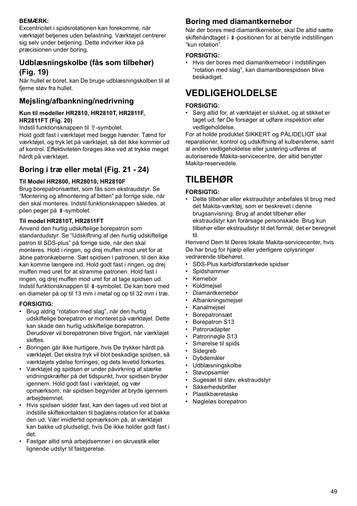### **BEMÆRK:**

Excentricitet i spidsrotationen kan forekomme, når værktøjet betjenes uden belastning. Værktøjet centrerer sig selv under betjening. Dette indvirker ikke på præcisionen under boring.

# **Udblæsningskolbe (fås som tilbehør) (Fig. 19)**

Når hullet er boret, kan De bruge udblæsningskolben til at fierne støv fra hullet.

## **Mejsling/afbankning/nedrivning**

#### **Kun til modeller HR2810, HR2810T, HR2811F, HR2811FT (Fig. 20)**

Indstil funktionsknappen til T-symbolet.

Hold godt fast i værktøjet med begge hænder. Tænd for værktøjet, og tryk let på værktøjet, så det ikke kommer ud af kontrol. Effektiviteten forøges ikke ved at trykke meget hårdt på værktøjet.

## **Boring i træ eller metal (Fig. 21 - 24)**

### **Til Model HR2800, HR28010, HR2810F**

Brug borepatronsættet, som fås som ekstraudstyr. Se "Montering og afmontering af bitten" på forrige side, når den skal monteres. Indstil funktionsknappen således, at pilen peger på §-symbolet.

### **Til model HR2810T, HR2811FT**

Anvend den hurtig udskiftelige borepatron som standardudstyr. Se "Udskiftning af den hurtig udskiftelige patron til SDS-plus" på forrige side, når den skal monteres. Hold i ringen, og drej muffen mod uret for at åbne patronkæberne. Sæt spidsen i patronen, til den ikke kan komme længere ind. Hold godt fast i ringen, og drej muffen med uret for at stramme patronen. Hold fast i ringen, og drej muffen mod uret for at tage spidsen ud. Indstil funktionsknappen til <sup>g</sup>-symbolet. De kan bore med en diameter på op til 13 mm i metal og op til 32 mm i træ.

### **FORSIGTIG:**

- Brug aldrig "rotation med slag", når den hurtig udskiftelige borepatron er monteret på værktøjet. Dette kan skade den hurtig udskiftelige borepatron. Derudover vil borepatronen blive frigjort, når værktøjet skiftes.
- Boringen går ikke hurtigere, hvis De trykker hårdt på værktøjet. Det ekstra tryk vil blot beskadige spidsen, så værktøjets ydelse forringes, og dets levetid forkortes.
- Værktøjet og spidsen er under påvirkning af stærke vridningskræfter på det tidspunkt, hvor spidsen bryder igennem. Hold godt fast i værktøjet, og vær opmærksom, når spidsen begynder at bryde igennem arbeidsemnet.
- Hvis spidsen sidder fast, kan den tages ud ved blot at indstille skiftekontakten til baglæns rotation for at bakke den ud. Vær imidlertid opmærksom på, at værktøjet kan bakke ud pludseligt, hvis De ikke holder godt fast i det.
- Fastgør altid små arbejdsemner i en skruestik eller lignende udstyr til fastgørelse.

## **Boring med diamantkernebor**

Når der bores med diamantkernebor, skal De altid sætte skiftehåndtaget i  $\hat{a}$ -positionen for at benytte indstillingen "kun rotation".

### **FORSIGTIG:**

• Hvis der bores med diamantkernebor i indstillingen "rotation med slag", kan diamantborespidsen blive beskadiget.

# **VEDLIGEHOLDELSE**

### **FORSIGTIG:**

• Sørg altid for, at værktøjet er slukket, og at stikket er taget ud, før De forsøger at udføre inspektion eller vedligeholdelse.

For at holde produktet SIKKERT og PÅLIDELIGT skal reparationer, kontrol og udskiftning af kulbørsterne, samt al anden vedligeholdelse eller justering udføres af autoriserede Makita-servicecentre, der altid benytter Makita-reservedele.

# **TILBEHØR**

### **FORSIGTIG:**

• Dette tilbehør eller ekstraudstyr anbefales til brug med det Makita-værktøj, som er beskrevet i denne brugsanvisning. Brug af andet tilbehør eller ekstraudstyr kan forårsage personskade. Brug kun tilbehør eller ekstraudstyr til det formål, det er beregnet til.

Henvend Dem til Deres lokale Makita-servicecenter, hvis De har brug for hjælp eller yderligere oplysninger vedrørende tilbehøret.

- SDS-Plus karbidforstærkede spidser
- Spidshammer
- Kernebor
- Koldmejsel
- Diamantkernebor
- Afbankningsmejsel
- Kanalmejsel
- Borepatronsæt
- Borepatron S13
- **Patronadapter**
- Patronnøgle S13
- Smørelse til spids
- **Sidegreb**
- Dybdemåler
- Udblæsningskolbe
- **Støvopsamler**
- Sugesæt til støv, ekstraudstyr
- Sikkerhedsbriller
- Plastikbæretaske
- Nøgleløs borepatron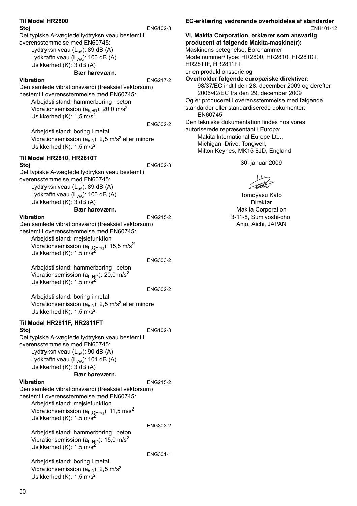| Til Model HR2800<br>Støi                                                                                   | ENG102-3        |
|------------------------------------------------------------------------------------------------------------|-----------------|
| Det typiske A-vægtede lydtryksniveau bestemt i                                                             |                 |
| overensstemmelse med EN60745:<br>Lydtryksniveau (L <sub>pA</sub> ): 89 dB (A)                              |                 |
| Lydkraftniveau (L <sub>WA</sub> ): 100 dB (A)                                                              |                 |
| Usikkerhed (K): 3 dB (A)                                                                                   |                 |
| Bær høreværn.<br><b>Vibration</b>                                                                          | <b>ENG217-2</b> |
| Den samlede vibrationsværdi (treaksiel vektorsum)                                                          |                 |
| bestemt i overensstemmelse med EN60745:<br>Arbeidstilstand: hammerboring i beton                           |                 |
| Vibrationsemission $(ah.HD)$ : 20,0 m/s <sup>2</sup>                                                       |                 |
| Usikkerhed $(K)$ : 1,5 m/s <sup>2</sup>                                                                    |                 |
| Arbejdstilstand: boring i metal                                                                            | ENG302-2        |
| Vibrationsemission $(ah,D)$ : 2,5 m/s <sup>2</sup> eller mindre                                            |                 |
| Usikkerhed $(K)$ : 1,5 m/s <sup>2</sup>                                                                    |                 |
| Til Model HR2810, HR2810T<br>Støi                                                                          | ENG102-3        |
| Det typiske A-vægtede lydtryksniveau bestemt i                                                             |                 |
| overensstemmelse med EN60745:<br>Lydtryksniveau (L <sub>pA</sub> ): 89 dB (A)                              |                 |
| Lydkraftniveau (L <sub>wa</sub> ): 100 dB (A)                                                              |                 |
| Usikkerhed (K): 3 dB (A)                                                                                   |                 |
| Bær høreværn.<br><b>Vibration</b>                                                                          | <b>ENG215-2</b> |
| Den samlede vibrationsværdi (treaksiel vektorsum)                                                          |                 |
| bestemt i overensstemmelse med EN60745:<br>Arbejdstilstand: mejslefunktion                                 |                 |
| Vibrationsemission $(a_{h,CHeq})$ : 15,5 m/s <sup>2</sup><br>Usikkerhed (K): 1,5 m/s <sup>2</sup>          |                 |
|                                                                                                            | ENG303-2        |
| Arbejdstilstand: hammerboring i beton                                                                      |                 |
| Vibrationsemission ( $a_{h,HD}$ ): 20,0 m/s <sup>2</sup><br>Usikkerhed (K): $1,5 \text{ m/s}^2$            |                 |
|                                                                                                            | <b>ENG302-2</b> |
| Arbejdstilstand: boring i metal                                                                            |                 |
| Vibrationsemission $(ah,D)$ : 2,5 m/s <sup>2</sup> eller mindre<br>Usikkerhed $(K)$ : 1,5 m/s <sup>2</sup> |                 |
| Til Model HR2811F, HR2811FT                                                                                |                 |
| Støj                                                                                                       | <b>ENG102-3</b> |
| Det typiske A-vægtede lydtryksniveau bestemt i<br>overensstemmelse med EN60745:                            |                 |
| Lydtryksniveau (L <sub>pA</sub> ): 90 dB (A)                                                               |                 |
| Lydkraftniveau (L <sub>WA</sub> ): 101 dB (A)<br>Usikkerhed (K): 3 dB (A)                                  |                 |
| Bær høreværn.                                                                                              |                 |
| Vibration<br>Den samlede vibrationsværdi (treaksiel vektorsum)                                             | <b>ENG215-2</b> |
| bestemt i overensstemmelse med EN60745:                                                                    |                 |
| Arbejdstilstand: mejslefunktion                                                                            |                 |
| Vibrationsemission ( $a_{h,QHeq}$ ): 11,5 m/s <sup>2</sup><br>Usikkerhed (K): 1,5 m/s <sup>2</sup>         |                 |
|                                                                                                            | ENG303-2        |
| Arbejdstilstand: hammerboring i beton<br>Vibrationsemission ( $a_{h,HD}$ ): 15,0 m/s <sup>2</sup>          |                 |
| Usikkerhed (K): 1,5 m/s <sup>2</sup>                                                                       |                 |
| Arbejdstilstand: boring i metal                                                                            | ENG301-1        |
| Vibrationsemission $(ah,D)$ : 2,5 m/s <sup>2</sup>                                                         |                 |
| Usikkerhed (K): 1,5 m/s <sup>2</sup>                                                                       |                 |

50

#### **EC-erklæring vedrørende overholdelse af standarder** ENH101-12

**Vi, Makita Corporation, erklærer som ansvarlig producent at følgende Makita-maskine(r):** Maskinens betegnelse: Borehammer Modelnummer/ type: HR2800, HR2810, HR2810T, HR2811F, HR2811FT er en produktionsserie og **Overholder følgende europæiske direktiver:** 98/37/EC indtil den 28. december 2009 og derefter 2006/42/EC fra den 29. december 2009 Og er produceret i overensstemmelse med følgende standarder eller standardiserede dokumenter: EN60745 Den tekniske dokumentation findes hos vores autoriserede repræsentant i Europa: Makita International Europe Ltd., Michigan, Drive, Tongwell, Milton Keynes, MK15 8JD, England

30. januar 2009

Tomoyasu Kato Direktør Makita Corporation 3-11-8, Sumiyoshi-cho, Anjo, Aichi, JAPAN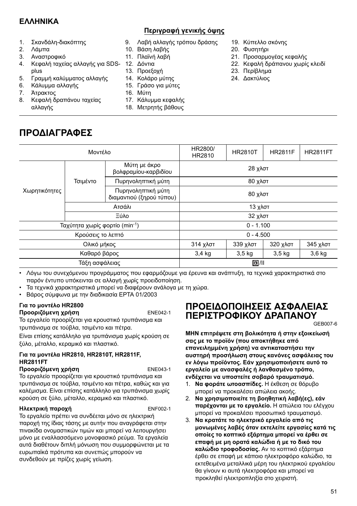# **ΕΛΛΗΝΙΚΑ**

### **Περιγραφή γενικής όψης**

- 1. Σκανδάλη-διακόπτης
- 2. Λάμπα
- 3. Αναστροφικό
- 4. Κεφαλή ταχείας αλλαγής για SDS-12. Δόντια plus
- 5. Γραμμή καλύμματος αλλαγής
- 6. Κάλυμμα αλλαγής
- 7. Άτρακτος
- 8. Κεφαλή δραπάνου ταχείας αλλαγής

**ΠΡΟΔΙΑΓΡΑΦΕΣ**

### 9. Λαβή αλλαγής τρόπου δράσης

- 10. Βάση λαβής
- 11. Πλαϊνή λαβή
- 
- 
- 15. Γράσο για μύτες
- 16. Μύτη
- 17. Κάλυμμα κεφαλής
- 18. Μετρητής βάθους
- 19. Κύπελλο σκόνης
- 20. Φυσητήρι
- 21. Προσαρμογέας κεφαλής
- 22. Κεφαλή δράπανου χωρίς κλειδί
- 23. Περίβλημα
- 24. Δακτύλιος

| Μοντέλο                                    |                                                |             | <b>HR2810T</b>    | <b>HR2811F</b>    | <b>HR2811FT</b> |
|--------------------------------------------|------------------------------------------------|-------------|-------------------|-------------------|-----------------|
|                                            | Μύτη με άκρο<br>βολφραμίου-καρβιδίου           | 28 χλστ     |                   |                   |                 |
| Τσιμέντο                                   | Πυρηνοληπτική μύτη                             | 80 χλστ     |                   |                   |                 |
|                                            | Πυρηνοληπτική μύτη<br>διαμαντιού (ξηρού τύπου) | 80 χλστ     |                   |                   |                 |
| Ατσάλι                                     |                                                | 13 χλστ     |                   |                   |                 |
| Ξύλο                                       |                                                | 32 χλστ     |                   |                   |                 |
| Ταχύτητα χωρίς φορτίο (min <sup>-1</sup> ) |                                                | $0 - 1.100$ |                   |                   |                 |
| Κρούσεις το λεπτό                          |                                                | $0 - 4.500$ |                   |                   |                 |
| Ολικό μήκος                                |                                                | 314 χλστ    | 339 χλστ          | 320 χλστ          | 345 χλστ        |
| Καθαρό βάρος                               |                                                | 3,4 kg      | 3.5 <sub>kg</sub> | 3.5 <sub>kq</sub> | 3,6 kg          |
| Τάξη ασφάλειας                             |                                                |             |                   |                   |                 |
|                                            |                                                |             | HR2800/<br>HR2810 |                   | 回川              |

• Λόγω του συνεχόμενου προγράμματος που εφαρμόζουμε για έρευνα και ανάπτυξη, τα τεχνικά χαρακτηριστικά στο παρόν έντυπο υπόκεινται σε αλλαγή χωρίς προειδοποίηση.

- Τα τεχνικά χαρακτηριστικά μπορεί να διαφέρουν ανάλογα με τη χώρα.
- Βάρος σύμφωνα με την διαδικασία EPTA 01/2003

#### **Για το μοντέλο HR2800 Προοριζόμενη χρήση** ENE042-1

Το εργαλείο προορίζεται για κρουστικό τρυπάνισμα και τρυπάνισμα σε τούβλα, τσιμέντο και πέτρα.

Είναι επίσης κατάλληλο για τρυπάνισμα χωρίς κρούση σε ξύλο, μέταλλο, κεραμικό και πλαστικό.

### **Για τα μοντέλα HR2810, HR2810T, HR2811F, HR2811FT**

**Προοριζόμενη χρήση** ENE043-1 Το εργαλείο προορίζεται για κρουστικό τρυπάνισμα και τρυπάνισμα σε τούβλα, τσιμέντο και πέτρα, καθώς και για καλέμισμα. Είναι επίσης κατάλληλο για τρυπάνισμα χωρίς κρούση σε ξύλο, μέταλλο, κεραμικό και πλαστικό.

### **Ηλεκτρική παροχή** ENF002-1

Το εργαλείο πρέπει να συνδέεται μόνο σε ηλεκτρική παροχή της ίδιας τάσης με αυτήν που αναγράφεται στην πινακίδα ονομαστικών τιμών και μπορεί να λειτουργήσει μόνο με εναλλασσόμενο μονοφασικό ρεύμα. Τα εργαλεία αυτά διαθέτουν διπλή μόνωση που συμμορφώνεται με τα ευρωπαϊκά πρότυπα και συνεπώς μπορούν να συνδεθούν με πρίζες χωρίς γείωση.

# **ΠΡΟΕΙΔΟΠΟΙΗΣΕΙΣ ΑΣΦΑΛΕΙΑΣ ΠΕΡΙΣΤΡΟΦΙΚΟΥ ΔΡΑΠΑΝΟΥ**

GEB007-6

**ΜΗΝ επιτρέψετε στη βολικότητα ή στην εξοικείωσή σας με το προϊόν (που αποκτήθηκε από επανειλημμένη χρήση) να αντικαταστήσει την αυστηρή προσήλωση στους κανόνες ασφάλειας του εν λόγω προϊόντος. Εάν χρησιμοποιήσετε αυτό το εργαλείο με ανασφαλές ή λανθασμένο τρόπο, ενδέχεται να υποστείτε σοβαρό τραυματισμό.** 

- 1. **Να φοράτε ωτοασπίδες.** Η έκθεση σε θόρυβο μπορεί να προκαλέσει απώλεια ακοής.
- 2. **Να χρησιμοποιείτε τη βοηθητική λαβή(ες), εάν παρέχονται με το εργαλείο.** Η απώλεια του ελέγχου μπορεί να προκαλέσει προσωπικό τραυματισμό.
- 3. **Να κρατάτε το ηλεκτρικό εργαλείο από τις μονωμένες λαβές όταν εκτελείτε εργασίες κατά τις οποίες το κοπτικό εξάρτημα μπορεί να έρθει σε επαφή με μη ορατά καλώδια ή με το δικό του καλώδιο τροφοδοσίας.** Αν το κοπτικό εξάρτημα έρθει σε επαφή με κάποιο ηλεκτροφόρο καλώδιο, τα εκτεθειμένα μεταλλικά μέρη του ηλεκτρικού εργαλείου θα γίνουν κι αυτά ηλεκτροφόρα και μπορεί να προκληθεί ηλεκτροπληξία στο χειριστή.

13. Προεξοχή 14. Κολάρο μύτης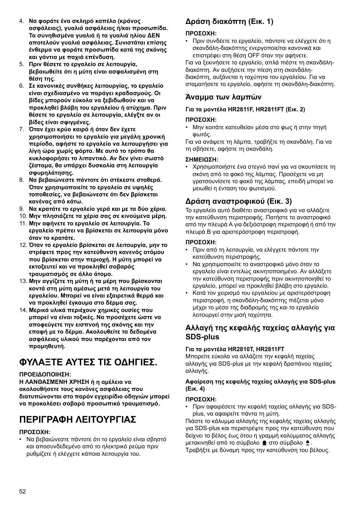- 4. **Να φοράτε ένα σκληρό καπέλο (κράνος ασφάλειας), γυαλιά ασφάλειας ή/και προσωπίδα. Τα συνηθισμένα γυαλιά ή τα γυαλιά ηλίου ΔΕΝ αποτελούν γυαλιά ασφάλειας. Συνιστάται επίσης ένθερμα να φοράτε προσωπίδα κατά της σκόνης και γάντια με παχιά επένδυση.**
- 5. **Πριν θέσετε το εργαλείο σε λειτουργία, βεβαιωθείτε ότι η μύτη είναι ασφαλισμένη στη θέση της.**
- 6. **Σε κανονικές συνθήκες λειτουργίας, το εργαλείο είναι σχεδιασμένο να παράγει κραδασμούς. Οι βίδες μπορούν εύκολα να ξεβιδωθούν και να προκληθεί βλάβη του εργαλείου ή ατύχημα. Πριν θέσετε το εργαλείο σε λειτουργία, ελέγξτε αν οι βίδες είναι σφιγμένες.**
- 7. **Όταν έχει κρύο καιρό ή όταν δεν έχετε χρησιμοποιήσει το εργαλείο για μεγάλη χρονική περίοδο, αφήστε το εργαλείο να λειτουργήσει για λίγη ώρα χωρίς φόρτο. Με αυτό το τρόπο θα κυκλοφορήσει το λιπαντικό. Αν δεν γίνει σωστό ζέσταμα, θα υπάρχει δυσκολία στη λειτουργία σφυρηλάτησης.**
- 8. **Να βεβαιώνεστε πάντοτε ότι στέκεστε σταθερά. Όταν χρησιμοποιείτε το εργαλείο σε υψηλές τοποθεσίες, να βεβαιώνεστε ότι δεν βρίσκεται κανένας από κάτω.**
- 9. **Να κρατάτε το εργαλείο γερά και με τα δύο χέρια.**
- 10. **Μην πλησιάζετε τα χέρια σας σε κινούμενα μέρη.**
- 11. **Μην αφήνετε το εργαλείο σε λειτουργία. Το εργαλείο πρέπει να βρίσκεται σε λειτουργία μόνο όταν το κρατάτε.**
- 12. **Όταν το εργαλείο βρίσκεται σε λειτουργία, μην το στρέφετε προς την κατεύθυνση κανενός ατόμου που βρίσκεται στην περιοχή. Η μύτη μπορεί να εκτοξευτεί και να προκληθεί σοβαρός τραυματισμός σε άλλο άτομο.**
- 13. **Μην αγγίζετε τη μύτη ή τα μέρη που βρίσκονται κοντά στη μύτη αμέσως μετά τη λειτουργία του εργαλείου. Μπορεί να είναι εξαιρετικά θερμά και να προκληθεί έγκαυμα στο δέρμα σας.**
- 14. **Μερικά υλικά περιέχουν χημικές ουσίες που μπορεί να είναι τοξικές. Να προσέχετε ώστε να αποφεύγετε την εισπνοή της σκόνης και την επαφή με το δέρμα. Ακολουθείτε τα δεδομένα ασφάλειας υλικού που παρέχονται από τον προμηθευτή.**

# **ΦΥΛΑΞΤΕ ΑΥΤΕΣ ΤΙΣ ΟΔΗΓΙΕΣ.**

### **ΠΡΟΕΙΔΟΠΟΙΗΣΗ:**

**Η ΛΑΝΘΑΣΜΕΝΗ ΧΡΗΣΗ ή η αμέλεια να ακολουθήσετε τους κανόνες ασφάλειας που διατυπώνονται στο παρόν εγχειρίδιο οδηγιών μπορεί να προκαλέσει σοβαρό προσωπικό τραυματισμό.**

# **ΠΕΡΙΓΡΑΦΗ ΛΕΙΤΟΥΡΓΙΑΣ**

### **ΠΡΟΣΟΧΗ:**

• Να βεβαιώνεστε πάντοτε ότι το εργαλείο είναι σβηστό και αποσυνδεδεμένο από το ηλεκτρικό ρεύμα πριν ρυθμίζετε ή ελέγχετε κάποια λειτουργία του.

# **Δράση διακόπτη (Εικ. 1)**

### **ΠΡΟΣΟΧΗ:**

• Πριν συνδέετε το εργαλείο, πάντοτε να ελέγχετε ότι η σκανδάλη-διακόπτης ενεργοποιείται κανονικά και επιστρέφει στη θέση OFF όταν την αφήνετε.

Για να ξεκινήσετε το εργαλείο, απλά πιέστε τη σκανδάληδιακόπτη. Αν αυξήσετε την πίεση στη σκανδάληδιακόπτη, αυξάνεται η ταχύτητα του εργαλείου. Για να σταματήσετε το εργαλείο, αφήστε τη σκανδάλη-διακόπτη.

# **Άναμμα των λαμπών**

### **Για τα μοντέλα HR2811F, HR2811FT (Εικ. 2)**

### **ΠΡΟΣΟΧΗ:**

• Μην κοιτάτε κατευθείαν μέσα στο φως ή στην πηγή φωτός.

Για να ανάψετε τη λάμπα, τραβήξτε τη σκανδάλη. Για να τη σβήσετε, αφήστε τη σκανδάλη.

### **ΣΗΜΕΙΩΣΗ:**

• Χρησιμοποιήστε ένα στεγνό πανί για να σκουπίσετε τη σκόνη από το φακό της λάμπας. Προσέχετε να μη γρατσουνίσετε το φακό της λάμπας, επειδή μπορεί να μειωθεί η ένταση του φωτισμού.

# **Δράση αναστροφικού (Εικ. 3)**

Το εργαλείο αυτό διαθέτει αναστροφικό για να αλλάζετε την κατεύθυνση περιστροφής. Πατήστε το αναστροφικό από την πλευρά Α για δεξιόστροφη περιστροφή ή από την πλευρά Β για αριστερόστροφη περιστροφή.

### **ΠΡΟΣΟΧΗ:**

- Πριν από τη λειτουργία, να ελέγχετε πάντοτε την κατεύθυνση περιστροφής.
- Να χρησιμοποιείτε το αναστροφικό μόνο όταν το εργαλείο είναι εντελώς ακινητοποιημένο. Αν αλλάξετε την κατεύθυνση περιστροφής πριν ακινητοποιηθεί το εργαλείο, μπορεί να προκληθεί βλάβη στο εργαλείο.
- Κατά τον χειρισμό του εργαλείου με αριστερόστροφη περιστροφή, η σκανδάλη-διακόπτης πιέζεται μόνο μέχρι το μέσο της διαδρομής της και το εργαλείο λειτουργεί στην μισή ταχύτητα.

## **Αλλαγή της κεφαλής ταχείας αλλαγής για SDS-plus**

### **Για τα μοντέλα HR2810T, HR2811FT**

Μπορείτε εύκολα να αλλάζετε την κεφαλή ταχείας αλλαγής για SDS-plus με την κεφαλή δραπάνου ταχείας αλλαγής.

### **Αφαίρεση της κεφαλής ταχείας αλλαγής για SDS-plus (Εικ. 4)**

### **ΠΡΟΣΟΧΗ:**

• Πριν αφαιρέσετε την κεφαλή ταχείας αλλαγής για SDSplus, να αφαιρείτε πάντα τη μύτη.

Πιάστε το κάλυμμα αλλαγής της κεφαλής ταχείας αλλαγής για SDS-plus και περιστρέψτε προς την κατεύθυνση που δείχνει το βέλος έως ότου η γραμμή καλύμματος αλλαγής μετακινηθεί από το σύμβολο **Φ** στο σύμβολο **Φ**.

Τραβήξτε με δύναμη προς την κατεύθυνση του βέλους.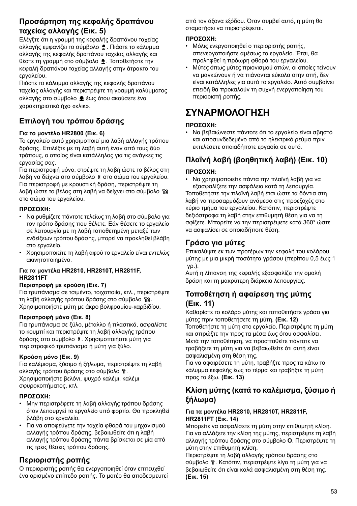# **Προσάρτηση της κεφαλής δραπάνου ταχείας αλλαγής (Εικ. 5)**

Ελέγξτε ότι η γραμμή της κεφαλής δραπάνου ταχείας αλλαγής εμφανίζει το σύμβολο . Πιάστε το κάλυμμα αλλαγής της κεφαλής δραπάνου ταχείας αλλαγής και θέστε τη γραμμή στο σύμβολο <sup>●</sup>. Τοποθετήστε την κεφαλή δραπάνου ταχείας αλλαγής στην άτρακτο του εργαλείου.

Πιάστε το κάλυμμα αλλαγής της κεφαλής δραπάνου ταχείας αλλαγής και περιστρέψτε τη γραμμή καλύμματος αλλαγής στο σύμβολο έως ότου ακούσετε ένα χαρακτηριστικό ήχο «κλικ».

# **Επιλογή του τρόπου δράσης**

### **Για το μοντέλο HR2800 (Εικ. 6)**

Το εργαλείο αυτό χρησιμοποιεί μια λαβή αλλαγής τρόπου δράσης. Επιλέξτε με τη λαβή αυτή έναν από τους δύο τρόπους, ο οποίος είναι κατάλληλος για τις ανάγκες τις εργασίας σας.

Για περιστροφή μόνο, στρέψτε τη λαβή ώστε το βέλος στη λαβή να δείχνει στο σύμβολο στο σώμα του εργαλείου. Για περιστροφή με κρουστική δράση, περιστρέψτε τη λαβή ώστε το βέλος στη λαβή να δείχνει στο σύμβολο στο σώμα του εργαλείου.

### **ΠΡΟΣΟΧΗ:**

- Να ρυθμίζετε πάντοτε τελείως τη λαβή στο σύμβολο για τον τρόπο δράσης που θέλετε. Εάν θέσετε το εργαλείο σε λειτουργία με τη λαβή τοποθετημένη μεταξύ των ενδείξεων τρόπου δράσης, μπορεί να προκληθεί βλάβη στο εργαλείο.
- Χρησιμοποιείτε τη λαβή αφού το εργαλείο είναι εντελώς ακινητοποιημένο.

### **Για τα μοντέλα HR2810, HR2810T, HR2811F, HR2811FT**

### **Περιστροφή με κρούση (Εικ. 7)**

Για τρυπάνισμα σε τσιμέντο, τοιχοποιία, κτλ., περιστρέψτε τη λαβή αλλαγής τρόπου δράσης στο σύμβολο  $\mathbb{T}_2^2$ . Χρησιμοποιήστε μύτη με άκρο βολφραμίου-καρβιδίου.

### **Περιστροφή μόνο (Εικ. 8)**

Για τρυπάνισμα σε ξύλο, μέταλλο ή πλαστικά, ασφαλίστε το κουμπί και περιστρέψτε τη λαβή αλλαγής τρόπου δράσης στο σύμβολο  $\frac{8}{3}$ . Χρησιμοποιήστε μύτη για περιστροφικό τρυπάνισμα ή μύτη για ξύλο.

### **Κρούση μόνο (Εικ. 9)**

Για καλέμισμα, ξύσιμο ή ξήλωμα, περιστρέψτε τη λαβή αλλαγής τρόπου δράσης στο σύμβολο Τ. Χρησιμοποιήστε βελόνι, ψυχρό καλέμι, καλέμι σφυροκοπήματος, κτλ.

### **ΠΡΟΣΟΧΗ:**

- Μην περιστρέφετε τη λαβή αλλαγής τρόπου δράσης όταν λειτουργεί το εργαλείο υπό φορτίο. Θα προκληθεί βλάβη στο εργαλείο.
- Για να αποφεύγετε την ταχεία φθορά του μηχανισμού αλλαγής τρόπου δράσης, βεβαιωθείτε ότι η λαβή αλλαγής τρόπου δράσης πάντα βρίσκεται σε μία από τις τρεις θέσεις τρόπου δράσης.

# **Περιοριστής ροπής**

Ο περιοριστής ροπής θα ενεργοποιηθεί όταν επιτευχθεί ένα ορισμένο επίπεδο ροπής. Το μοτέρ θα αποδεσμευτεί από τον άξονα εξόδου. Όταν συμβεί αυτό, η μύτη θα σταματήσει να περιστρέφεται.

### **ΠΡΟΣΟΧΗ:**

- Μόλις ενεργοποιηθεί ο περιοριστής ροπής, απενεργοποιήστε αμέσως το εργαλείο. Έτσι, θα προληφθεί η πρόωρη φθορά του εργαλείου.
- Μύτες όπως μύτες πριονισμού οπών, οι οποίες τείνουν να μαγκώνουν ή να πιάνονται εύκολα στην οπή, δεν είναι κατάλληλες για αυτό το εργαλείο. Αυτό συμβαίνει επειδή θα προκαλούν τη συχνή ενεργοποίηση του περιοριστή ροπής.

# **ΣΥΝΑΡΜΟΛΟΓΗΣΗ**

### **ΠΡΟΣΟΧΗ:**

• Να βεβαιώνεστε πάντοτε ότι το εργαλείο είναι σβηστό και αποσυνδεδεμένο από το ηλεκτρικό ρεύμα πριν εκτελέσετε οποιαδήποτε εργασία σε αυτό.

# **Πλαϊνή λαβή (βοηθητική λαβή) (Εικ. 10)**

### **ΠΡΟΣΟΧΗ:**

• Να χρησιμοποιείτε πάντα την πλαϊνή λαβή για να εξασφαλίζετε την ασφάλεια κατά τη λειτουργία. Τοποθετήστε την πλαϊνή λαβή έτσι ώστε τα δόντια στη λαβή να προσαρμόζουν ανάμεσα στις προεξοχές στο κύριο τμήμα του εργαλείου. Κατόπιν, περιστρέψτε δεξιόστροφα τη λαβή στην επιθυμητή θέση για να τη σφίξετε. Μπορείτε να την περιστρέψετε κατά 360° ώστε να ασφαλίσει σε οποιαδήποτε θέση.

# **Γράσο για μύτες**

Επικαλύψτε εκ των προτέρων την κεφαλή του κολάρου μύτης με μια μικρή ποσότητα γράσου (περίπου 0,5 έως 1 γρ.).

Αυτή η λίπανση της κεφαλής εξασφαλίζει την ομαλή δράση και τη μακρύτερη διάρκεια λειτουργίας.

# **Τοποθέτηση ή αφαίρεση της μύτης (Εικ. 11)**

Καθαρίστε το κολάρο μύτης και τοποθετήστε γράσο για μύτες πριν τοποθετήσετε τη μύτη. **(Εικ. 12)** Τοποθετήστε τη μύτη στο εργαλείο. Περιστρέψτε τη μύτη και σπρώξτε την προς τα μέσα έως ότου ασφαλίσει. Μετά την τοποθέτηση, να προσπαθείτε πάντοτε να τραβήξετε τη μύτη για να βεβαιωθείτε ότι αυτή είναι ασφαλισμένη στη θέση της.

Για να αφαιρέσετε τη μύτη, τραβήξτε προς τα κάτω το κάλυμμα κεφαλής έως το τέρμα και τραβήξτε τη μύτη προς τα έξω. **(Εικ. 13)**

# **Κλίση μύτης (κατά το καλέμισμα, ξύσιμο ή ξήλωμα)**

### **Για τα μοντέλα HR2810, HR2810T, HR2811F, HR2811FT (Εικ. 14)**

Μπορείτε να ασφαλίσετε τη μύτη στην επιθυμητή κλίση. Για να αλλάξετε την κλίση της μύτης, περιστρέψτε τη λαβή αλλαγής τρόπου δράσης στο σύμβολο **O**. Περιστρέψτε τη μύτη στην επιθυμητή κλίση.

Περιστρέψτε τη λαβή αλλαγής τρόπου δράσης στο σύμβολο Τ. Κατόπιν, περιστρέψτε λίνο τη μύτη για να βεβαιωθείτε ότι είναι καλά ασφαλισμένη στη θέση της. **(Εικ. 15)**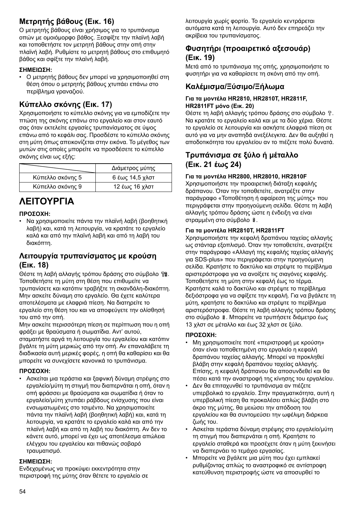# **Μετρητής βάθους (Εικ. 16)**

Ο μετρητής βάθους είναι χρήσιμος για το τρυπάνισμα οπών με ομοιόμορφο βάθος. Ξεσφίξτε την πλαϊνή λαβή και τοποθετήστε τον μετρητή βάθους στην οπή στην πλαϊνή λαβή. Ρυθμίστε το μετρητή βάθους στο επιθυμητό βάθος και σφίξτε την πλαϊνή λαβή.

### **ΣΗΜΕΙΩΣΗ:**

• Ο μετρητής βάθους δεν μπορεί να χρησιμοποιηθεί στη θέση όπου ο μετρητής βάθους χτυπάει επάνω στο περίβλημα γραναζιού.

# **Κύπελλο σκόνης (Εικ. 17)**

Χρησιμοποιήστε το κύπελλο σκόνης για να εμποδίζετε την πτώση της σκόνης επάνω στο εργαλείο και στον εαυτό σας όταν εκτελείτε εργασίες τρυπανίσματος σε ύψος επάνω από το κεφάλι σας. Προσδέστε το κύπελλο σκόνης στη μύτη όπως απεικονίζεται στην εικόνα. Το μέγεθος των μυτών στις οποίες μπορείτε να προσδέσετε το κύπελλο σκόνης είναι ως εξής:

|                  | Διάμετρος μύτης |
|------------------|-----------------|
| Κύπελλο σκόνης 5 | 6 έως 14,5 χλστ |
| Κύπελλο σκόνης 9 | 12 έως 16 χλστ  |

# **ΛΕΙΤΟΥΡΓΙΑ**

### **ΠΡΟΣΟΧΗ:**

• Να χρησιμοποιείτε πάντα την πλαϊνή λαβή (βοηθητική λαβή) και, κατά τη λειτουργία, να κρατάτε το εργαλείο καλά και από την πλαϊνή λαβή και από τη λαβή του διακόπτη.

# **Λειτουργία τρυπανίσματος με κρούση (Εικ. 18)**

Θέστε τη λαβή αλλαγής τρόπου δράσης στο σύμβολο . Τοποθετήστε τη μύτη στη θέση που επιθυμείτε να τρυπανίσετε και κατόπιν τραβήξτε τη σκανδάλη-διακόπτη. Μην ασκείτε δύναμη στο εργαλείο. Θα έχετε καλύτερα αποτελέσματα με ελαφριά πίεση. Να διατηρείτε το εργαλείο στη θέση του και να αποφεύγετε την ολίσθησή του από την οπή.

Μην ασκείτε περισσότερη πίεση σε περίπτωση που η οπή φράξει με θραύσματα ή σωματίδια. Αντ' αυτού, σταματήστε αργά τη λειτουργία του εργαλείου και κατόπιν βγάλτε τη μύτη μερικώς από την οπή. Αν επαναλάβετε τη διαδικασία αυτή μερικές φορές, η οπή θα καθαρίσει και θα μπορείτε να συνεχίσετε κανονικά το τρυπάνισμα.

### **ΠΡΟΣΟΧΗ:**

• Ασκείται μια τεράστια και ξαφνική δύναμη στρέψης στο εργαλείο/μύτη τη στιγμή που διαπερνάται η οπή, όταν η οπή φράσσει με θραύσματα και σωματίδια ή όταν το εργαλείο/μύτη χτυπάει ράβδους ενίσχυσης που είναι ενσωματωμένες στο τσιμέντο. Να χρησιμοποιείτε πάντα την πλαϊνή λαβή (βοηθητική λαβή) και, κατά τη λειτουργία, να κρατάτε το εργαλείο καλά και από την πλαϊνή λαβή και από τη λαβή του διακόπτη. Αν δεν το κάνετε αυτό, μπορεί να έχει ως αποτέλεσμα απώλεια ελέγχου του εργαλείου και πιθανώς σοβαρό τραυματισμό.

### **ΣΗΜΕΙΩΣΗ:**

Ενδεχομένως να προκύψει εκκεντρότητα στην περιστροφή της μύτης όταν θέτετε το εργαλείο σε λειτουργία χωρίς φορτίο. Το εργαλείο κεντράρεται αυτόματα κατά τη λειτουργία. Αυτό δεν επηρεάζει την ακρίβεια του τρυπανίσματος.

# **Φυσητήρι (προαιρετικό αξεσουάρ) (Εικ. 19)**

Μετά από το τρυπάνισμα της οπής, χρησιμοποιήστε το φυσητήρι για να καθαρίσετε τη σκόνη από την οπή.

# **Καλέμισμα/Ξύσιμο/Ξήλωμα**

### **Για τα μοντέλα HR2810, HR2810T, HR2811F, HR2811FT μόνο (Εικ. 20)**

Θέστε τη λαβή αλλαγής τρόπου δράσης στο σύμβολο ... Να κρατάτε το εργαλείο καλά και με τα δύο χέρια. Θέστε το εργαλείο σε λειτουργία και ασκήστε ελαφριά πίεση σε αυτό για να μην αναπηδά ανεξέλεγκτα. Δεν θα αυξηθεί η αποδοτικότητα του εργαλείου αν το πιέζετε πολύ δυνατά.

# **Τρυπάνισμα σε ξύλο ή μέταλλο (Εικ. 21 έως 24)**

### **Για τα μοντέλα HR2800, HR28010, HR2810F**

Χρησιμοποιήστε την προαιρετική διάταξη κεφαλής δράπανου. Όταν την τοποθετείτε, ανατρέξτε στην παράγραφο «Τοποθέτηση ή αφαίρεση της μύτης» που περιγράφεται στην προηγούμενη σελίδα. Θέστε τη λαβή αλλαγής τρόπου δράσης ώστε η ένδειξη να είναι στραμμένη στο σύμβολο  $\frac{8}{3}$ .

### **Για τα μοντέλα HR2810T, HR2811FT**

Χρησιμοποιήστε την κεφαλή δραπάνου ταχείας αλλαγής ως στάνταρ εξοπλισμό. Όταν την τοποθετείτε, ανατρέξτε στην παράγραφο «Αλλαγή της κεφαλής ταχείας αλλαγής για SDS-plus» που περιγράφεται στην προηγούμενη σελίδα. Κρατήστε το δακτύλιο και στρέψτε το περίβλημα αριστερόστροφα για να ανοίξετε τις σιαγόνες κεφαλής. Τοποθετήστε τη μύτη στην κεφαλή έως το τέρμα. Κρατήστε καλά το δακτύλιο και στρέψτε το περίβλημα δεξιόστροφα για να σφίξετε την κεφαλή. Για να βγάλετε τη μύτη, κρατήστε το δακτύλιο και στρέψτε το περίβλημα αριστερόστροφα. Θέστε τη λαβή αλλαγής τρόπου δράσης στο σύμβολο \$. Μπορείτε να τρυπήσετε διάμετρο έως 13 χλστ σε μέταλλο και έως 32 χλστ σε ξύλο.

### **ΠΡΟΣΟΧΗ:**

- Μη χρησιμοποιείτε ποτέ «περιστροφή με κρούση» όταν είναι τοποθετημένη στο εργαλείο η κεφαλή δραπάνου ταχείας αλλαγής. Μπορεί να προκληθεί βλάβη στην κεφαλή δραπάνου ταχείας αλλαγής. Επίσης, η κεφαλή δράπανου θα αποσυνδεθεί και θα πέσει κατά την αναστροφή της κίνησης του εργαλείου.
- Δεν θα επιταχυνθεί το τρυπάνισμα αν πιέζετε υπερβολικά το εργαλείο. Στην πραγματικότητα, αυτή η υπερβολική πίεση θα προκαλέσει απλώς βλάβη στο άκρο της μύτης, θα μειώσει την απόδοση του εργαλείου και θα συντομεύσει την ωφέλιμη διάρκεια ζωής του.
- Ασκείται τεράστια δύναμη στρέψης στο εργαλείο/μύτη τη στιγμή που διαπερνάται η οπή. Κρατήστε το εργαλείο σταθερά και προσέχετε όταν η μύτη ξεκινήσει να διαπερνάει το τεμάχιο εργασίας.
- Μπορείτε να βγάλετε μια μύτη που έχει εμπλακεί ρυθμίζοντας απλώς το αναστροφικό σε αντίστροφη κατεύθυνση περιστροφής ώστε να αποσυρθεί το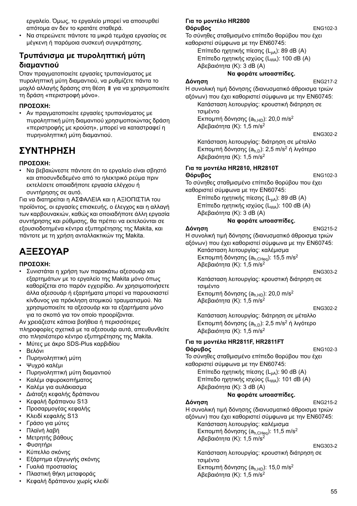εργαλείο. Όμως, το εργαλείο μπορεί να αποσυρθεί απότομα αν δεν το κρατάτε σταθερά.

• Να στερεώνετε πάντοτε τα μικρά τεμάχια εργασίας σε μέγκενη ή παρόμοια συσκευή συγκράτησης.

# **Τρυπάνισμα με πυροληπτική μύτη διαμαντιού**

Όταν πραγματοποιείτε εργασίες τρυπανίσματος με πυροληπτική μύτη διαμαντιού, να ρυθμίζετε πάντα το μοχλό αλλαγής δράσης στη θέση & για να χρησιμοποιείτε τη δράση «περιστροφή μόνο».

### **ΠΡΟΣΟΧΗ:**

• Αν πραγματοποιείτε εργασίες τρυπανίσματος με πυροληπτική μύτη διαμαντιού χρησιμοποιώντας δράση «περιστροφής με κρούση», μπορεί να καταστραφεί η πυρηνοληπτική μύτη διαμαντιού.

# **ΣΥΝΤΗΡΗΣΗ**

### **ΠΡΟΣΟΧΗ:**

• Να βεβαιώνεστε πάντοτε ότι το εργαλείο είναι σβηστό και αποσυνδεδεμένο από το ηλεκτρικό ρεύμα πριν εκτελέσετε οποιαδήποτε εργασία ελέγχου ή συντήρησης σε αυτό.

Για να διατηρείται η ΑΣΦΑΛΕΙΑ και η ΑΞΙΟΠΙΣΤΙΑ του προϊόντος, οι εργασίες επισκευής, ο έλεγχος και η αλλαγή των καρβουνακιών, καθώς και οποιαδήποτε άλλη εργασία συντήρησης και ρύθμισης, θα πρέπει να εκτελούνται σε εξουσιοδοτημένα κέντρα εξυπηρέτησης της Makita, και πάντοτε με τη χρήση ανταλλακτικών της Makita.

# **ΑΞΕΣΟΥΑΡ**

### **ΠΡΟΣΟΧΗ:**

• Συνιστάται η χρήση των παρακάτω αξεσουάρ και εξαρτημάτων με το εργαλείο της Makita μόνο όπως καθορίζεται στο παρόν εγχειρίδιο. Αν χρησιμοποιήσετε άλλα αξεσουάρ ή εξαρτήματα μπορεί να παρουσιαστεί κίνδυνος για πρόκληση ατομικού τραυματισμού. Να χρησιμοποιείτε τα αξεσουάρ και τα εξαρτήματα μόνο για το σκοπό για τον οποίο προορίζονται.

Αν χρειάζεστε κάποια βοήθεια ή περισσότερες πληροφορίες σχετικά με τα αξεσουάρ αυτά, απευθυνθείτε στο πλησιέστερο κέντρο εξυπηρέτησης της Makita.

- Μύτες με άκρο SDS-Plus καρβιδίου
- Βελόνι
- Πυρηνοληπτική μύτη
- Ψυχρό καλέμι
- Πυρηνοληπτική μύτη διαμαντιού
- Καλέμι σφυροκοπήματος
- Καλέμι για αυλάκιασμα
- Διάταξη κεφαλής δράπανου
- Κεφαλή δράπανου S13
- Προσαρμογέας κεφαλής
- Κλειδί κεφαλής S13
- Γράσο για μύτες
- Πλαϊνή λαβή
- Μετρητής βάθους
- Φυσητήρι
- Κύπελλο σκόνης
- Εξάρτημα εξαγωγής σκόνης
- Γυαλιά προστασίας
- Πλαστική θήκη μεταφοράς
- Κεφαλή δράπανου χωρίς κλειδί

#### **Για το μοντέλο HR2800 Θόρυβος** ENG102-3

Το σύνηθες σταθμισμένο επίπεδο θορύβου που έχει καθοριστεί σύμφωνα με την EN60745:

Επίπεδο ηχητικής πίεσης (L<sub>pA</sub>): 89 dB (A) Επίπεδο ηχητικής ισχύος (LWA): 100 dB (A)

Αβεβαιότητα (Κ): 3 dB (A)

### **Να φοράτε ωτοασπίδες.**

**Δόνηση** ENG217-2

Η συνολική τιμή δόνησης (διανυσματικό άθροισμα τριών αξόνων) που έχει καθοριστεί σύμφωνα με την EN60745:

Κατάσταση λειτουργίας: κρουστική διάτρηση σε τσιμέντο

Εκπομπή δόνησης (a<sub>h HD</sub>): 20,0 m/s<sup>2</sup> Αβεβαιότητα (Κ): 1,5 m/s2

#### ENG302-2

Κατάσταση λειτουργίας: διάτρηση σε μέταλλο Εκπομπή δόνησης (a<sub>h,D</sub>): 2,5 m/s<sup>2</sup> ή λιγότερο Αβεβαιότητα (Κ): 1,5 m/s2

# **Για τα μοντέλα HR2810, HR2810T**

# **Θόρυβος** ENG102-3

Το σύνηθες σταθμισμένο επίπεδο θορύβου που έχει καθοριστεί σύμφωνα με την EN60745:

Επίπεδο ηχητικής πίεσης (L<sub>pA</sub>): 89 dB (A) Επίπεδο ηχητικής ισχύος (L<sub>WA</sub>): 100 dB (A) Αβεβαιότητα (Κ): 3 dB (A)

### **Να φοράτε ωτοασπίδες.**

### **Δόνηση** ENG215-2

Η συνολική τιμή δόνησης (διανυσματικό άθροισμα τριών αξόνων) που έχει καθοριστεί σύμφωνα με την EN60745:

Κατάσταση λειτουργίας: καλέμισμα Εκπομπή δόνησης ( $a_{h,CHea}$ ): 15,5 m/s<sup>2</sup> Αβεβαιότητα (Κ): 1,5 m/s2

ENG303-2

Κατάσταση λειτουργίας: κρουστική διάτρηση σε τσιμέντο

Εκπομπή δόνησης (a<sub>h,HD</sub>): 20,0 m/s<sup>2</sup> Αβεβαιότητα (Κ): 1,5 m/s2

ENG302-2

Κατάσταση λειτουργίας: διάτρηση σε μέταλλο Εκπομπή δόνησης (a<sub>h,D</sub>): 2,5 m/s<sup>2</sup> ή λιγότερο Αβεβαιότητα (Κ): 1,5 m/s2

#### **Για τα μοντέλα HR2811F, HR2811FT Θόρυβος** ENG102-3

Το σύνηθες σταθμισμένο επίπεδο θορύβου που έχει καθοριστεί σύμφωνα με την EN60745:

Επίπεδο ηχητικής πίεσης (L<sub>pA</sub>): 90 dB (A) Επίπεδο ηχητικής ισχύος (L<sub>WA</sub>): 101 dB (A) Αβεβαιότητα (Κ): 3 dB (A)

### **Να φοράτε ωτοασπίδες.**

**Δόνηση** ENG215-2

Η συνολική τιμή δόνησης (διανυσματικό άθροισμα τριών αξόνων) που έχει καθοριστεί σύμφωνα με την EN60745:

Κατάσταση λειτουργίας: καλέμισμα Εκπομπή δόνησης ( $a_{h,CHea}$ ): 11,5 m/s<sup>2</sup> Αβεβαιότητα (Κ): 1,5 m/s2

#### ENG303-2

Κατάσταση λειτουργίας: κρουστική διάτρηση σε τσιμέντο Εκπομπή δόνησης (a<sub>h,HD</sub>): 15,0 m/s<sup>2</sup> Αβεβαιότητα (Κ): 1,5 m/s2